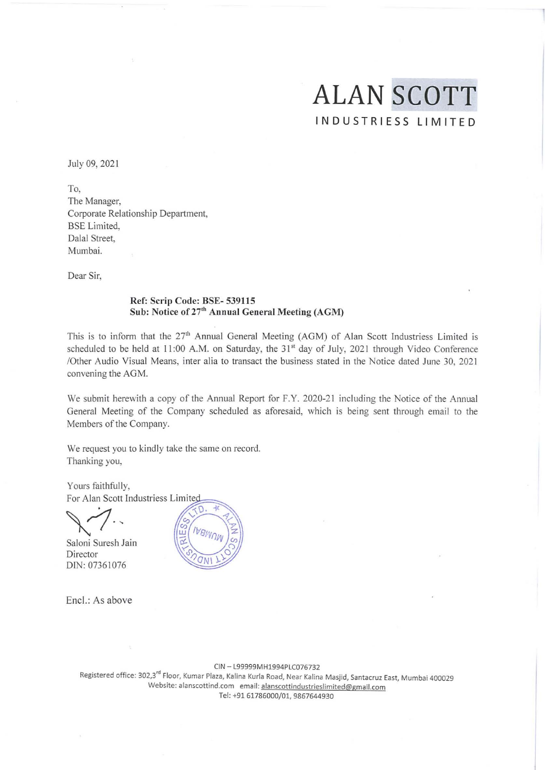# **ALAN SCOTT**  INDUSTRIESS LIMITED

July 09, 2021

To, **The Manager,**  Corporate Relationship Department, BSE Limited, Dalal Street, Mumbai.

Dear Sir,

## Ref: Scrip Code: BSE- 539115 Sub: Notice of 27<sup>th</sup> Annual General Meeting (AGM)

This is to inform that the 27<sup>th</sup> Annual General Meeting (AGM) of Alan Scott Industriess Limited is scheduled to be held at 11:00 A.M. on Saturday, the 31<sup>st</sup> day of July, 2021 through Video Conference /Other Audio Visual Means, inter alia to transact the business stated in the Notice dated June 30, 2021 convening the AGM.

We submit herewith a copy of the Annual Report for F.Y. 2020-21 including the Notice of the Annual General Meeting of the Company scheduled as aforesaid, which is being sent through email to the Members of the Company.

We request you to kindly take the same on record. Thanking you,

Yours faithfully, For Alan Scott Industriess Limited

Saloni Suresh Jain Director DIN: 07361076



CIN -l99999MH1994PlC076732 **Registered office: 302,3fd Floor, Kumar Plaza, Kalina Kurla Road, Near Kalina Masjid, Santacruz East, Mumbai 400029 Website: alanscottind.com email: alanscottindustrieslimited@gmail.com**  Tel: +9161786000/01, 9867644930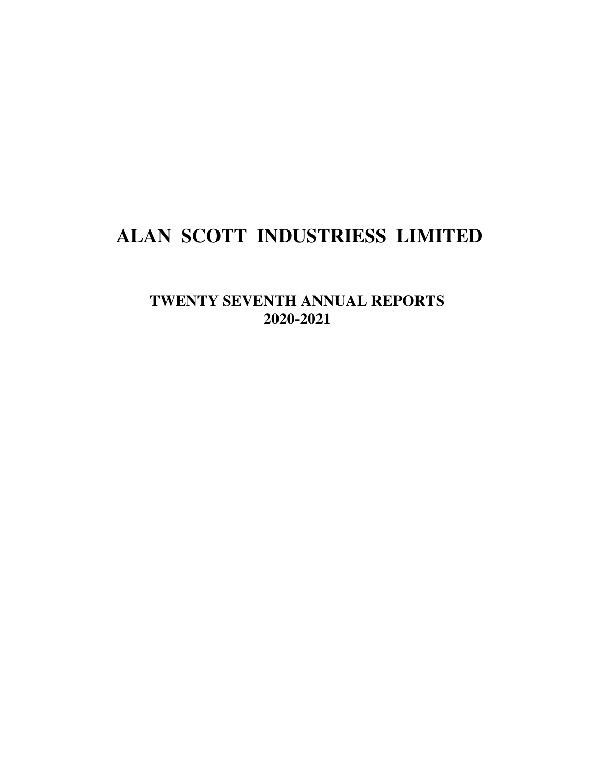# **ALAN SCOTT INDUSTRIESS LIMITED**

**TWENTY SEVENTH ANNUAL REPORTS 2020-2021**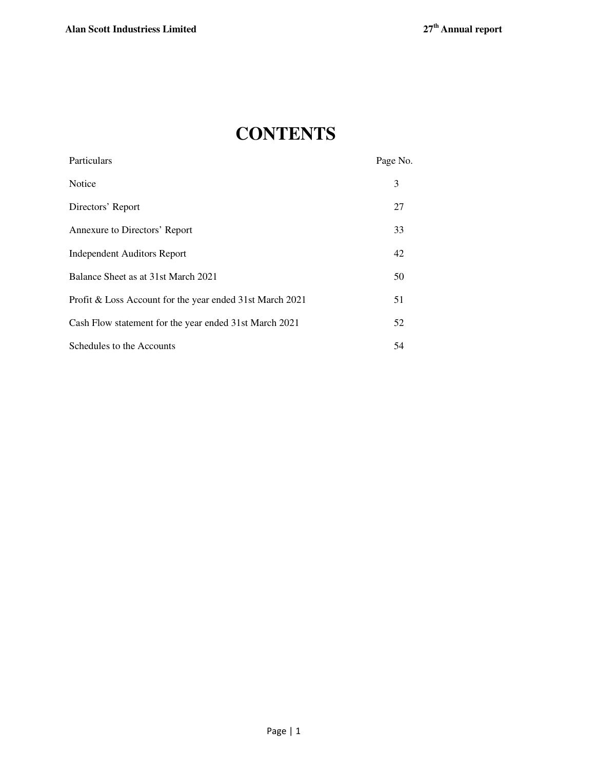# **CONTENTS**

| Particulars                                              | Page No. |
|----------------------------------------------------------|----------|
| Notice                                                   | 3        |
| Directors' Report                                        | 27       |
| Annexure to Directors' Report                            | 33       |
| Independent Auditors Report                              | 42       |
| Balance Sheet as at 31st March 2021                      | 50       |
| Profit & Loss Account for the year ended 31st March 2021 | 51       |
| Cash Flow statement for the year ended 31st March 2021   | 52       |
| Schedules to the Accounts                                | 54       |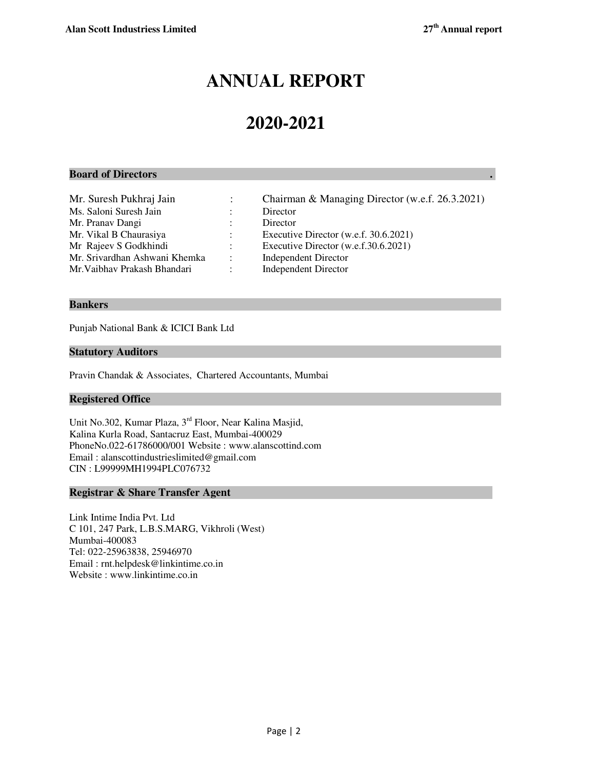# **ANNUAL REPORT**

# **2020-2021**

## **Board of Directors .**

Ms. Saloni Suresh Jain : Director Mr. Pranav Dangi : Director Mr. Vikal B Chaurasiya : Executive Director (w.e.f. 30.6.2021) Mr Rajeev S Godkhindi : Executive Director (w.e.f.30.6.2021) Mr. Srivardhan Ashwani Khemka : Independent Director Mr.Vaibhav Prakash Bhandari : Independent Director

- Mr. Suresh Pukhraj Jain : Chairman & Managing Director (w.e.f. 26.3.2021)
	-
	- -
		-
		-
		-

## **Bankers**

Punjab National Bank & ICICI Bank Ltd

## **Statutory Auditors**

Pravin Chandak & Associates, Chartered Accountants, Mumbai

## **Registered Office**

Unit No.302, Kumar Plaza, 3rd Floor, Near Kalina Masjid, Kalina Kurla Road, Santacruz East, Mumbai-400029 PhoneNo.022-61786000/001 Website : www.alanscottind.com Email : alanscottindustrieslimited@gmail.com CIN : L99999MH1994PLC076732

## **Registrar & Share Transfer Agent**

Link Intime India Pvt. Ltd C 101, 247 Park, L.B.S.MARG, Vikhroli (West) Mumbai-400083 Tel: 022-25963838, 25946970 Email : rnt.helpdesk@linkintime.co.in Website : www.linkintime.co.in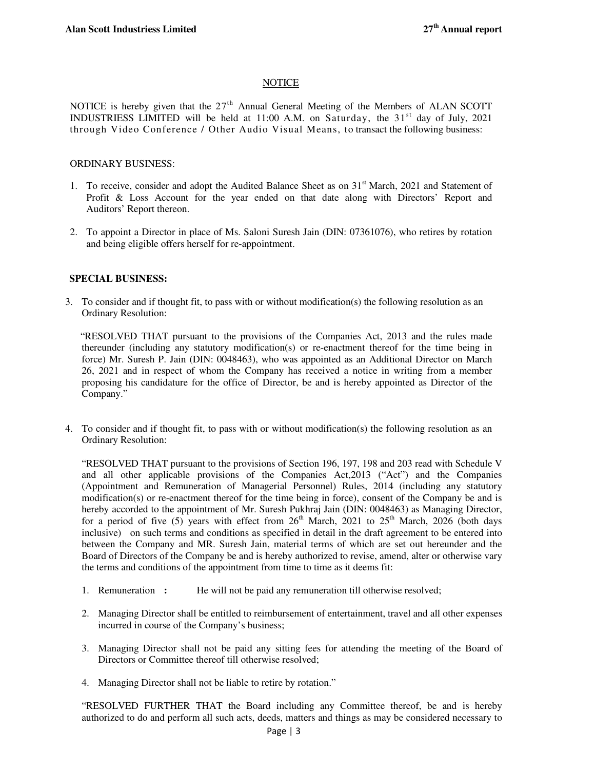## NOTICE

NOTICE is hereby given that the  $27<sup>th</sup>$  Annual General Meeting of the Members of ALAN SCOTT INDUSTRIESS LIMITED will be held at 11:00 A.M. on Saturday, the  $31<sup>st</sup>$  day of July, 2021 through Video Conference / Other Audio Visual Means, to transact the following business:

## ORDINARY BUSINESS:

- 1. To receive, consider and adopt the Audited Balance Sheet as on  $31<sup>st</sup>$  March, 2021 and Statement of Profit & Loss Account for the year ended on that date along with Directors' Report and Auditors' Report thereon.
- 2. To appoint a Director in place of Ms. Saloni Suresh Jain (DIN: 07361076), who retires by rotation and being eligible offers herself for re-appointment.

## **SPECIAL BUSINESS:**

3. To consider and if thought fit, to pass with or without modification(s) the following resolution as an Ordinary Resolution:

 "RESOLVED THAT pursuant to the provisions of the Companies Act, 2013 and the rules made thereunder (including any statutory modification(s) or re-enactment thereof for the time being in force) Mr. Suresh P. Jain (DIN: 0048463), who was appointed as an Additional Director on March 26, 2021 and in respect of whom the Company has received a notice in writing from a member proposing his candidature for the office of Director, be and is hereby appointed as Director of the Company."

4. To consider and if thought fit, to pass with or without modification(s) the following resolution as an Ordinary Resolution:

"RESOLVED THAT pursuant to the provisions of Section 196, 197, 198 and 203 read with Schedule V and all other applicable provisions of the Companies Act,2013 ("Act") and the Companies (Appointment and Remuneration of Managerial Personnel) Rules, 2014 (including any statutory modification(s) or re-enactment thereof for the time being in force), consent of the Company be and is hereby accorded to the appointment of Mr. Suresh Pukhraj Jain (DIN: 0048463) as Managing Director, for a period of five (5) years with effect from  $26<sup>th</sup>$  March,  $2021$  to  $25<sup>th</sup>$  March,  $2026$  (both days inclusive) on such terms and conditions as specified in detail in the draft agreement to be entered into between the Company and MR. Suresh Jain, material terms of which are set out hereunder and the Board of Directors of the Company be and is hereby authorized to revise, amend, alter or otherwise vary the terms and conditions of the appointment from time to time as it deems fit:

- 1. Remuneration : He will not be paid any remuneration till otherwise resolved;
- 2. Managing Director shall be entitled to reimbursement of entertainment, travel and all other expenses incurred in course of the Company's business;
- 3. Managing Director shall not be paid any sitting fees for attending the meeting of the Board of Directors or Committee thereof till otherwise resolved;
- 4. Managing Director shall not be liable to retire by rotation."

"RESOLVED FURTHER THAT the Board including any Committee thereof, be and is hereby authorized to do and perform all such acts, deeds, matters and things as may be considered necessary to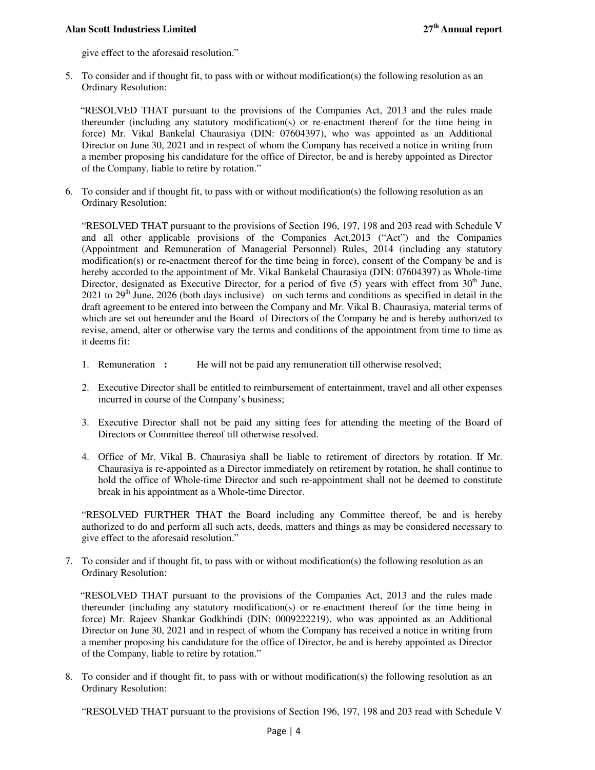give effect to the aforesaid resolution."

5. To consider and if thought fit, to pass with or without modification(s) the following resolution as an Ordinary Resolution:

 "RESOLVED THAT pursuant to the provisions of the Companies Act, 2013 and the rules made thereunder (including any statutory modification(s) or re-enactment thereof for the time being in force) Mr. Vikal Bankelal Chaurasiya (DIN: 07604397), who was appointed as an Additional Director on June 30, 2021 and in respect of whom the Company has received a notice in writing from a member proposing his candidature for the office of Director, be and is hereby appointed as Director of the Company, liable to retire by rotation."

6. To consider and if thought fit, to pass with or without modification(s) the following resolution as an Ordinary Resolution:

"RESOLVED THAT pursuant to the provisions of Section 196, 197, 198 and 203 read with Schedule V and all other applicable provisions of the Companies Act,2013 ("Act") and the Companies (Appointment and Remuneration of Managerial Personnel) Rules, 2014 (including any statutory modification(s) or re-enactment thereof for the time being in force), consent of the Company be and is hereby accorded to the appointment of Mr. Vikal Bankelal Chaurasiya (DIN: 07604397) as Whole-time Director, designated as Executive Director, for a period of five  $(5)$  years with effect from  $30<sup>th</sup>$  June, 2021 to  $29<sup>th</sup>$  June, 2026 (both days inclusive) on such terms and conditions as specified in detail in the draft agreement to be entered into between the Company and Mr. Vikal B. Chaurasiya, material terms of which are set out hereunder and the Board of Directors of the Company be and is hereby authorized to revise, amend, alter or otherwise vary the terms and conditions of the appointment from time to time as it deems fit:

- 1. Remuneration **:** He will not be paid any remuneration till otherwise resolved;
- 2. Executive Director shall be entitled to reimbursement of entertainment, travel and all other expenses incurred in course of the Company's business;
- 3. Executive Director shall not be paid any sitting fees for attending the meeting of the Board of Directors or Committee thereof till otherwise resolved.
- 4. Office of Mr. Vikal B. Chaurasiya shall be liable to retirement of directors by rotation. If Mr. Chaurasiya is re-appointed as a Director immediately on retirement by rotation, he shall continue to hold the office of Whole-time Director and such re-appointment shall not be deemed to constitute break in his appointment as a Whole-time Director.

"RESOLVED FURTHER THAT the Board including any Committee thereof, be and is hereby authorized to do and perform all such acts, deeds, matters and things as may be considered necessary to give effect to the aforesaid resolution."

7. To consider and if thought fit, to pass with or without modification(s) the following resolution as an Ordinary Resolution:

 "RESOLVED THAT pursuant to the provisions of the Companies Act, 2013 and the rules made thereunder (including any statutory modification(s) or re-enactment thereof for the time being in force) Mr. Rajeev Shankar Godkhindi (DIN: 0009222219), who was appointed as an Additional Director on June 30, 2021 and in respect of whom the Company has received a notice in writing from a member proposing his candidature for the office of Director, be and is hereby appointed as Director of the Company, liable to retire by rotation."

8. To consider and if thought fit, to pass with or without modification(s) the following resolution as an Ordinary Resolution:

"RESOLVED THAT pursuant to the provisions of Section 196, 197, 198 and 203 read with Schedule V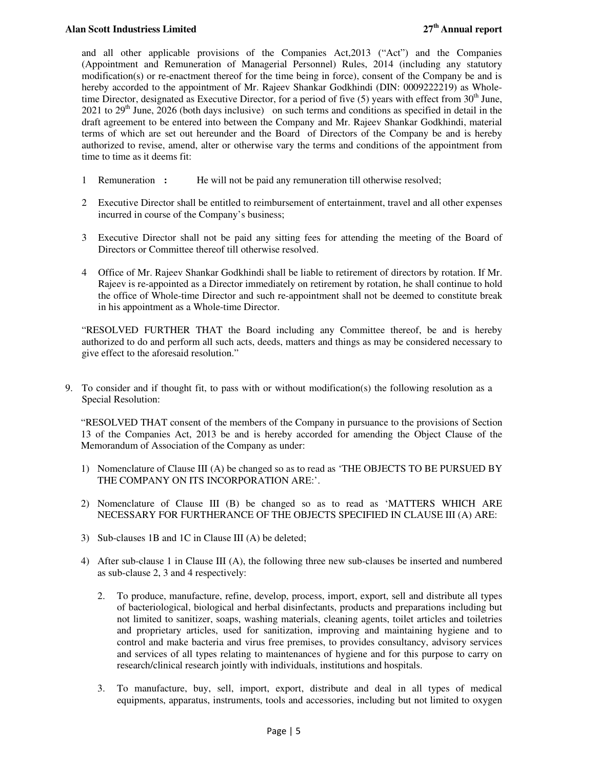and all other applicable provisions of the Companies Act,2013 ("Act") and the Companies (Appointment and Remuneration of Managerial Personnel) Rules, 2014 (including any statutory modification(s) or re-enactment thereof for the time being in force), consent of the Company be and is hereby accorded to the appointment of Mr. Rajeev Shankar Godkhindi (DIN: 0009222219) as Wholetime Director, designated as Executive Director, for a period of five  $(5)$  years with effect from  $30<sup>th</sup>$  June,  $2021$  to  $29<sup>th</sup>$  June,  $2026$  (both days inclusive) on such terms and conditions as specified in detail in the draft agreement to be entered into between the Company and Mr. Rajeev Shankar Godkhindi, material terms of which are set out hereunder and the Board of Directors of the Company be and is hereby authorized to revise, amend, alter or otherwise vary the terms and conditions of the appointment from time to time as it deems fit:

- 1 Remuneration **:** He will not be paid any remuneration till otherwise resolved;
- 2 Executive Director shall be entitled to reimbursement of entertainment, travel and all other expenses incurred in course of the Company's business;
- 3 Executive Director shall not be paid any sitting fees for attending the meeting of the Board of Directors or Committee thereof till otherwise resolved.
- 4 Office of Mr. Rajeev Shankar Godkhindi shall be liable to retirement of directors by rotation. If Mr. Rajeev is re-appointed as a Director immediately on retirement by rotation, he shall continue to hold the office of Whole-time Director and such re-appointment shall not be deemed to constitute break in his appointment as a Whole-time Director.

"RESOLVED FURTHER THAT the Board including any Committee thereof, be and is hereby authorized to do and perform all such acts, deeds, matters and things as may be considered necessary to give effect to the aforesaid resolution."

9. To consider and if thought fit, to pass with or without modification(s) the following resolution as a Special Resolution:

"RESOLVED THAT consent of the members of the Company in pursuance to the provisions of Section 13 of the Companies Act, 2013 be and is hereby accorded for amending the Object Clause of the Memorandum of Association of the Company as under:

- 1) Nomenclature of Clause III (A) be changed so as to read as 'THE OBJECTS TO BE PURSUED BY THE COMPANY ON ITS INCORPORATION ARE:'.
- 2) Nomenclature of Clause III (B) be changed so as to read as 'MATTERS WHICH ARE NECESSARY FOR FURTHERANCE OF THE OBJECTS SPECIFIED IN CLAUSE III (A) ARE:
- 3) Sub-clauses 1B and 1C in Clause III (A) be deleted;
- 4) After sub-clause 1 in Clause III (A), the following three new sub-clauses be inserted and numbered as sub-clause 2, 3 and 4 respectively:
	- 2. To produce, manufacture, refine, develop, process, import, export, sell and distribute all types of bacteriological, biological and herbal disinfectants, products and preparations including but not limited to sanitizer, soaps, washing materials, cleaning agents, toilet articles and toiletries and proprietary articles, used for sanitization, improving and maintaining hygiene and to control and make bacteria and virus free premises, to provides consultancy, advisory services and services of all types relating to maintenances of hygiene and for this purpose to carry on research/clinical research jointly with individuals, institutions and hospitals.
	- 3. To manufacture, buy, sell, import, export, distribute and deal in all types of medical equipments, apparatus, instruments, tools and accessories, including but not limited to oxygen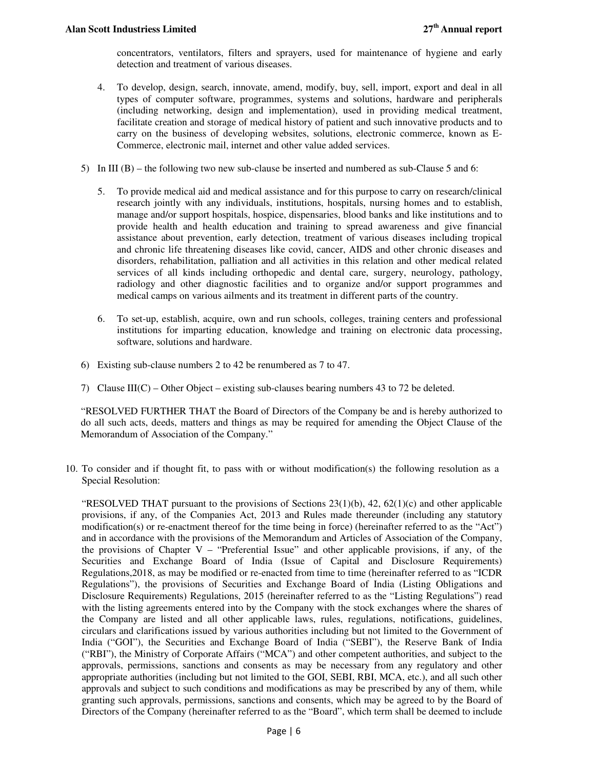concentrators, ventilators, filters and sprayers, used for maintenance of hygiene and early detection and treatment of various diseases.

- 4. To develop, design, search, innovate, amend, modify, buy, sell, import, export and deal in all types of computer software, programmes, systems and solutions, hardware and peripherals (including networking, design and implementation), used in providing medical treatment, facilitate creation and storage of medical history of patient and such innovative products and to carry on the business of developing websites, solutions, electronic commerce, known as E-Commerce, electronic mail, internet and other value added services.
- 5) In III (B) the following two new sub-clause be inserted and numbered as sub-Clause 5 and 6:
	- 5. To provide medical aid and medical assistance and for this purpose to carry on research/clinical research jointly with any individuals, institutions, hospitals, nursing homes and to establish, manage and/or support hospitals, hospice, dispensaries, blood banks and like institutions and to provide health and health education and training to spread awareness and give financial assistance about prevention, early detection, treatment of various diseases including tropical and chronic life threatening diseases like covid, cancer, AIDS and other chronic diseases and disorders, rehabilitation, palliation and all activities in this relation and other medical related services of all kinds including orthopedic and dental care, surgery, neurology, pathology, radiology and other diagnostic facilities and to organize and/or support programmes and medical camps on various ailments and its treatment in different parts of the country.
	- 6. To set-up, establish, acquire, own and run schools, colleges, training centers and professional institutions for imparting education, knowledge and training on electronic data processing, software, solutions and hardware.
- 6) Existing sub-clause numbers 2 to 42 be renumbered as 7 to 47.
- 7) Clause III(C) Other Object existing sub-clauses bearing numbers 43 to 72 be deleted.

"RESOLVED FURTHER THAT the Board of Directors of the Company be and is hereby authorized to do all such acts, deeds, matters and things as may be required for amending the Object Clause of the Memorandum of Association of the Company."

10. To consider and if thought fit, to pass with or without modification(s) the following resolution as a Special Resolution:

"RESOLVED THAT pursuant to the provisions of Sections  $23(1)(b)$ ,  $42$ ,  $62(1)(c)$  and other applicable provisions, if any, of the Companies Act, 2013 and Rules made thereunder (including any statutory modification(s) or re-enactment thereof for the time being in force) (hereinafter referred to as the "Act") and in accordance with the provisions of the Memorandum and Articles of Association of the Company, the provisions of Chapter V – "Preferential Issue" and other applicable provisions, if any, of the Securities and Exchange Board of India (Issue of Capital and Disclosure Requirements) Regulations,2018, as may be modified or re-enacted from time to time (hereinafter referred to as "ICDR Regulations"), the provisions of Securities and Exchange Board of India (Listing Obligations and Disclosure Requirements) Regulations, 2015 (hereinafter referred to as the "Listing Regulations") read with the listing agreements entered into by the Company with the stock exchanges where the shares of the Company are listed and all other applicable laws, rules, regulations, notifications, guidelines, circulars and clarifications issued by various authorities including but not limited to the Government of India ("GOI"), the Securities and Exchange Board of India ("SEBI"), the Reserve Bank of India ("RBI"), the Ministry of Corporate Affairs ("MCA") and other competent authorities, and subject to the approvals, permissions, sanctions and consents as may be necessary from any regulatory and other appropriate authorities (including but not limited to the GOI, SEBI, RBI, MCA, etc.), and all such other approvals and subject to such conditions and modifications as may be prescribed by any of them, while granting such approvals, permissions, sanctions and consents, which may be agreed to by the Board of Directors of the Company (hereinafter referred to as the "Board", which term shall be deemed to include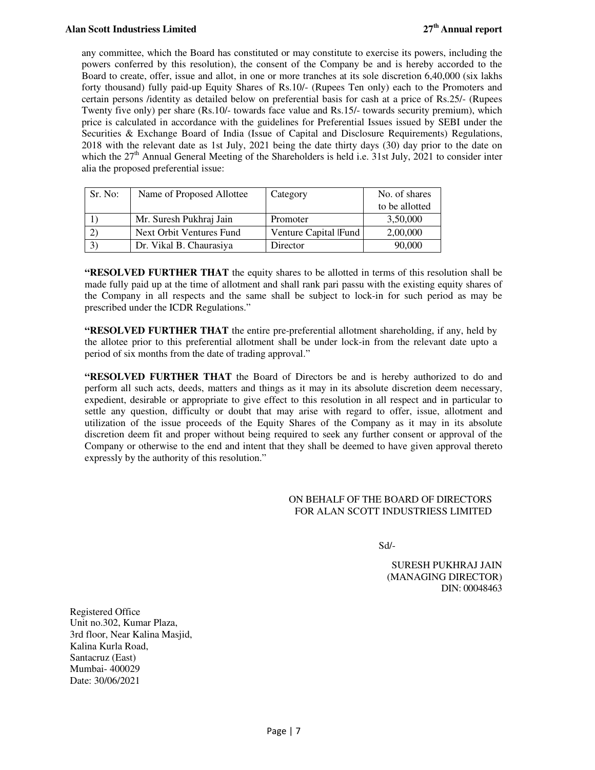any committee, which the Board has constituted or may constitute to exercise its powers, including the powers conferred by this resolution), the consent of the Company be and is hereby accorded to the Board to create, offer, issue and allot, in one or more tranches at its sole discretion 6,40,000 (six lakhs forty thousand) fully paid-up Equity Shares of Rs.10/- (Rupees Ten only) each to the Promoters and certain persons /identity as detailed below on preferential basis for cash at a price of Rs.25/- (Rupees Twenty five only) per share (Rs.10/- towards face value and Rs.15/- towards security premium), which price is calculated in accordance with the guidelines for Preferential Issues issued by SEBI under the Securities & Exchange Board of India (Issue of Capital and Disclosure Requirements) Regulations, 2018 with the relevant date as 1st July, 2021 being the date thirty days (30) day prior to the date on which the  $27<sup>th</sup>$  Annual General Meeting of the Shareholders is held i.e. 31st July, 2021 to consider inter alia the proposed preferential issue:

| Sr. No:        | Name of Proposed Allottee | Category             | No. of shares  |
|----------------|---------------------------|----------------------|----------------|
|                |                           |                      | to be allotted |
|                | Mr. Suresh Pukhraj Jain   | Promoter             | 3,50,000       |
|                | Next Orbit Ventures Fund  | Venture Capital Fund | 2,00,000       |
| $\mathfrak{Z}$ | Dr. Vikal B. Chaurasiya   | Director             | 90,000         |

**"RESOLVED FURTHER THAT** the equity shares to be allotted in terms of this resolution shall be made fully paid up at the time of allotment and shall rank pari passu with the existing equity shares of the Company in all respects and the same shall be subject to lock-in for such period as may be prescribed under the ICDR Regulations."

**"RESOLVED FURTHER THAT** the entire pre-preferential allotment shareholding, if any, held by the allotee prior to this preferential allotment shall be under lock-in from the relevant date upto a period of six months from the date of trading approval."

**"RESOLVED FURTHER THAT** the Board of Directors be and is hereby authorized to do and perform all such acts, deeds, matters and things as it may in its absolute discretion deem necessary, expedient, desirable or appropriate to give effect to this resolution in all respect and in particular to settle any question, difficulty or doubt that may arise with regard to offer, issue, allotment and utilization of the issue proceeds of the Equity Shares of the Company as it may in its absolute discretion deem fit and proper without being required to seek any further consent or approval of the Company or otherwise to the end and intent that they shall be deemed to have given approval thereto expressly by the authority of this resolution."

## ON BEHALF OF THE BOARD OF DIRECTORS FOR ALAN SCOTT INDUSTRIESS LIMITED

Sd/-

SURESH PUKHRAJ JAIN (MANAGING DIRECTOR) DIN: 00048463

Registered Office Unit no.302, Kumar Plaza, 3rd floor, Near Kalina Masjid, Kalina Kurla Road, Santacruz (East) Mumbai- 400029 Date: 30/06/2021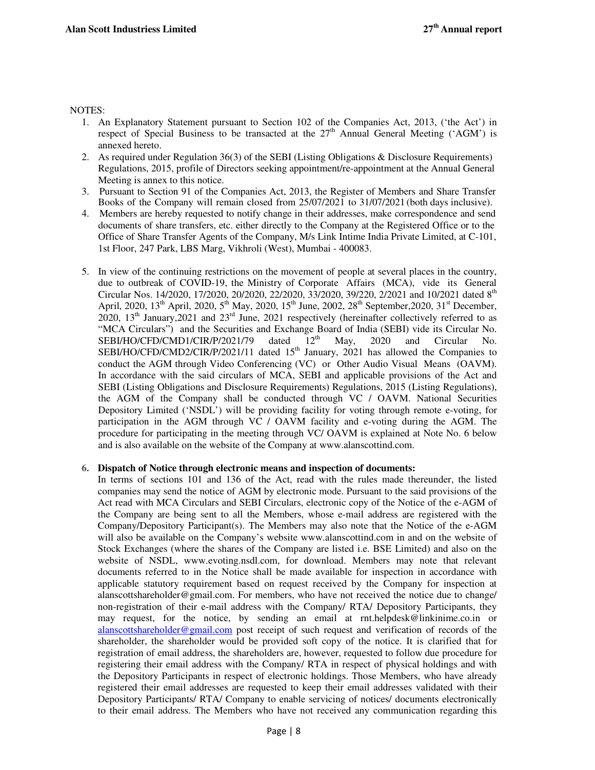#### NOTES:

- 1. An Explanatory Statement pursuant to Section 102 of the Companies Act, 2013, ('the Act') in respect of Special Business to be transacted at the  $27<sup>th</sup>$  Annual General Meeting ('AGM') is annexed hereto.
- 2. As required under Regulation 36(3) of the SEBI (Listing Obligations & Disclosure Requirements) Regulations, 2015, profile of Directors seeking appointment/re-appointment at the Annual General Meeting is annex to this notice.
- 3. Pursuant to Section 91 of the Companies Act, 2013, the Register of Members and Share Transfer Books of the Company will remain closed from 25/07/2021 to 31/07/2021 (both days inclusive).
- 4. Members are hereby requested to notify change in their addresses, make correspondence and send documents of share transfers, etc. either directly to the Company at the Registered Office or to the Office of Share Transfer Agents of the Company, M/s Link Intime India Private Limited, at C-101, 1st Floor, 247 Park, LBS Marg, Vikhroli (West), Mumbai - 400083.
- 5. In view of the continuing restrictions on the movement of people at several places in the country, due to outbreak of COVID-19, the Ministry of Corporate Affairs (MCA), vide its General Circular Nos. 14/2020, 17/2020, 20/2020, 22/2020, 33/2020, 39/220, 2/2021 and 10/2021 dated 8<sup>th</sup> April, 2020,  $13^{th}$  April, 2020,  $5^{th}$  May, 2020,  $15^{th}$  June, 2002,  $28^{th}$  September, 2020,  $31^{st}$  December, 2020, 13th January,2021 and 23rd June, 2021 respectively (hereinafter collectively referred to as "MCA Circulars") and the Securities and Exchange Board of India (SEBI) vide its Circular No.<br>SEBI/HO/CFD/CMD1/CIR/P/2021/79 dated  $12<sup>th</sup>$  May, 2020 and Circular No. SEBI/HO/CFD/CMD1/CIR/P/2021/79 dated  $12<sup>th</sup>$  May, 2020 and Circular No. SEBI/HO/CFD/CMD2/CIR/P/2021/11 dated 15<sup>th</sup> January, 2021 has allowed the Companies to conduct the AGM through Video Conferencing (VC) or Other Audio Visual Means (OAVM). In accordance with the said circulars of MCA, SEBI and applicable provisions of the Act and SEBI (Listing Obligations and Disclosure Requirements) Regulations, 2015 (Listing Regulations), the AGM of the Company shall be conducted through VC / OAVM. National Securities Depository Limited ('NSDL') will be providing facility for voting through remote e-voting, for participation in the AGM through VC / OAVM facility and e-voting during the AGM. The procedure for participating in the meeting through VC/ OAVM is explained at Note No. 6 below and is also available on the website of the Company at www.alanscottind.com.

## **6. Dispatch of Notice through electronic means and inspection of documents:**

In terms of sections 101 and 136 of the Act, read with the rules made thereunder, the listed companies may send the notice of AGM by electronic mode. Pursuant to the said provisions of the Act read with MCA Circulars and SEBI Circulars, electronic copy of the Notice of the e-AGM of the Company are being sent to all the Members, whose e-mail address are registered with the Company/Depository Participant(s). The Members may also note that the Notice of the e-AGM will also be available on the Company's website www.alanscottind.com in and on the website of Stock Exchanges (where the shares of the Company are listed i.e. BSE Limited) and also on the website of NSDL, www.evoting.nsdl.com, for download. Members may note that relevant documents referred to in the Notice shall be made available for inspection in accordance with applicable statutory requirement based on request received by the Company for inspection at alanscottshareholder@gmail.com. For members, who have not received the notice due to change/ non-registration of their e-mail address with the Company/ RTA/ Depository Participants, they may request, for the notice, by sending an email at rnt.helpdesk@linkinime.co.in or alanscottshareholder@gmail.com post receipt of such request and verification of records of the shareholder, the shareholder would be provided soft copy of the notice. It is clarified that for registration of email address, the shareholders are, however, requested to follow due procedure for registering their email address with the Company/ RTA in respect of physical holdings and with the Depository Participants in respect of electronic holdings. Those Members, who have already registered their email addresses are requested to keep their email addresses validated with their Depository Participants/ RTA/ Company to enable servicing of notices/ documents electronically to their email address. The Members who have not received any communication regarding this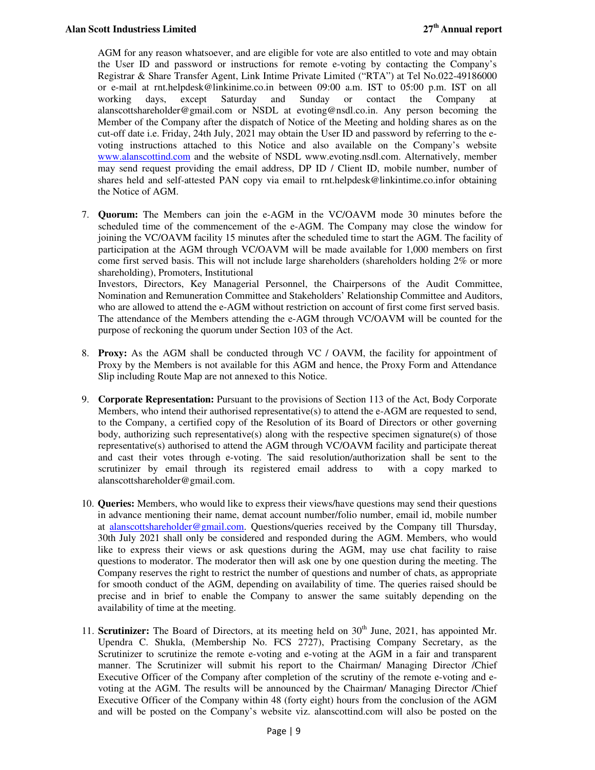AGM for any reason whatsoever, and are eligible for vote are also entitled to vote and may obtain the User ID and password or instructions for remote e-voting by contacting the Company's Registrar & Share Transfer Agent, Link Intime Private Limited ("RTA") at Tel No.022-49186000 or e-mail at rnt.helpdesk@linkinime.co.in between 09:00 a.m. IST to 05:00 p.m. IST on all working days, except Saturday and Sunday or contact the Company at alanscottshareholder@gmail.com or NSDL at evoting@nsdl.co.in. Any person becoming the Member of the Company after the dispatch of Notice of the Meeting and holding shares as on the cut-off date i.e. Friday, 24th July, 2021 may obtain the User ID and password by referring to the evoting instructions attached to this Notice and also available on the Company's website www.alanscottind.com and the website of NSDL www.evoting.nsdl.com. Alternatively, member may send request providing the email address, DP ID / Client ID, mobile number, number of shares held and self-attested PAN copy via email to rnt.helpdesk@linkintime.co.infor obtaining the Notice of AGM.

7. **Quorum:** The Members can join the e-AGM in the VC/OAVM mode 30 minutes before the scheduled time of the commencement of the e-AGM. The Company may close the window for joining the VC/OAVM facility 15 minutes after the scheduled time to start the AGM. The facility of participation at the AGM through VC/OAVM will be made available for 1,000 members on first come first served basis. This will not include large shareholders (shareholders holding 2% or more shareholding), Promoters, Institutional

Investors, Directors, Key Managerial Personnel, the Chairpersons of the Audit Committee, Nomination and Remuneration Committee and Stakeholders' Relationship Committee and Auditors, who are allowed to attend the e-AGM without restriction on account of first come first served basis. The attendance of the Members attending the e-AGM through VC/OAVM will be counted for the purpose of reckoning the quorum under Section 103 of the Act.

- 8. **Proxy:** As the AGM shall be conducted through VC / OAVM, the facility for appointment of Proxy by the Members is not available for this AGM and hence, the Proxy Form and Attendance Slip including Route Map are not annexed to this Notice.
- 9. **Corporate Representation:** Pursuant to the provisions of Section 113 of the Act, Body Corporate Members, who intend their authorised representative(s) to attend the e-AGM are requested to send, to the Company, a certified copy of the Resolution of its Board of Directors or other governing body, authorizing such representative(s) along with the respective specimen signature(s) of those representative(s) authorised to attend the AGM through VC/OAVM facility and participate thereat and cast their votes through e-voting. The said resolution/authorization shall be sent to the scrutinizer by email through its registered email address to with a copy marked to alanscottshareholder@gmail.com.
- 10. **Queries:** Members, who would like to express their views/have questions may send their questions in advance mentioning their name, demat account number/folio number, email id, mobile number at alanscottshareholder@gmail.com. Questions/queries received by the Company till Thursday, 30th July 2021 shall only be considered and responded during the AGM. Members, who would like to express their views or ask questions during the AGM, may use chat facility to raise questions to moderator. The moderator then will ask one by one question during the meeting. The Company reserves the right to restrict the number of questions and number of chats, as appropriate for smooth conduct of the AGM, depending on availability of time. The queries raised should be precise and in brief to enable the Company to answer the same suitably depending on the availability of time at the meeting.
- 11. **Scrutinizer:** The Board of Directors, at its meeting held on 30<sup>th</sup> June, 2021, has appointed Mr. Upendra C. Shukla, (Membership No. FCS 2727), Practising Company Secretary, as the Scrutinizer to scrutinize the remote e-voting and e-voting at the AGM in a fair and transparent manner. The Scrutinizer will submit his report to the Chairman/ Managing Director /Chief Executive Officer of the Company after completion of the scrutiny of the remote e-voting and evoting at the AGM. The results will be announced by the Chairman/ Managing Director /Chief Executive Officer of the Company within 48 (forty eight) hours from the conclusion of the AGM and will be posted on the Company's website viz. alanscottind.com will also be posted on the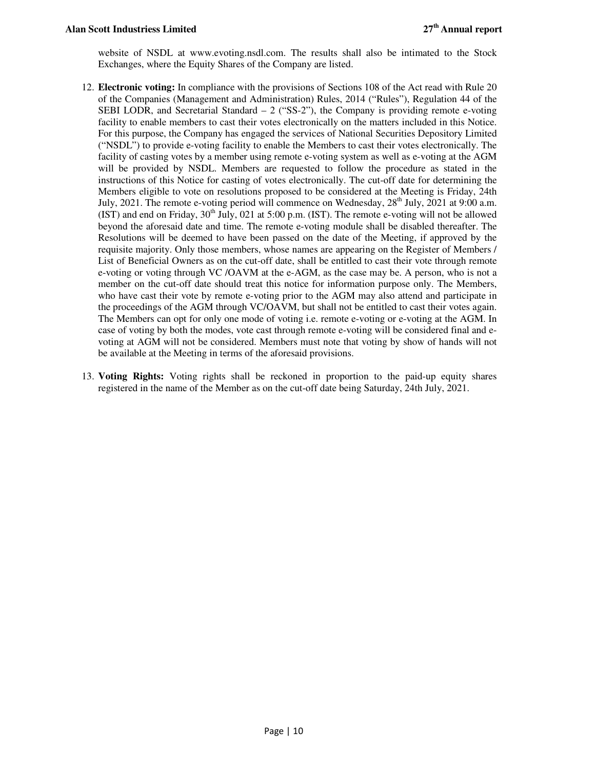website of NSDL at www.evoting.nsdl.com. The results shall also be intimated to the Stock Exchanges, where the Equity Shares of the Company are listed.

- 12. **Electronic voting:** In compliance with the provisions of Sections 108 of the Act read with Rule 20 of the Companies (Management and Administration) Rules, 2014 ("Rules"), Regulation 44 of the SEBI LODR, and Secretarial Standard  $-2$  ("SS-2"), the Company is providing remote e-voting facility to enable members to cast their votes electronically on the matters included in this Notice. For this purpose, the Company has engaged the services of National Securities Depository Limited ("NSDL") to provide e-voting facility to enable the Members to cast their votes electronically. The facility of casting votes by a member using remote e-voting system as well as e-voting at the AGM will be provided by NSDL. Members are requested to follow the procedure as stated in the instructions of this Notice for casting of votes electronically. The cut-off date for determining the Members eligible to vote on resolutions proposed to be considered at the Meeting is Friday, 24th July, 2021. The remote e-voting period will commence on Wednesday,  $28<sup>th</sup>$  July, 2021 at 9:00 a.m.  $(IST)$  and end on Friday,  $30<sup>th</sup>$  July, 021 at 5:00 p.m. (IST). The remote e-voting will not be allowed beyond the aforesaid date and time. The remote e-voting module shall be disabled thereafter. The Resolutions will be deemed to have been passed on the date of the Meeting, if approved by the requisite majority. Only those members, whose names are appearing on the Register of Members / List of Beneficial Owners as on the cut-off date, shall be entitled to cast their vote through remote e-voting or voting through VC /OAVM at the e-AGM, as the case may be. A person, who is not a member on the cut-off date should treat this notice for information purpose only. The Members, who have cast their vote by remote e-voting prior to the AGM may also attend and participate in the proceedings of the AGM through VC/OAVM, but shall not be entitled to cast their votes again. The Members can opt for only one mode of voting i.e. remote e-voting or e-voting at the AGM. In case of voting by both the modes, vote cast through remote e-voting will be considered final and evoting at AGM will not be considered. Members must note that voting by show of hands will not be available at the Meeting in terms of the aforesaid provisions.
- 13. **Voting Rights:** Voting rights shall be reckoned in proportion to the paid-up equity shares registered in the name of the Member as on the cut-off date being Saturday, 24th July, 2021.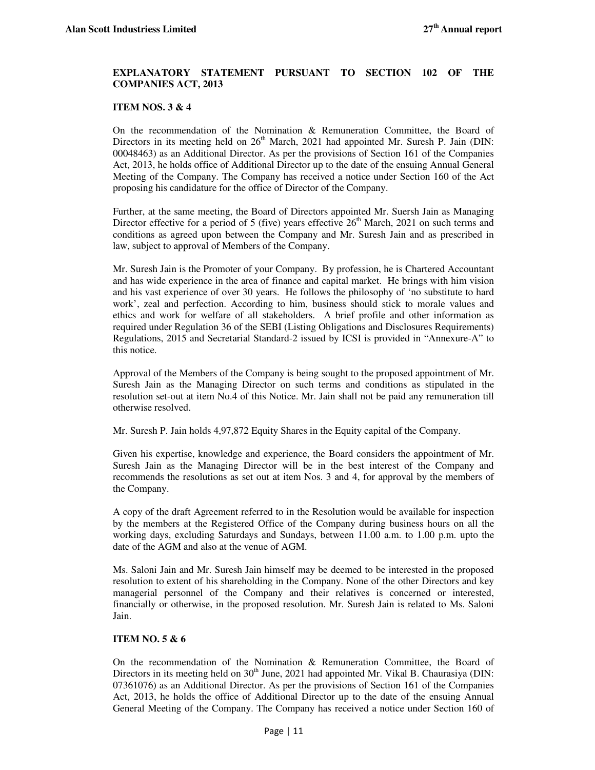## **EXPLANATORY STATEMENT PURSUANT TO SECTION 102 OF THE COMPANIES ACT, 2013**

#### **ITEM NOS. 3 & 4**

On the recommendation of the Nomination & Remuneration Committee, the Board of Directors in its meeting held on  $26<sup>th</sup>$  March, 2021 had appointed Mr. Suresh P. Jain (DIN: 00048463) as an Additional Director. As per the provisions of Section 161 of the Companies Act, 2013, he holds office of Additional Director up to the date of the ensuing Annual General Meeting of the Company. The Company has received a notice under Section 160 of the Act proposing his candidature for the office of Director of the Company.

Further, at the same meeting, the Board of Directors appointed Mr. Suersh Jain as Managing Director effective for a period of 5 (five) years effective  $26<sup>th</sup>$  March, 2021 on such terms and conditions as agreed upon between the Company and Mr. Suresh Jain and as prescribed in law, subject to approval of Members of the Company.

Mr. Suresh Jain is the Promoter of your Company. By profession, he is Chartered Accountant and has wide experience in the area of finance and capital market. He brings with him vision and his vast experience of over 30 years. He follows the philosophy of 'no substitute to hard work', zeal and perfection. According to him, business should stick to morale values and ethics and work for welfare of all stakeholders. A brief profile and other information as required under Regulation 36 of the SEBI (Listing Obligations and Disclosures Requirements) Regulations, 2015 and Secretarial Standard-2 issued by ICSI is provided in "Annexure-A" to this notice.

Approval of the Members of the Company is being sought to the proposed appointment of Mr. Suresh Jain as the Managing Director on such terms and conditions as stipulated in the resolution set-out at item No.4 of this Notice. Mr. Jain shall not be paid any remuneration till otherwise resolved.

Mr. Suresh P. Jain holds 4,97,872 Equity Shares in the Equity capital of the Company.

Given his expertise, knowledge and experience, the Board considers the appointment of Mr. Suresh Jain as the Managing Director will be in the best interest of the Company and recommends the resolutions as set out at item Nos. 3 and 4, for approval by the members of the Company.

A copy of the draft Agreement referred to in the Resolution would be available for inspection by the members at the Registered Office of the Company during business hours on all the working days, excluding Saturdays and Sundays, between 11.00 a.m. to 1.00 p.m. upto the date of the AGM and also at the venue of AGM.

Ms. Saloni Jain and Mr. Suresh Jain himself may be deemed to be interested in the proposed resolution to extent of his shareholding in the Company. None of the other Directors and key managerial personnel of the Company and their relatives is concerned or interested, financially or otherwise, in the proposed resolution. Mr. Suresh Jain is related to Ms. Saloni Jain.

#### **ITEM NO. 5 & 6**

On the recommendation of the Nomination & Remuneration Committee, the Board of Directors in its meeting held on  $30<sup>th</sup>$  June, 2021 had appointed Mr. Vikal B. Chaurasiya (DIN: 07361076) as an Additional Director. As per the provisions of Section 161 of the Companies Act, 2013, he holds the office of Additional Director up to the date of the ensuing Annual General Meeting of the Company. The Company has received a notice under Section 160 of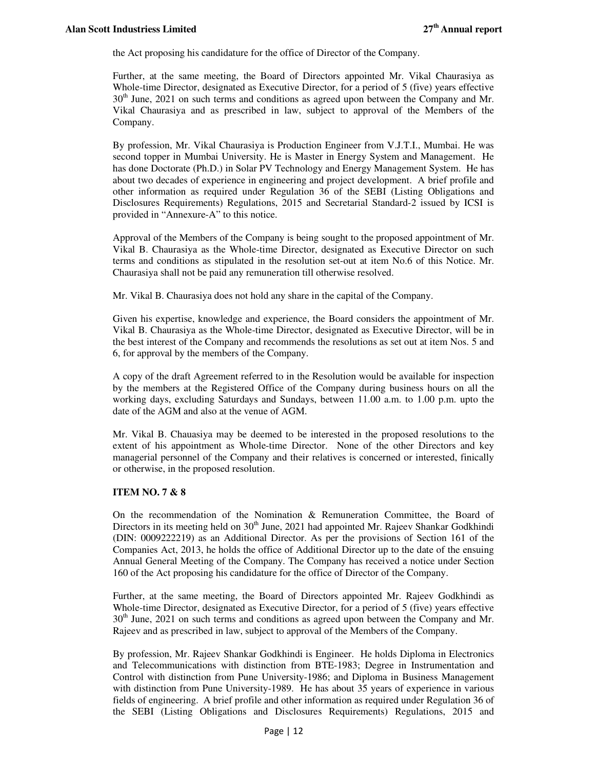the Act proposing his candidature for the office of Director of the Company.

Further, at the same meeting, the Board of Directors appointed Mr. Vikal Chaurasiya as Whole-time Director, designated as Executive Director, for a period of 5 (five) years effective  $30<sup>th</sup>$  June, 2021 on such terms and conditions as agreed upon between the Company and Mr. Vikal Chaurasiya and as prescribed in law, subject to approval of the Members of the Company.

By profession, Mr. Vikal Chaurasiya is Production Engineer from V.J.T.I., Mumbai. He was second topper in Mumbai University. He is Master in Energy System and Management. He has done Doctorate (Ph.D.) in Solar PV Technology and Energy Management System. He has about two decades of experience in engineering and project development. A brief profile and other information as required under Regulation 36 of the SEBI (Listing Obligations and Disclosures Requirements) Regulations, 2015 and Secretarial Standard-2 issued by ICSI is provided in "Annexure-A" to this notice.

Approval of the Members of the Company is being sought to the proposed appointment of Mr. Vikal B. Chaurasiya as the Whole-time Director, designated as Executive Director on such terms and conditions as stipulated in the resolution set-out at item No.6 of this Notice. Mr. Chaurasiya shall not be paid any remuneration till otherwise resolved.

Mr. Vikal B. Chaurasiya does not hold any share in the capital of the Company.

Given his expertise, knowledge and experience, the Board considers the appointment of Mr. Vikal B. Chaurasiya as the Whole-time Director, designated as Executive Director, will be in the best interest of the Company and recommends the resolutions as set out at item Nos. 5 and 6, for approval by the members of the Company.

A copy of the draft Agreement referred to in the Resolution would be available for inspection by the members at the Registered Office of the Company during business hours on all the working days, excluding Saturdays and Sundays, between 11.00 a.m. to 1.00 p.m. upto the date of the AGM and also at the venue of AGM.

Mr. Vikal B. Chauasiya may be deemed to be interested in the proposed resolutions to the extent of his appointment as Whole-time Director. None of the other Directors and key managerial personnel of the Company and their relatives is concerned or interested, finically or otherwise, in the proposed resolution.

## **ITEM NO. 7 & 8**

On the recommendation of the Nomination & Remuneration Committee, the Board of Directors in its meeting held on  $30<sup>th</sup>$  June, 2021 had appointed Mr. Rajeev Shankar Godkhindi (DIN: 0009222219) as an Additional Director. As per the provisions of Section 161 of the Companies Act, 2013, he holds the office of Additional Director up to the date of the ensuing Annual General Meeting of the Company. The Company has received a notice under Section 160 of the Act proposing his candidature for the office of Director of the Company.

Further, at the same meeting, the Board of Directors appointed Mr. Rajeev Godkhindi as Whole-time Director, designated as Executive Director, for a period of 5 (five) years effective  $30<sup>th</sup>$  June, 2021 on such terms and conditions as agreed upon between the Company and Mr. Rajeev and as prescribed in law, subject to approval of the Members of the Company.

By profession, Mr. Rajeev Shankar Godkhindi is Engineer. He holds Diploma in Electronics and Telecommunications with distinction from BTE-1983; Degree in Instrumentation and Control with distinction from Pune University-1986; and Diploma in Business Management with distinction from Pune University-1989. He has about 35 years of experience in various fields of engineering. A brief profile and other information as required under Regulation 36 of the SEBI (Listing Obligations and Disclosures Requirements) Regulations, 2015 and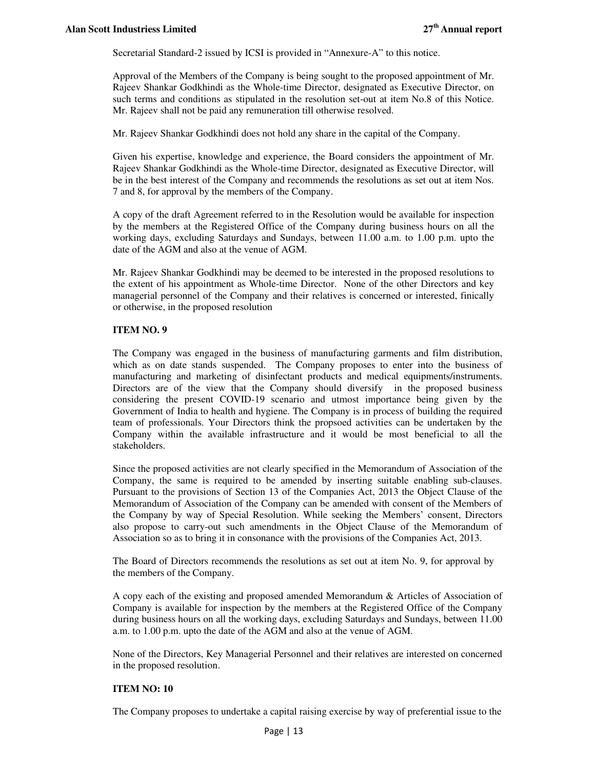Secretarial Standard-2 issued by ICSI is provided in "Annexure-A" to this notice.

Approval of the Members of the Company is being sought to the proposed appointment of Mr. Rajeev Shankar Godkhindi as the Whole-time Director, designated as Executive Director, on such terms and conditions as stipulated in the resolution set-out at item No.8 of this Notice. Mr. Rajeev shall not be paid any remuneration till otherwise resolved.

Mr. Rajeev Shankar Godkhindi does not hold any share in the capital of the Company.

Given his expertise, knowledge and experience, the Board considers the appointment of Mr. Rajeev Shankar Godkhindi as the Whole-time Director, designated as Executive Director, will be in the best interest of the Company and recommends the resolutions as set out at item Nos. 7 and 8, for approval by the members of the Company.

A copy of the draft Agreement referred to in the Resolution would be available for inspection by the members at the Registered Office of the Company during business hours on all the working days, excluding Saturdays and Sundays, between 11.00 a.m. to 1.00 p.m. upto the date of the AGM and also at the venue of AGM.

Mr. Rajeev Shankar Godkhindi may be deemed to be interested in the proposed resolutions to the extent of his appointment as Whole-time Director. None of the other Directors and key managerial personnel of the Company and their relatives is concerned or interested, finically or otherwise, in the proposed resolution

## **ITEM NO. 9**

The Company was engaged in the business of manufacturing garments and film distribution, which as on date stands suspended. The Company proposes to enter into the business of manufacturing and marketing of disinfectant products and medical equipments/instruments. Directors are of the view that the Company should diversify in the proposed business considering the present COVID-19 scenario and utmost importance being given by the Government of India to health and hygiene. The Company is in process of building the required team of professionals. Your Directors think the propsoed activities can be undertaken by the Company within the available infrastructure and it would be most beneficial to all the stakeholders.

Since the proposed activities are not clearly specified in the Memorandum of Association of the Company, the same is required to be amended by inserting suitable enabling sub-clauses. Pursuant to the provisions of Section 13 of the Companies Act, 2013 the Object Clause of the Memorandum of Association of the Company can be amended with consent of the Members of the Company by way of Special Resolution. While seeking the Members' consent, Directors also propose to carry-out such amendments in the Object Clause of the Memorandum of Association so as to bring it in consonance with the provisions of the Companies Act, 2013.

The Board of Directors recommends the resolutions as set out at item No. 9, for approval by the members of the Company.

A copy each of the existing and proposed amended Memorandum & Articles of Association of Company is available for inspection by the members at the Registered Office of the Company during business hours on all the working days, excluding Saturdays and Sundays, between 11.00 a.m. to 1.00 p.m. upto the date of the AGM and also at the venue of AGM.

None of the Directors, Key Managerial Personnel and their relatives are interested on concerned in the proposed resolution.

## **ITEM NO: 10**

The Company proposes to undertake a capital raising exercise by way of preferential issue to the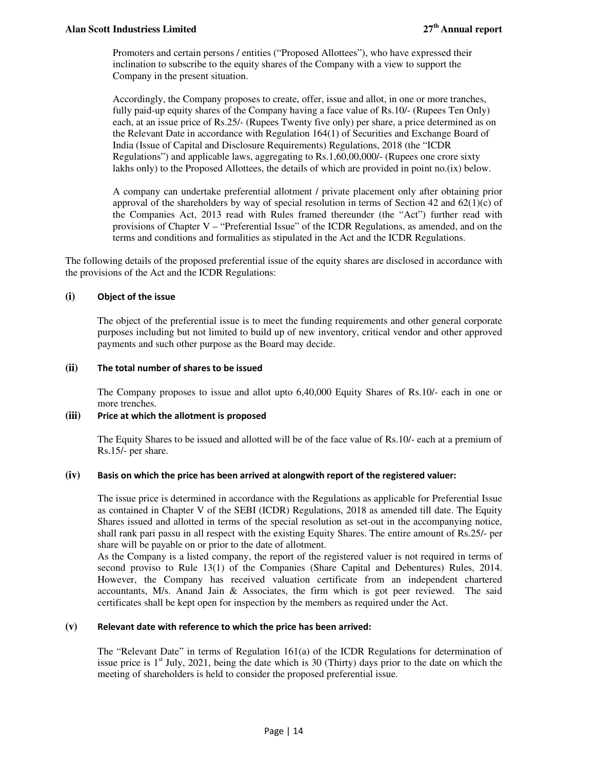Promoters and certain persons / entities ("Proposed Allottees"), who have expressed their inclination to subscribe to the equity shares of the Company with a view to support the Company in the present situation.

Accordingly, the Company proposes to create, offer, issue and allot, in one or more tranches, fully paid-up equity shares of the Company having a face value of Rs.10/- (Rupees Ten Only) each, at an issue price of Rs.25/- (Rupees Twenty five only) per share, a price determined as on the Relevant Date in accordance with Regulation 164(1) of Securities and Exchange Board of India (Issue of Capital and Disclosure Requirements) Regulations, 2018 (the "ICDR Regulations") and applicable laws, aggregating to Rs.1,60,00,000/- (Rupees one crore sixty lakhs only) to the Proposed Allottees, the details of which are provided in point no.(ix) below.

A company can undertake preferential allotment / private placement only after obtaining prior approval of the shareholders by way of special resolution in terms of Section 42 and  $62(1)(c)$  of the Companies Act, 2013 read with Rules framed thereunder (the "Act") further read with provisions of Chapter V – "Preferential Issue" of the ICDR Regulations, as amended, and on the terms and conditions and formalities as stipulated in the Act and the ICDR Regulations.

The following details of the proposed preferential issue of the equity shares are disclosed in accordance with the provisions of the Act and the ICDR Regulations:

## **(i) Object of the issue**

The object of the preferential issue is to meet the funding requirements and other general corporate purposes including but not limited to build up of new inventory, critical vendor and other approved payments and such other purpose as the Board may decide.

## **(ii) The total number of shares to be issued**

 The Company proposes to issue and allot upto 6,40,000 Equity Shares of Rs.10/- each in one or more trenches.

## **(iii) Price at which the allotment is proposed**

The Equity Shares to be issued and allotted will be of the face value of Rs.10/- each at a premium of Rs.15/- per share.

## **(iv) Basis on which the price has been arrived at alongwith report of the registered valuer:**

The issue price is determined in accordance with the Regulations as applicable for Preferential Issue as contained in Chapter V of the SEBI (ICDR) Regulations, 2018 as amended till date. The Equity Shares issued and allotted in terms of the special resolution as set-out in the accompanying notice, shall rank pari passu in all respect with the existing Equity Shares. The entire amount of Rs.25/- per share will be payable on or prior to the date of allotment.

As the Company is a listed company, the report of the registered valuer is not required in terms of second proviso to Rule 13(1) of the Companies (Share Capital and Debentures) Rules, 2014. However, the Company has received valuation certificate from an independent chartered accountants, M/s. Anand Jain & Associates, the firm which is got peer reviewed. The said certificates shall be kept open for inspection by the members as required under the Act.

## **(v) Relevant date with reference to which the price has been arrived:**

The "Relevant Date" in terms of Regulation 161(a) of the ICDR Regulations for determination of issue price is  $1<sup>st</sup>$  July, 2021, being the date which is 30 (Thirty) days prior to the date on which the meeting of shareholders is held to consider the proposed preferential issue.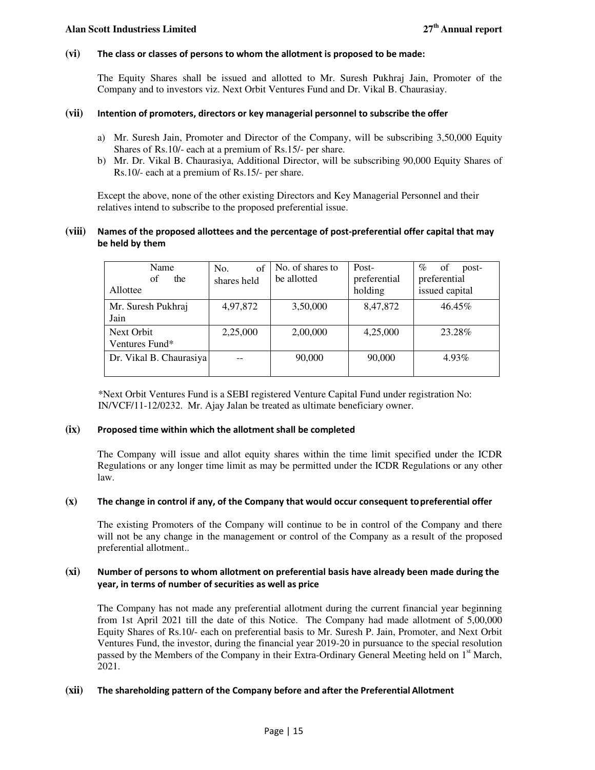#### **(vi) The class or classes of persons to whom the allotment is proposed to be made:**

The Equity Shares shall be issued and allotted to Mr. Suresh Pukhraj Jain, Promoter of the Company and to investors viz. Next Orbit Ventures Fund and Dr. Vikal B. Chaurasiay.

#### **(vii) Intention of promoters, directors or key managerial personnel to subscribe the offer**

- a) Mr. Suresh Jain, Promoter and Director of the Company, will be subscribing 3,50,000 Equity Shares of Rs.10/- each at a premium of Rs.15/- per share.
- b) Mr. Dr. Vikal B. Chaurasiya, Additional Director, will be subscribing 90,000 Equity Shares of Rs.10/- each at a premium of Rs.15/- per share.

Except the above, none of the other existing Directors and Key Managerial Personnel and their relatives intend to subscribe to the proposed preferential issue.

## **(viii) Names of the proposed allottees and the percentage of post-preferential offer capital that may be held by them**

| Name<br>оf<br>the<br>Allottee | $\sigma$ f<br>No.<br>shares held | No. of shares to<br>be allotted | Post-<br>preferential<br>holding | $\%$<br>of<br>post-<br>preferential<br>issued capital |
|-------------------------------|----------------------------------|---------------------------------|----------------------------------|-------------------------------------------------------|
| Mr. Suresh Pukhraj<br>Jain    | 4,97,872                         | 3,50,000                        | 8,47,872                         | 46.45%                                                |
| Next Orbit<br>Ventures Fund*  | 2,25,000                         | 2,00,000                        | 4,25,000                         | 23.28%                                                |
| Dr. Vikal B. Chaurasiya       |                                  | 90,000                          | 90,000                           | 4.93%                                                 |

\*Next Orbit Ventures Fund is a SEBI registered Venture Capital Fund under registration No: IN/VCF/11-12/0232. Mr. Ajay Jalan be treated as ultimate beneficiary owner.

#### **(ix) Proposed time within which the allotment shall be completed**

The Company will issue and allot equity shares within the time limit specified under the ICDR Regulations or any longer time limit as may be permitted under the ICDR Regulations or any other law.

#### **(x) The change in control if any, of the Company that would occur consequent to preferential offer**

The existing Promoters of the Company will continue to be in control of the Company and there will not be any change in the management or control of the Company as a result of the proposed preferential allotment..

#### **(xi) Number of persons to whom allotment on preferential basis have already been made during the year, in terms of number of securities as well as price**

The Company has not made any preferential allotment during the current financial year beginning from 1st April 2021 till the date of this Notice. The Company had made allotment of 5,00,000 Equity Shares of Rs.10/- each on preferential basis to Mr. Suresh P. Jain, Promoter, and Next Orbit Ventures Fund, the investor, during the financial year 2019-20 in pursuance to the special resolution passed by the Members of the Company in their Extra-Ordinary General Meeting held on 1<sup>st</sup> March, 2021.

#### **(xii) The shareholding pattern of the Company before and after the Preferential Allotment**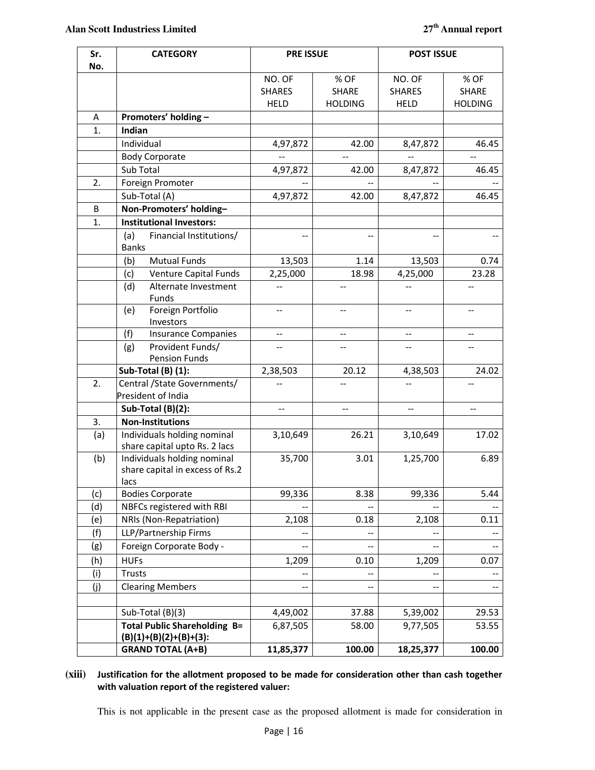| Sr. | <b>CATEGORY</b>                                                        | <b>PRE ISSUE</b> |                | <b>POST ISSUE</b> |                |
|-----|------------------------------------------------------------------------|------------------|----------------|-------------------|----------------|
| No. |                                                                        |                  |                |                   |                |
|     |                                                                        | NO. OF           | % OF           | NO. OF            | % OF           |
|     |                                                                        | <b>SHARES</b>    | <b>SHARE</b>   | <b>SHARES</b>     | <b>SHARE</b>   |
|     |                                                                        | <b>HELD</b>      | <b>HOLDING</b> | <b>HELD</b>       | <b>HOLDING</b> |
| A   | Promoters' holding -                                                   |                  |                |                   |                |
| 1.  | Indian                                                                 |                  |                |                   |                |
|     | Individual                                                             | 4,97,872         | 42.00          | 8,47,872          | 46.45          |
|     | <b>Body Corporate</b>                                                  |                  | $\overline{a}$ |                   | $-$            |
|     | Sub Total                                                              | 4,97,872         | 42.00          | 8,47,872          | 46.45          |
| 2.  | Foreign Promoter                                                       |                  |                |                   |                |
|     | Sub-Total (A)                                                          | 4,97,872         | 42.00          | 8,47,872          | 46.45          |
| B   | Non-Promoters' holding-                                                |                  |                |                   |                |
| 1.  | <b>Institutional Investors:</b>                                        |                  |                |                   |                |
|     | (a)<br>Financial Institutions/<br><b>Banks</b>                         |                  |                |                   |                |
|     | <b>Mutual Funds</b><br>(b)                                             | 13,503           | 1.14           | 13,503            | 0.74           |
|     | Venture Capital Funds<br>(c)                                           | 2,25,000         | 18.98          | 4,25,000          | 23.28          |
|     | (d)<br>Alternate Investment<br>Funds                                   | $-$              |                |                   | $-$            |
|     | Foreign Portfolio<br>(e)<br>Investors                                  | $\overline{a}$   |                | $\overline{a}$    | $-$            |
|     | <b>Insurance Companies</b><br>(f)                                      | --               |                |                   |                |
|     | Provident Funds/<br>(g)                                                |                  |                |                   |                |
|     | <b>Pension Funds</b>                                                   |                  |                |                   |                |
|     | Sub-Total (B) (1):                                                     | 2,38,503         | 20.12          | 4,38,503          | 24.02          |
| 2.  | Central / State Governments/                                           |                  |                |                   |                |
|     | President of India                                                     |                  |                |                   |                |
|     | Sub-Total (B)(2):                                                      | $\sim$           | $-$            | $-$               | $\overline{a}$ |
| 3.  | <b>Non-Institutions</b>                                                |                  |                |                   |                |
| (a) | Individuals holding nominal                                            | 3,10,649         | 26.21          | 3,10,649          | 17.02          |
|     | share capital upto Rs. 2 lacs                                          |                  |                |                   |                |
| (b) | Individuals holding nominal<br>share capital in excess of Rs.2<br>lacs | 35,700           | 3.01           | 1,25,700          | 6.89           |
| (c) | <b>Bodies Corporate</b>                                                | 99,336           | 8.38           | 99,336            | 5.44           |
| (d) | NBFCs registered with RBI                                              |                  |                |                   |                |
| (e) | NRIs (Non-Repatriation)                                                | 2,108            | 0.18           | 2,108             | 0.11           |
| (f) | LLP/Partnership Firms                                                  |                  |                |                   |                |
| (g) | Foreign Corporate Body -                                               |                  |                |                   |                |
| (h) | <b>HUFs</b>                                                            | 1,209            | 0.10           | 1,209             | 0.07           |
| (i) | Trusts                                                                 |                  |                |                   |                |
| (j) | <b>Clearing Members</b>                                                |                  |                |                   |                |
|     |                                                                        |                  |                |                   |                |
|     | Sub-Total (B)(3)                                                       | 4,49,002         | 37.88          | 5,39,002          | 29.53          |
|     | <b>Total Public Shareholding B=</b>                                    | 6,87,505         | 58.00          | 9,77,505          | 53.55          |
|     | $(B)(1)+(B)(2)+(B)+(3)$ :                                              |                  |                |                   |                |
|     | <b>GRAND TOTAL (A+B)</b>                                               | 11,85,377        | 100.00         | 18,25,377         | 100.00         |

## **(xiii) Justification for the allotment proposed to be made for consideration other than cash together with valuation report of the registered valuer:**

This is not applicable in the present case as the proposed allotment is made for consideration in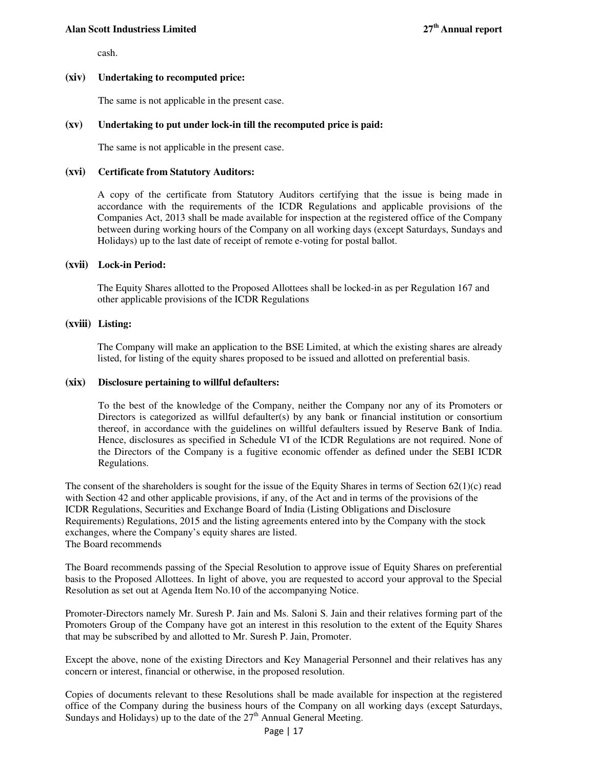#### **Alan Scott Industriess Limited 27th Annual report**

cash.

## **(xiv) Undertaking to recomputed price:**

The same is not applicable in the present case.

#### **(xv) Undertaking to put under lock-in till the recomputed price is paid:**

The same is not applicable in the present case.

#### **(xvi) Certificate from Statutory Auditors:**

A copy of the certificate from Statutory Auditors certifying that the issue is being made in accordance with the requirements of the ICDR Regulations and applicable provisions of the Companies Act, 2013 shall be made available for inspection at the registered office of the Company between during working hours of the Company on all working days (except Saturdays, Sundays and Holidays) up to the last date of receipt of remote e-voting for postal ballot.

#### **(xvii) Lock-in Period:**

The Equity Shares allotted to the Proposed Allottees shall be locked-in as per Regulation 167 and other applicable provisions of the ICDR Regulations

#### **(xviii) Listing:**

The Company will make an application to the BSE Limited, at which the existing shares are already listed, for listing of the equity shares proposed to be issued and allotted on preferential basis.

#### **(xix) Disclosure pertaining to willful defaulters:**

To the best of the knowledge of the Company, neither the Company nor any of its Promoters or Directors is categorized as willful defaulter(s) by any bank or financial institution or consortium thereof, in accordance with the guidelines on willful defaulters issued by Reserve Bank of India. Hence, disclosures as specified in Schedule VI of the ICDR Regulations are not required. None of the Directors of the Company is a fugitive economic offender as defined under the SEBI ICDR Regulations.

The consent of the shareholders is sought for the issue of the Equity Shares in terms of Section  $62(1)(c)$  read with Section 42 and other applicable provisions, if any, of the Act and in terms of the provisions of the ICDR Regulations, Securities and Exchange Board of India (Listing Obligations and Disclosure Requirements) Regulations, 2015 and the listing agreements entered into by the Company with the stock exchanges, where the Company's equity shares are listed. The Board recommends

The Board recommends passing of the Special Resolution to approve issue of Equity Shares on preferential basis to the Proposed Allottees. In light of above, you are requested to accord your approval to the Special Resolution as set out at Agenda Item No.10 of the accompanying Notice.

Promoter-Directors namely Mr. Suresh P. Jain and Ms. Saloni S. Jain and their relatives forming part of the Promoters Group of the Company have got an interest in this resolution to the extent of the Equity Shares that may be subscribed by and allotted to Mr. Suresh P. Jain, Promoter.

Except the above, none of the existing Directors and Key Managerial Personnel and their relatives has any concern or interest, financial or otherwise, in the proposed resolution.

Copies of documents relevant to these Resolutions shall be made available for inspection at the registered office of the Company during the business hours of the Company on all working days (except Saturdays, Sundays and Holidays) up to the date of the  $27<sup>th</sup>$  Annual General Meeting.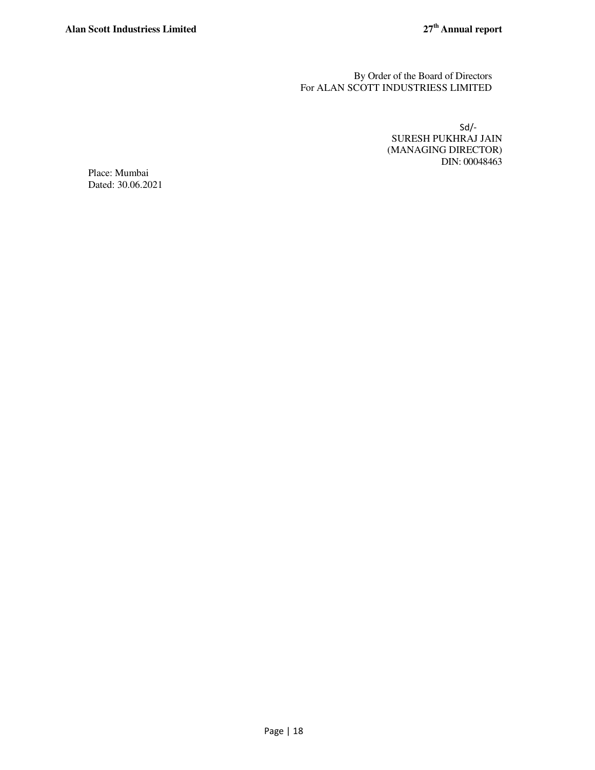By Order of the Board of Directors For ALAN SCOTT INDUSTRIESS LIMITED

> Sd/- SURESH PUKHRAJ JAIN (MANAGING DIRECTOR) DIN: 00048463

Place: Mumbai Dated: 30.06.2021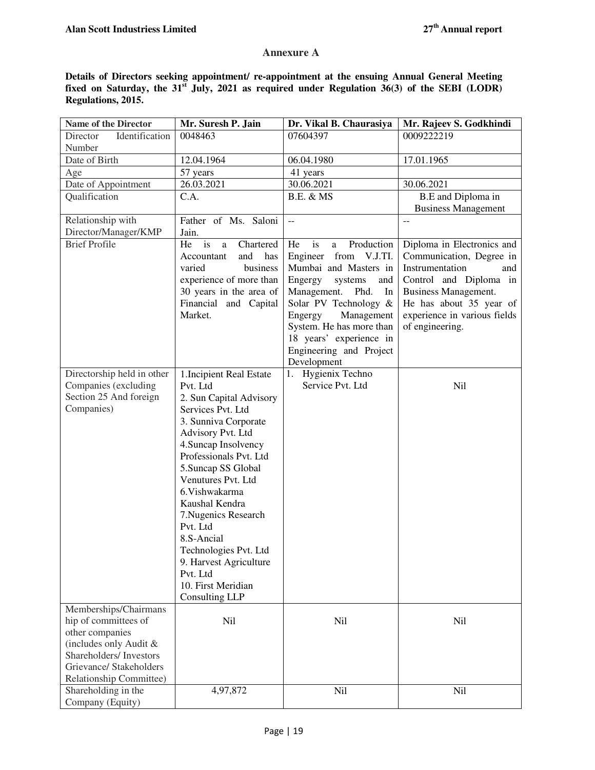## **Annexure A**

**Details of Directors seeking appointment/ re-appointment at the ensuing Annual General Meeting fixed on Saturday, the 31st July, 2021 as required under Regulation 36(3) of the SEBI (LODR) Regulations, 2015.** 

| <b>Name of the Director</b>                                                                             | Mr. Suresh P. Jain                                                                                                                                                                                                                                                                                                                                                                                                            | Dr. Vikal B. Chaurasiya                                                                                                                                                                                                                                                                       | Mr. Rajeev S. Godkhindi                                                                                                                                                                                          |
|---------------------------------------------------------------------------------------------------------|-------------------------------------------------------------------------------------------------------------------------------------------------------------------------------------------------------------------------------------------------------------------------------------------------------------------------------------------------------------------------------------------------------------------------------|-----------------------------------------------------------------------------------------------------------------------------------------------------------------------------------------------------------------------------------------------------------------------------------------------|------------------------------------------------------------------------------------------------------------------------------------------------------------------------------------------------------------------|
| Identification<br>Director<br>Number                                                                    | 0048463                                                                                                                                                                                                                                                                                                                                                                                                                       | 07604397                                                                                                                                                                                                                                                                                      | 0009222219                                                                                                                                                                                                       |
| Date of Birth                                                                                           | 12.04.1964                                                                                                                                                                                                                                                                                                                                                                                                                    | 06.04.1980                                                                                                                                                                                                                                                                                    | 17.01.1965                                                                                                                                                                                                       |
| Age                                                                                                     | 57 years                                                                                                                                                                                                                                                                                                                                                                                                                      | 41 years                                                                                                                                                                                                                                                                                      |                                                                                                                                                                                                                  |
| Date of Appointment                                                                                     | 26.03.2021                                                                                                                                                                                                                                                                                                                                                                                                                    | 30.06.2021                                                                                                                                                                                                                                                                                    | 30.06.2021                                                                                                                                                                                                       |
| Qualification                                                                                           | C.A.                                                                                                                                                                                                                                                                                                                                                                                                                          | <b>B.E. &amp; MS</b>                                                                                                                                                                                                                                                                          | B.E and Diploma in                                                                                                                                                                                               |
|                                                                                                         |                                                                                                                                                                                                                                                                                                                                                                                                                               |                                                                                                                                                                                                                                                                                               | <b>Business Management</b>                                                                                                                                                                                       |
| Relationship with<br>Director/Manager/KMP                                                               | Father of Ms. Saloni<br>Jain.                                                                                                                                                                                                                                                                                                                                                                                                 | $\overline{\phantom{a}}$                                                                                                                                                                                                                                                                      |                                                                                                                                                                                                                  |
| <b>Brief Profile</b>                                                                                    | He is<br>Chartered<br>a<br>and<br>Accountant<br>has<br>business<br>varied<br>experience of more than<br>30 years in the area of<br>Financial and Capital<br>Market.                                                                                                                                                                                                                                                           | Production<br>He<br>is<br>a<br>Engineer<br>from V.J.TI.<br>Mumbai and Masters in<br>Engergy<br>systems<br>and<br>Management.<br>Phd.<br>In<br>Solar PV Technology &<br>Management<br>Engergy<br>System. He has more than<br>18 years' experience in<br>Engineering and Project<br>Development | Diploma in Electronics and<br>Communication, Degree in<br>Instrumentation<br>and<br>Control and Diploma in<br>Business Management.<br>He has about 35 year of<br>experience in various fields<br>of engineering. |
| Directorship held in other<br>Companies (excluding<br>Section 25 And foreign<br>Companies)              | 1. Incipient Real Estate<br>Pvt. Ltd<br>2. Sun Capital Advisory<br>Services Pvt. Ltd<br>3. Sunniva Corporate<br>Advisory Pvt. Ltd<br>4. Suncap Insolvency<br>Professionals Pvt. Ltd<br>5. Suncap SS Global<br>Venutures Pvt. Ltd<br>6. Vishwakarma<br>Kaushal Kendra<br>7. Nugenics Research<br>Pvt. Ltd<br>8.S-Ancial<br>Technologies Pvt. Ltd<br>9. Harvest Agriculture<br>Pvt. Ltd<br>10. First Meridian<br>Consulting LLP | 1. Hygienix Techno<br>Service Pvt. Ltd                                                                                                                                                                                                                                                        | <b>Nil</b>                                                                                                                                                                                                       |
| Memberships/Chairmans<br>hip of committees of<br>other companies                                        | Nil                                                                                                                                                                                                                                                                                                                                                                                                                           | Nil                                                                                                                                                                                                                                                                                           | <b>Nil</b>                                                                                                                                                                                                       |
| (includes only Audit &<br>Shareholders/ Investors<br>Grievance/ Stakeholders<br>Relationship Committee) |                                                                                                                                                                                                                                                                                                                                                                                                                               |                                                                                                                                                                                                                                                                                               |                                                                                                                                                                                                                  |
| Shareholding in the<br>Company (Equity)                                                                 | 4,97,872                                                                                                                                                                                                                                                                                                                                                                                                                      | Nil                                                                                                                                                                                                                                                                                           | Nil                                                                                                                                                                                                              |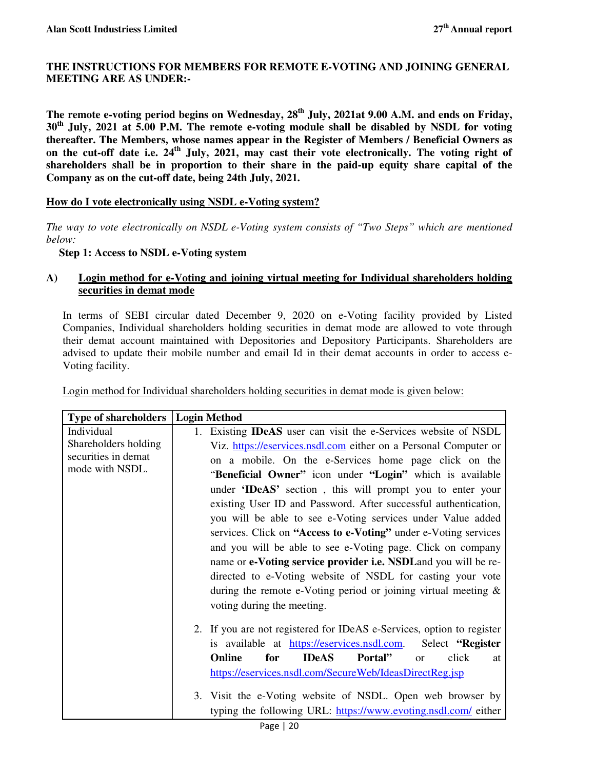## **THE INSTRUCTIONS FOR MEMBERS FOR REMOTE E-VOTING AND JOINING GENERAL MEETING ARE AS UNDER:-**

**The remote e-voting period begins on Wednesday, 28th July, 2021at 9.00 A.M. and ends on Friday, 30th July, 2021 at 5.00 P.M. The remote e-voting module shall be disabled by NSDL for voting thereafter. The Members, whose names appear in the Register of Members / Beneficial Owners as on the cut-off date i.e. 24th July, 2021, may cast their vote electronically. The voting right of shareholders shall be in proportion to their share in the paid-up equity share capital of the Company as on the cut-off date, being 24th July, 2021.** 

## **How do I vote electronically using NSDL e-Voting system?**

*The way to vote electronically on NSDL e-Voting system consists of "Two Steps" which are mentioned below:* 

## **Step 1: Access to NSDL e-Voting system**

## **A) Login method for e-Voting and joining virtual meeting for Individual shareholders holding securities in demat mode**

In terms of SEBI circular dated December 9, 2020 on e-Voting facility provided by Listed Companies, Individual shareholders holding securities in demat mode are allowed to vote through their demat account maintained with Depositories and Depository Participants. Shareholders are advised to update their mobile number and email Id in their demat accounts in order to access e-Voting facility.

| Login method for Individual shareholders holding securities in demat mode is given below: |  |  |
|-------------------------------------------------------------------------------------------|--|--|
|                                                                                           |  |  |

| <b>Type of shareholders</b>                                                  | <b>Login Method</b>                                                                                                                                                                                                                                                                                                                                                                                                                                                                                                                                                                                                                                                                                                                                                                                                                     |
|------------------------------------------------------------------------------|-----------------------------------------------------------------------------------------------------------------------------------------------------------------------------------------------------------------------------------------------------------------------------------------------------------------------------------------------------------------------------------------------------------------------------------------------------------------------------------------------------------------------------------------------------------------------------------------------------------------------------------------------------------------------------------------------------------------------------------------------------------------------------------------------------------------------------------------|
| Individual<br>Shareholders holding<br>securities in demat<br>mode with NSDL. | Existing <b>IDeAS</b> user can visit the e-Services website of NSDL<br>1.<br>Viz. https://eservices.nsdl.com either on a Personal Computer or<br>on a mobile. On the e-Services home page click on the<br>"Beneficial Owner" icon under "Login" which is available<br>under 'IDeAS' section, this will prompt you to enter your<br>existing User ID and Password. After successful authentication,<br>you will be able to see e-Voting services under Value added<br>services. Click on "Access to e-Voting" under e-Voting services<br>and you will be able to see e-Voting page. Click on company<br>name or e-Voting service provider i.e. NSDL and you will be re-<br>directed to e-Voting website of NSDL for casting your vote<br>during the remote e-Voting period or joining virtual meeting $\&$<br>voting during the meeting. |
|                                                                              | 2. If you are not registered for IDeAS e-Services, option to register<br>is available at https://eservices.nsdl.com.<br>Select "Register"<br>Online<br>for<br><b>IDeAS</b><br>click<br>Portal"<br><sub>or</sub><br>at<br>https://eservices.nsdl.com/SecureWeb/IdeasDirectReg.jsp<br>3. Visit the e-Voting website of NSDL. Open web browser by<br>typing the following URL: https://www.evoting.nsdl.com/ either<br>$D$ <sup>200</sup> $\alpha$   20                                                                                                                                                                                                                                                                                                                                                                                    |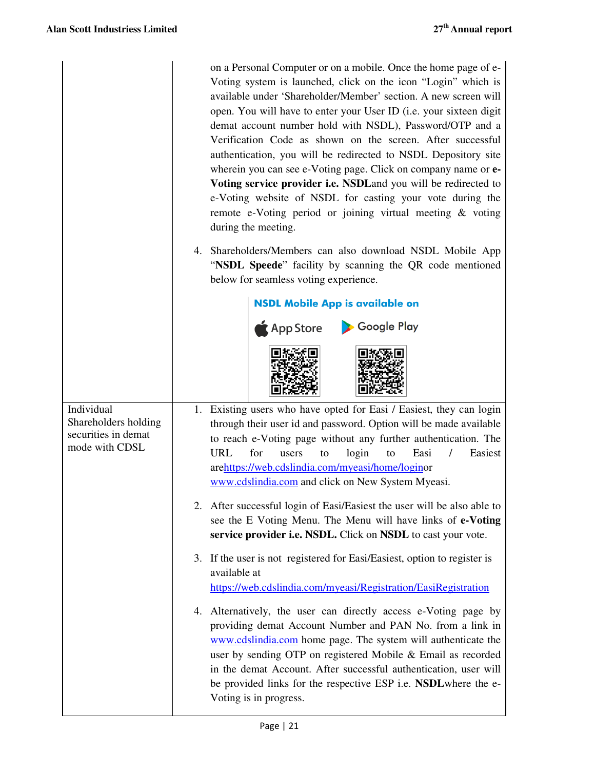|                                                                             | on a Personal Computer or on a mobile. Once the home page of e-<br>Voting system is launched, click on the icon "Login" which is<br>available under 'Shareholder/Member' section. A new screen will<br>open. You will have to enter your User ID (i.e. your sixteen digit<br>demat account number hold with NSDL), Password/OTP and a<br>Verification Code as shown on the screen. After successful<br>authentication, you will be redirected to NSDL Depository site<br>wherein you can see e-Voting page. Click on company name or e-<br>Voting service provider i.e. NSDLand you will be redirected to<br>e-Voting website of NSDL for casting your vote during the<br>remote e-Voting period or joining virtual meeting & voting<br>during the meeting. |
|-----------------------------------------------------------------------------|-------------------------------------------------------------------------------------------------------------------------------------------------------------------------------------------------------------------------------------------------------------------------------------------------------------------------------------------------------------------------------------------------------------------------------------------------------------------------------------------------------------------------------------------------------------------------------------------------------------------------------------------------------------------------------------------------------------------------------------------------------------|
|                                                                             | 4. Shareholders/Members can also download NSDL Mobile App<br>"NSDL Speede" facility by scanning the QR code mentioned<br>below for seamless voting experience.                                                                                                                                                                                                                                                                                                                                                                                                                                                                                                                                                                                              |
|                                                                             | <b>NSDL Mobile App is available on</b>                                                                                                                                                                                                                                                                                                                                                                                                                                                                                                                                                                                                                                                                                                                      |
|                                                                             | Google Play<br>$\bigwedge$ App Store                                                                                                                                                                                                                                                                                                                                                                                                                                                                                                                                                                                                                                                                                                                        |
|                                                                             |                                                                                                                                                                                                                                                                                                                                                                                                                                                                                                                                                                                                                                                                                                                                                             |
| Individual<br>Shareholders holding<br>securities in demat<br>mode with CDSL | 1. Existing users who have opted for Easi / Easiest, they can login<br>through their user id and password. Option will be made available<br>to reach e-Voting page without any further authentication. The<br>login<br>URL<br>for<br>Easi<br>Easiest<br>users<br>to<br>to<br>arehttps://web.cdslindia.com/myeasi/home/loginor<br>www.cdslindia.com and click on New System Myeasi.                                                                                                                                                                                                                                                                                                                                                                          |
|                                                                             | 2. After successful login of Easi/Easiest the user will be also able to<br>see the E Voting Menu. The Menu will have links of e-Voting<br>service provider i.e. NSDL. Click on NSDL to cast your vote.                                                                                                                                                                                                                                                                                                                                                                                                                                                                                                                                                      |
|                                                                             | 3. If the user is not registered for Easi/Easiest, option to register is<br>available at<br>https://web.cdslindia.com/myeasi/Registration/EasiRegistration                                                                                                                                                                                                                                                                                                                                                                                                                                                                                                                                                                                                  |
|                                                                             | 4. Alternatively, the user can directly access e-Voting page by<br>providing demat Account Number and PAN No. from a link in<br>www.cdslindia.com home page. The system will authenticate the<br>user by sending OTP on registered Mobile & Email as recorded<br>in the demat Account. After successful authentication, user will<br>be provided links for the respective ESP i.e. NSDL where the e-<br>Voting is in progress.                                                                                                                                                                                                                                                                                                                              |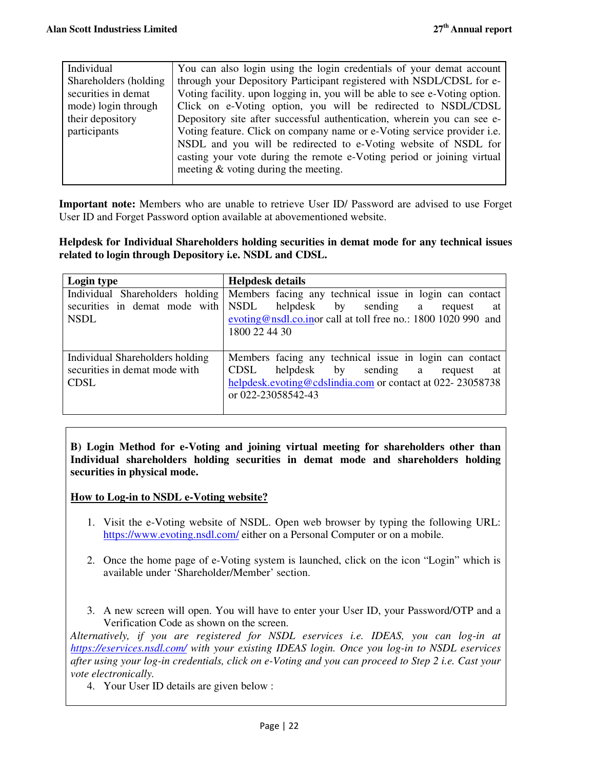| Individual             | You can also login using the login credentials of your demat account           |
|------------------------|--------------------------------------------------------------------------------|
| Shareholders (holding) | through your Depository Participant registered with NSDL/CDSL for e-           |
| securities in demat    | Voting facility. upon logging in, you will be able to see e-Voting option.     |
| mode) login through    | Click on e-Voting option, you will be redirected to NSDL/CDSL                  |
| their depository       | Depository site after successful authentication, wherein you can see e-        |
| participants           | Voting feature. Click on company name or e-Voting service provider <i>i.e.</i> |
|                        | NSDL and you will be redirected to e-Voting website of NSDL for                |
|                        | casting your vote during the remote e-Voting period or joining virtual         |
|                        | meeting & voting during the meeting.                                           |
|                        |                                                                                |

**Important note:** Members who are unable to retrieve User ID/ Password are advised to use Forget User ID and Forget Password option available at abovementioned website.

**Helpdesk for Individual Shareholders holding securities in demat mode for any technical issues related to login through Depository i.e. NSDL and CDSL.** 

| Login type                      | <b>Helpdesk details</b>                                                                 |
|---------------------------------|-----------------------------------------------------------------------------------------|
|                                 | Individual Shareholders holding Members facing any technical issue in login can contact |
|                                 | securities in demat mode with NSDL helpdesk by sending a<br>request<br>at               |
| <b>NSDL</b>                     | evoting@nsdl.co.inor call at toll free no.: 1800 1020 990 and                           |
|                                 | 1800 22 44 30                                                                           |
|                                 |                                                                                         |
| Individual Shareholders holding | Members facing any technical issue in login can contact                                 |
| securities in demat mode with   | <b>CDSL</b><br>helpdesk<br>by sending a<br>request<br>at                                |
| <b>CDSL</b>                     | helpdesk.evoting@cdslindia.com or contact at 022-23058738                               |
|                                 | or 022-23058542-43                                                                      |
|                                 |                                                                                         |

**B) Login Method for e-Voting and joining virtual meeting for shareholders other than Individual shareholders holding securities in demat mode and shareholders holding securities in physical mode.** 

## **How to Log-in to NSDL e-Voting website?**

- 1. Visit the e-Voting website of NSDL. Open web browser by typing the following URL: https://www.evoting.nsdl.com/ either on a Personal Computer or on a mobile.
- 2. Once the home page of e-Voting system is launched, click on the icon "Login" which is available under 'Shareholder/Member' section.
- 3. A new screen will open. You will have to enter your User ID, your Password/OTP and a Verification Code as shown on the screen.

*Alternatively, if you are registered for NSDL eservices i.e. IDEAS, you can log-in at https://eservices.nsdl.com/ with your existing IDEAS login. Once you log-in to NSDL eservices after using your log-in credentials, click on e-Voting and you can proceed to Step 2 i.e. Cast your vote electronically.*

4. Your User ID details are given below :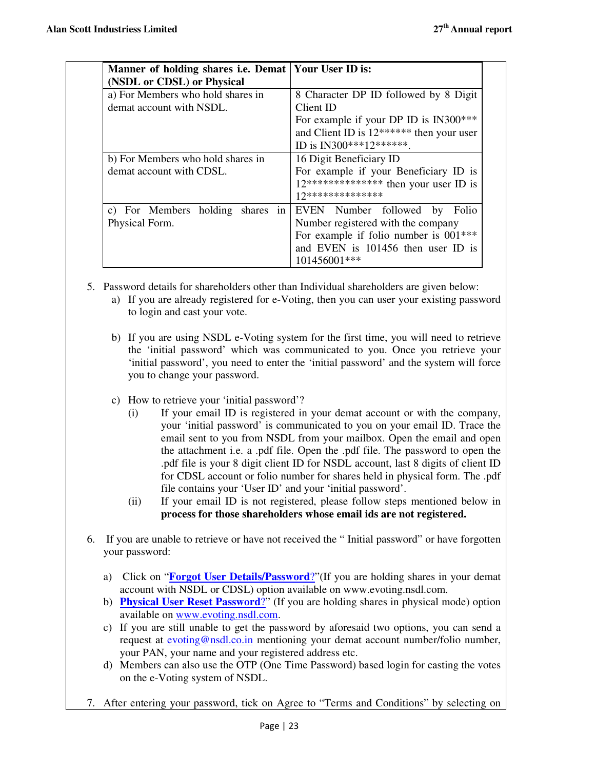| Manner of holding shares <i>i.e.</i> Demat   Your User ID is:<br>(NSDL or CDSL) or Physical |                                                                                                                                                                                                                 |
|---------------------------------------------------------------------------------------------|-----------------------------------------------------------------------------------------------------------------------------------------------------------------------------------------------------------------|
| a) For Members who hold shares in<br>demat account with NSDL.                               | 8 Character DP ID followed by 8 Digit<br>Client ID<br>For example if your DP ID is IN300***<br>and Client ID is 12****** then your user<br>ID is IN300***12*******.                                             |
| b) For Members who hold shares in<br>demat account with CDSL.                               | 16 Digit Beneficiary ID<br>For example if your Beneficiary ID is<br>$12***************$ then your user ID is<br>17**************                                                                                |
| Physical Form.                                                                              | c) For Members holding shares in EVEN Number followed by Folio<br>Number registered with the company<br>For example if folio number is 001 <sup>***</sup><br>and EVEN is 101456 then user ID is<br>101456001*** |

- 5. Password details for shareholders other than Individual shareholders are given below:
	- a) If you are already registered for e-Voting, then you can user your existing password to login and cast your vote.
	- b) If you are using NSDL e-Voting system for the first time, you will need to retrieve the 'initial password' which was communicated to you. Once you retrieve your 'initial password', you need to enter the 'initial password' and the system will force you to change your password.
	- c) How to retrieve your 'initial password'?
		- (i) If your email ID is registered in your demat account or with the company, your 'initial password' is communicated to you on your email ID. Trace the email sent to you from NSDL from your mailbox. Open the email and open the attachment i.e. a .pdf file. Open the .pdf file. The password to open the .pdf file is your 8 digit client ID for NSDL account, last 8 digits of client ID for CDSL account or folio number for shares held in physical form. The .pdf file contains your 'User ID' and your 'initial password'.
		- (ii) If your email ID is not registered, please follow steps mentioned below in **process for those shareholders whose email ids are not registered.**
- 6. If you are unable to retrieve or have not received the " Initial password" or have forgotten your password:
	- a) Click on "**Forgot User Details/Password**?"(If you are holding shares in your demat account with NSDL or CDSL) option available on www.evoting.nsdl.com.
	- b) **Physical User Reset Password**?" (If you are holding shares in physical mode) option available on www.evoting.nsdl.com.
	- c) If you are still unable to get the password by aforesaid two options, you can send a request at **evoting@nsdl.co.in** mentioning your demat account number/folio number, your PAN, your name and your registered address etc.
	- d) Members can also use the OTP (One Time Password) based login for casting the votes on the e-Voting system of NSDL.
- 7. After entering your password, tick on Agree to "Terms and Conditions" by selecting on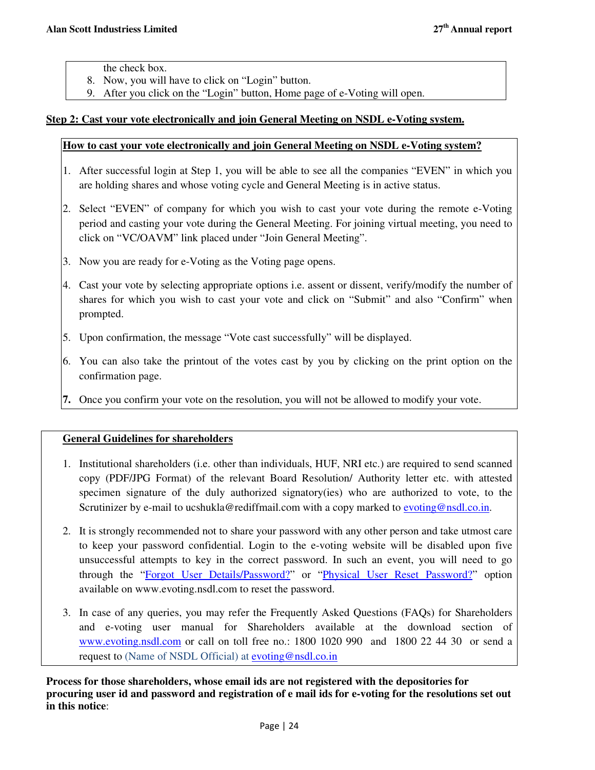the check box.

- 8. Now, you will have to click on "Login" button.
- 9. After you click on the "Login" button, Home page of e-Voting will open.

## **Step 2: Cast your vote electronically and join General Meeting on NSDL e-Voting system.**

## **How to cast your vote electronically and join General Meeting on NSDL e-Voting system?**

- 1. After successful login at Step 1, you will be able to see all the companies "EVEN" in which you are holding shares and whose voting cycle and General Meeting is in active status.
- 2. Select "EVEN" of company for which you wish to cast your vote during the remote e-Voting period and casting your vote during the General Meeting. For joining virtual meeting, you need to click on "VC/OAVM" link placed under "Join General Meeting".
- 3. Now you are ready for e-Voting as the Voting page opens.
- 4. Cast your vote by selecting appropriate options i.e. assent or dissent, verify/modify the number of shares for which you wish to cast your vote and click on "Submit" and also "Confirm" when prompted.
- 5. Upon confirmation, the message "Vote cast successfully" will be displayed.
- 6. You can also take the printout of the votes cast by you by clicking on the print option on the confirmation page.
- **7.** Once you confirm your vote on the resolution, you will not be allowed to modify your vote.

## **General Guidelines for shareholders**

- 1. Institutional shareholders (i.e. other than individuals, HUF, NRI etc.) are required to send scanned copy (PDF/JPG Format) of the relevant Board Resolution/ Authority letter etc. with attested specimen signature of the duly authorized signatory(ies) who are authorized to vote, to the Scrutinizer by e-mail to ucshukla@rediffmail.com with a copy marked to evoting@nsdl.co.in.
- 2. It is strongly recommended not to share your password with any other person and take utmost care to keep your password confidential. Login to the e-voting website will be disabled upon five unsuccessful attempts to key in the correct password. In such an event, you will need to go through the "Forgot User Details/Password?" or "Physical User Reset Password?" option available on www.evoting.nsdl.com to reset the password.
- 3. In case of any queries, you may refer the Frequently Asked Questions (FAQs) for Shareholders and e-voting user manual for Shareholders available at the download section of www.evoting.nsdl.com or call on toll free no.: 1800 1020 990 and 1800 22 44 30 or send a request to (Name of NSDL Official) at evoting@nsdl.co.in

**Process for those shareholders, whose email ids are not registered with the depositories for procuring user id and password and registration of e mail ids for e-voting for the resolutions set out in this notice**: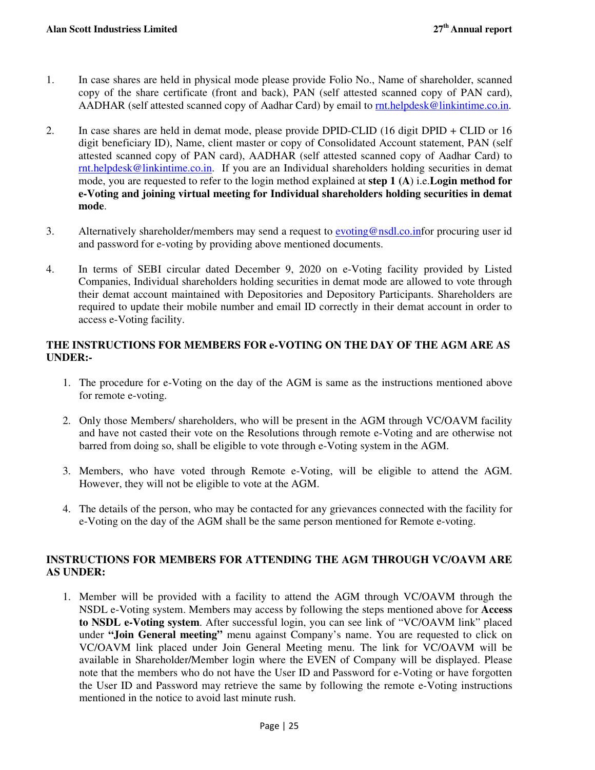- 1. In case shares are held in physical mode please provide Folio No., Name of shareholder, scanned copy of the share certificate (front and back), PAN (self attested scanned copy of PAN card), AADHAR (self attested scanned copy of Aadhar Card) by email to rnt.helpdesk@linkintime.co.in.
- 2. In case shares are held in demat mode, please provide DPID-CLID (16 digit DPID + CLID or 16 digit beneficiary ID), Name, client master or copy of Consolidated Account statement, PAN (self attested scanned copy of PAN card), AADHAR (self attested scanned copy of Aadhar Card) to rnt.helpdesk@linkintime.co.in. If you are an Individual shareholders holding securities in demat mode, you are requested to refer to the login method explained at **step 1 (A**) i.e.**Login method for e-Voting and joining virtual meeting for Individual shareholders holding securities in demat mode**.
- 3. Alternatively shareholder/members may send a request to **evoting@nsdl.co.infor procuring user id** and password for e-voting by providing above mentioned documents.
- 4. In terms of SEBI circular dated December 9, 2020 on e-Voting facility provided by Listed Companies, Individual shareholders holding securities in demat mode are allowed to vote through their demat account maintained with Depositories and Depository Participants. Shareholders are required to update their mobile number and email ID correctly in their demat account in order to access e-Voting facility.

## **THE INSTRUCTIONS FOR MEMBERS FOR e-VOTING ON THE DAY OF THE AGM ARE AS UNDER:-**

- 1. The procedure for e-Voting on the day of the AGM is same as the instructions mentioned above for remote e-voting.
- 2. Only those Members/ shareholders, who will be present in the AGM through VC/OAVM facility and have not casted their vote on the Resolutions through remote e-Voting and are otherwise not barred from doing so, shall be eligible to vote through e-Voting system in the AGM.
- 3. Members, who have voted through Remote e-Voting, will be eligible to attend the AGM. However, they will not be eligible to vote at the AGM.
- 4. The details of the person, who may be contacted for any grievances connected with the facility for e-Voting on the day of the AGM shall be the same person mentioned for Remote e-voting.

## **INSTRUCTIONS FOR MEMBERS FOR ATTENDING THE AGM THROUGH VC/OAVM ARE AS UNDER:**

1. Member will be provided with a facility to attend the AGM through VC/OAVM through the NSDL e-Voting system. Members may access by following the steps mentioned above for **Access to NSDL e-Voting system**. After successful login, you can see link of "VC/OAVM link" placed under **"Join General meeting"** menu against Company's name. You are requested to click on VC/OAVM link placed under Join General Meeting menu. The link for VC/OAVM will be available in Shareholder/Member login where the EVEN of Company will be displayed. Please note that the members who do not have the User ID and Password for e-Voting or have forgotten the User ID and Password may retrieve the same by following the remote e-Voting instructions mentioned in the notice to avoid last minute rush.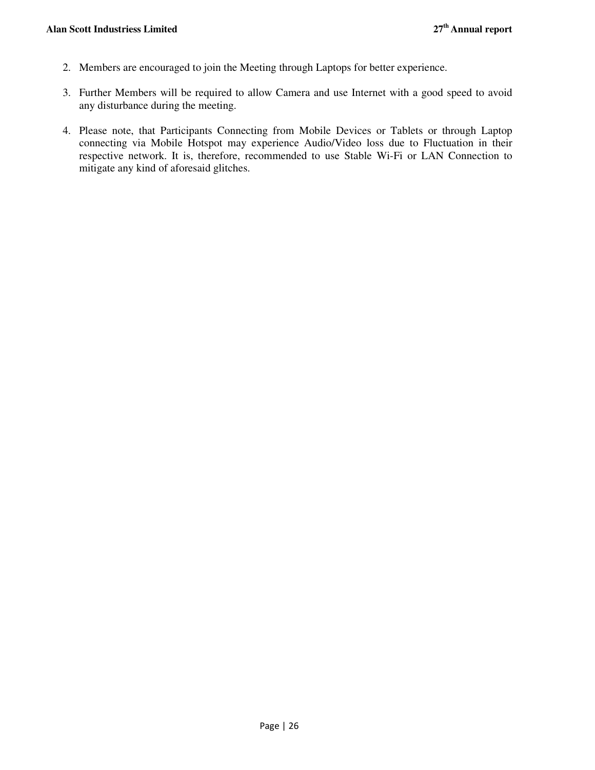- 2. Members are encouraged to join the Meeting through Laptops for better experience.
- 3. Further Members will be required to allow Camera and use Internet with a good speed to avoid any disturbance during the meeting.
- 4. Please note, that Participants Connecting from Mobile Devices or Tablets or through Laptop connecting via Mobile Hotspot may experience Audio/Video loss due to Fluctuation in their respective network. It is, therefore, recommended to use Stable Wi-Fi or LAN Connection to mitigate any kind of aforesaid glitches.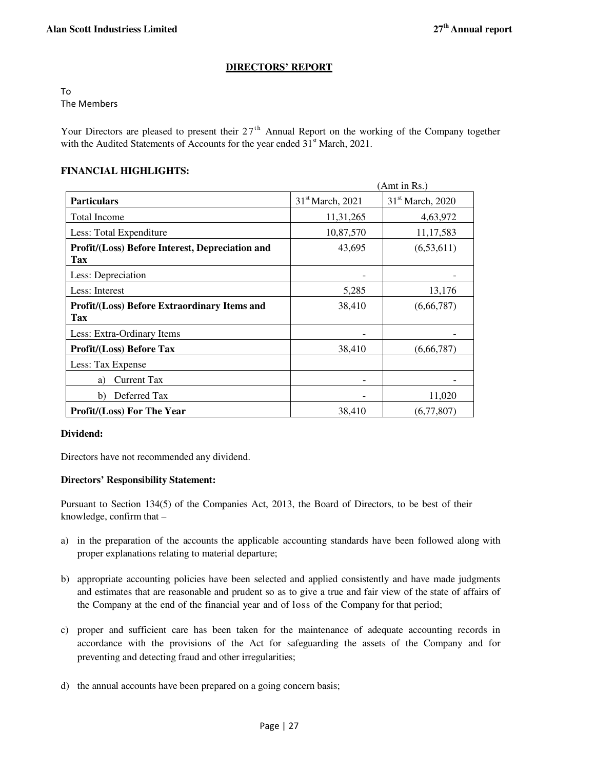## **DIRECTORS' REPORT**

To The Members

Your Directors are pleased to present their  $27<sup>th</sup>$  Annual Report on the working of the Company together with the Audited Statements of Accounts for the year ended 31<sup>st</sup> March, 2021.

## **FINANCIAL HIGHLIGHTS:**

| (Amt in Rs.)                                                      |                              |                              |  |
|-------------------------------------------------------------------|------------------------------|------------------------------|--|
| <b>Particulars</b>                                                | 31 <sup>st</sup> March, 2021 | 31 <sup>st</sup> March, 2020 |  |
| <b>Total Income</b>                                               | 11,31,265                    | 4,63,972                     |  |
| Less: Total Expenditure                                           | 10,87,570                    | 11,17,583                    |  |
| Profit/(Loss) Before Interest, Depreciation and<br>Tax            | 43,695                       | (6, 53, 611)                 |  |
| Less: Depreciation                                                |                              |                              |  |
| Less: Interest                                                    | 5,285                        | 13,176                       |  |
| <b>Profit/(Loss) Before Extraordinary Items and</b><br><b>Tax</b> | 38,410                       | (6,66,787)                   |  |
| Less: Extra-Ordinary Items                                        |                              |                              |  |
| <b>Profit/(Loss) Before Tax</b>                                   | 38,410                       | (6,66,787)                   |  |
| Less: Tax Expense                                                 |                              |                              |  |
| <b>Current Tax</b><br>a)                                          |                              |                              |  |
| Deferred Tax<br>b)                                                |                              | 11,020                       |  |
| <b>Profit/(Loss) For The Year</b>                                 | (6,77,807)                   |                              |  |

## **Dividend:**

Directors have not recommended any dividend.

## **Directors' Responsibility Statement:**

Pursuant to Section 134(5) of the Companies Act, 2013, the Board of Directors, to be best of their knowledge, confirm that –

- a) in the preparation of the accounts the applicable accounting standards have been followed along with proper explanations relating to material departure;
- b) appropriate accounting policies have been selected and applied consistently and have made judgments and estimates that are reasonable and prudent so as to give a true and fair view of the state of affairs of the Company at the end of the financial year and of loss of the Company for that period;
- c) proper and sufficient care has been taken for the maintenance of adequate accounting records in accordance with the provisions of the Act for safeguarding the assets of the Company and for preventing and detecting fraud and other irregularities;
- d) the annual accounts have been prepared on a going concern basis;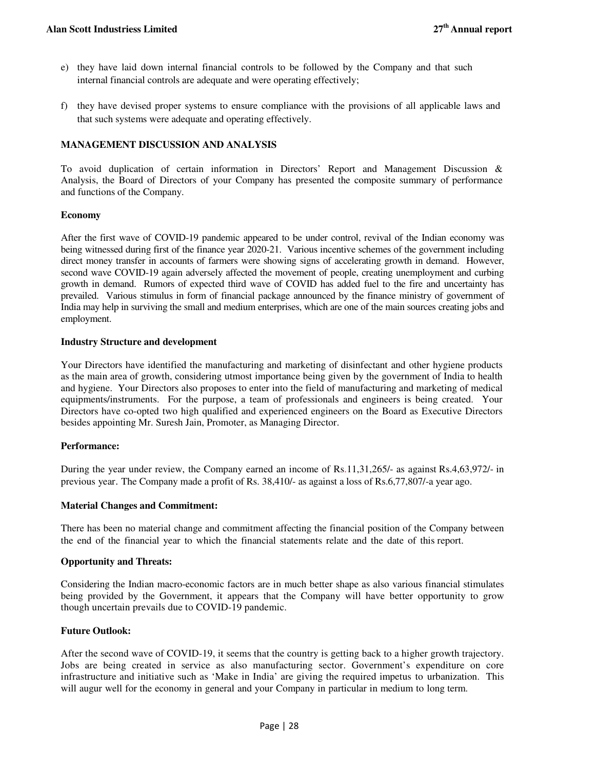- e) they have laid down internal financial controls to be followed by the Company and that such internal financial controls are adequate and were operating effectively;
- f) they have devised proper systems to ensure compliance with the provisions of all applicable laws and that such systems were adequate and operating effectively.

## **MANAGEMENT DISCUSSION AND ANALYSIS**

To avoid duplication of certain information in Directors' Report and Management Discussion & Analysis, the Board of Directors of your Company has presented the composite summary of performance and functions of the Company.

## **Economy**

After the first wave of COVID-19 pandemic appeared to be under control, revival of the Indian economy was being witnessed during first of the finance year 2020-21. Various incentive schemes of the government including direct money transfer in accounts of farmers were showing signs of accelerating growth in demand. However, second wave COVID-19 again adversely affected the movement of people, creating unemployment and curbing growth in demand. Rumors of expected third wave of COVID has added fuel to the fire and uncertainty has prevailed. Various stimulus in form of financial package announced by the finance ministry of government of India may help in surviving the small and medium enterprises, which are one of the main sources creating jobs and employment.

## **Industry Structure and development**

Your Directors have identified the manufacturing and marketing of disinfectant and other hygiene products as the main area of growth, considering utmost importance being given by the government of India to health and hygiene. Your Directors also proposes to enter into the field of manufacturing and marketing of medical equipments/instruments. For the purpose, a team of professionals and engineers is being created. Your Directors have co-opted two high qualified and experienced engineers on the Board as Executive Directors besides appointing Mr. Suresh Jain, Promoter, as Managing Director.

## **Performance:**

During the year under review, the Company earned an income of Rs.11,31,265/- as against Rs.4,63,972/- in previous year. The Company made a profit of Rs. 38,410/- as against a loss of Rs.6,77,807/-a year ago.

## **Material Changes and Commitment:**

There has been no material change and commitment affecting the financial position of the Company between the end of the financial year to which the financial statements relate and the date of this report.

#### **Opportunity and Threats:**

Considering the Indian macro-economic factors are in much better shape as also various financial stimulates being provided by the Government, it appears that the Company will have better opportunity to grow though uncertain prevails due to COVID-19 pandemic.

## **Future Outlook:**

After the second wave of COVID-19, it seems that the country is getting back to a higher growth trajectory. Jobs are being created in service as also manufacturing sector. Government's expenditure on core infrastructure and initiative such as 'Make in India' are giving the required impetus to urbanization. This will augur well for the economy in general and your Company in particular in medium to long term.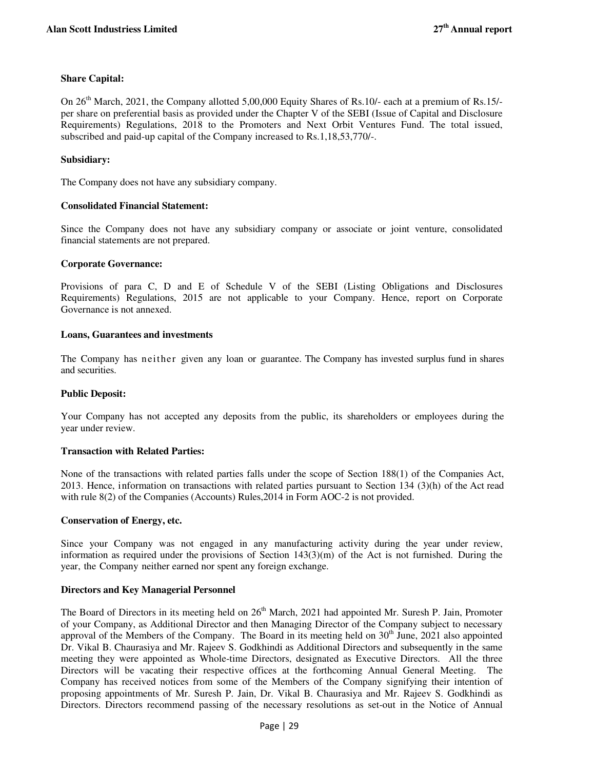## **Share Capital:**

On 26<sup>th</sup> March, 2021, the Company allotted 5,00,000 Equity Shares of Rs.10/- each at a premium of Rs.15/per share on preferential basis as provided under the Chapter V of the SEBI (Issue of Capital and Disclosure Requirements) Regulations, 2018 to the Promoters and Next Orbit Ventures Fund. The total issued, subscribed and paid-up capital of the Company increased to Rs.1,18,53,770/-.

## **Subsidiary:**

The Company does not have any subsidiary company.

## **Consolidated Financial Statement:**

Since the Company does not have any subsidiary company or associate or joint venture, consolidated financial statements are not prepared.

## **Corporate Governance:**

Provisions of para C, D and E of Schedule V of the SEBI (Listing Obligations and Disclosures Requirements) Regulations, 2015 are not applicable to your Company. Hence, report on Corporate Governance is not annexed.

## **Loans, Guarantees and investments**

The Company has neither given any loan or guarantee. The Company has invested surplus fund in shares and securities.

## **Public Deposit:**

Your Company has not accepted any deposits from the public, its shareholders or employees during the year under review.

## **Transaction with Related Parties:**

None of the transactions with related parties falls under the scope of Section 188(1) of the Companies Act, 2013. Hence, information on transactions with related parties pursuant to Section 134 (3)(h) of the Act read with rule 8(2) of the Companies (Accounts) Rules,2014 in Form AOC-2 is not provided.

#### **Conservation of Energy, etc.**

Since your Company was not engaged in any manufacturing activity during the year under review, information as required under the provisions of Section 143(3)(m) of the Act is not furnished. During the year, the Company neither earned nor spent any foreign exchange.

## **Directors and Key Managerial Personnel**

The Board of Directors in its meeting held on 26<sup>th</sup> March, 2021 had appointed Mr. Suresh P. Jain, Promoter of your Company, as Additional Director and then Managing Director of the Company subject to necessary approval of the Members of the Company. The Board in its meeting held on  $30<sup>th</sup>$  June, 2021 also appointed Dr. Vikal B. Chaurasiya and Mr. Rajeev S. Godkhindi as Additional Directors and subsequently in the same meeting they were appointed as Whole-time Directors, designated as Executive Directors. All the three Directors will be vacating their respective offices at the forthcoming Annual General Meeting. The Company has received notices from some of the Members of the Company signifying their intention of proposing appointments of Mr. Suresh P. Jain, Dr. Vikal B. Chaurasiya and Mr. Rajeev S. Godkhindi as Directors. Directors recommend passing of the necessary resolutions as set-out in the Notice of Annual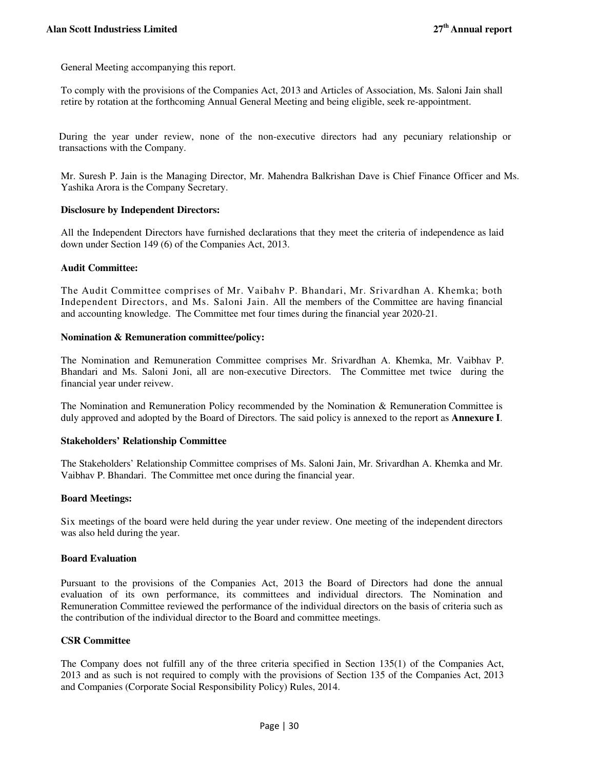General Meeting accompanying this report.

To comply with the provisions of the Companies Act, 2013 and Articles of Association, Ms. Saloni Jain shall retire by rotation at the forthcoming Annual General Meeting and being eligible, seek re-appointment.

During the year under review, none of the non-executive directors had any pecuniary relationship or transactions with the Company.

Mr. Suresh P. Jain is the Managing Director, Mr. Mahendra Balkrishan Dave is Chief Finance Officer and Ms. Yashika Arora is the Company Secretary.

## **Disclosure by Independent Directors:**

All the Independent Directors have furnished declarations that they meet the criteria of independence as laid down under Section 149 (6) of the Companies Act, 2013.

#### **Audit Committee:**

The Audit Committee comprises of Mr. Vaibahv P. Bhandari, Mr. Srivardhan A. Khemka; both Independent Directors, and Ms. Saloni Jain. All the members of the Committee are having financial and accounting knowledge. The Committee met four times during the financial year 2020-21.

#### **Nomination & Remuneration committee/policy:**

The Nomination and Remuneration Committee comprises Mr. Srivardhan A. Khemka, Mr. Vaibhav P. Bhandari and Ms. Saloni Joni, all are non-executive Directors. The Committee met twice during the financial year under reivew.

The Nomination and Remuneration Policy recommended by the Nomination & Remuneration Committee is duly approved and adopted by the Board of Directors. The said policy is annexed to the report as **Annexure I**.

## **Stakeholders' Relationship Committee**

The Stakeholders' Relationship Committee comprises of Ms. Saloni Jain, Mr. Srivardhan A. Khemka and Mr. Vaibhav P. Bhandari. The Committee met once during the financial year.

## **Board Meetings:**

Six meetings of the board were held during the year under review. One meeting of the independent directors was also held during the year.

## **Board Evaluation**

Pursuant to the provisions of the Companies Act, 2013 the Board of Directors had done the annual evaluation of its own performance, its committees and individual directors. The Nomination and Remuneration Committee reviewed the performance of the individual directors on the basis of criteria such as the contribution of the individual director to the Board and committee meetings.

## **CSR Committee**

The Company does not fulfill any of the three criteria specified in Section 135(1) of the Companies Act, 2013 and as such is not required to comply with the provisions of Section 135 of the Companies Act, 2013 and Companies (Corporate Social Responsibility Policy) Rules, 2014.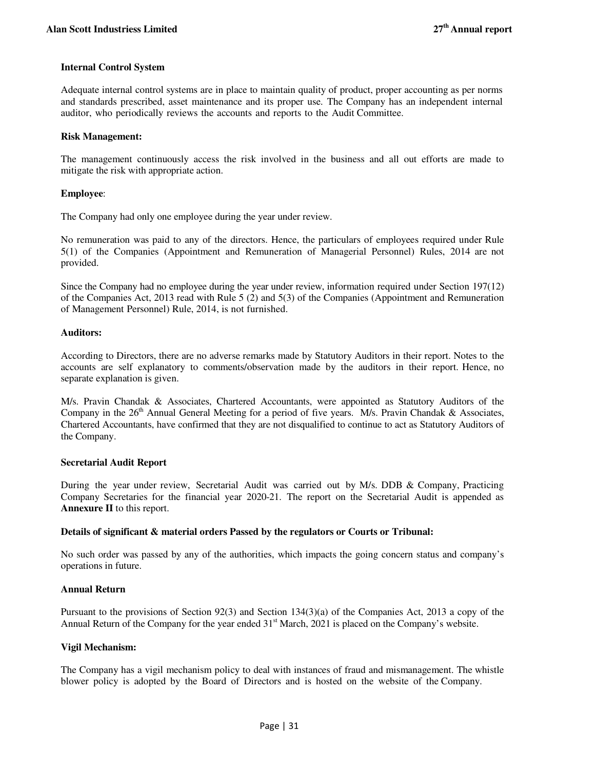## **Internal Control System**

Adequate internal control systems are in place to maintain quality of product, proper accounting as per norms and standards prescribed, asset maintenance and its proper use. The Company has an independent internal auditor, who periodically reviews the accounts and reports to the Audit Committee.

## **Risk Management:**

The management continuously access the risk involved in the business and all out efforts are made to mitigate the risk with appropriate action.

## **Employee**:

The Company had only one employee during the year under review.

No remuneration was paid to any of the directors. Hence, the particulars of employees required under Rule 5(1) of the Companies (Appointment and Remuneration of Managerial Personnel) Rules, 2014 are not provided.

Since the Company had no employee during the year under review, information required under Section 197(12) of the Companies Act, 2013 read with Rule 5 (2) and 5(3) of the Companies (Appointment and Remuneration of Management Personnel) Rule, 2014, is not furnished.

## **Auditors:**

According to Directors, there are no adverse remarks made by Statutory Auditors in their report. Notes to the accounts are self explanatory to comments/observation made by the auditors in their report. Hence, no separate explanation is given.

M/s. Pravin Chandak & Associates, Chartered Accountants, were appointed as Statutory Auditors of the Company in the  $26<sup>th</sup>$  Annual General Meeting for a period of five years. M/s. Pravin Chandak & Associates, Chartered Accountants, have confirmed that they are not disqualified to continue to act as Statutory Auditors of the Company.

## **Secretarial Audit Report**

During the year under review, Secretarial Audit was carried out by M/s. DDB & Company, Practicing Company Secretaries for the financial year 2020-21. The report on the Secretarial Audit is appended as **Annexure II** to this report.

## **Details of significant & material orders Passed by the regulators or Courts or Tribunal:**

No such order was passed by any of the authorities, which impacts the going concern status and company's operations in future.

## **Annual Return**

Pursuant to the provisions of Section 92(3) and Section 134(3)(a) of the Companies Act, 2013 a copy of the Annual Return of the Company for the year ended  $31<sup>st</sup>$  March, 2021 is placed on the Company's website.

## **Vigil Mechanism:**

The Company has a vigil mechanism policy to deal with instances of fraud and mismanagement. The whistle blower policy is adopted by the Board of Directors and is hosted on the website of the Company.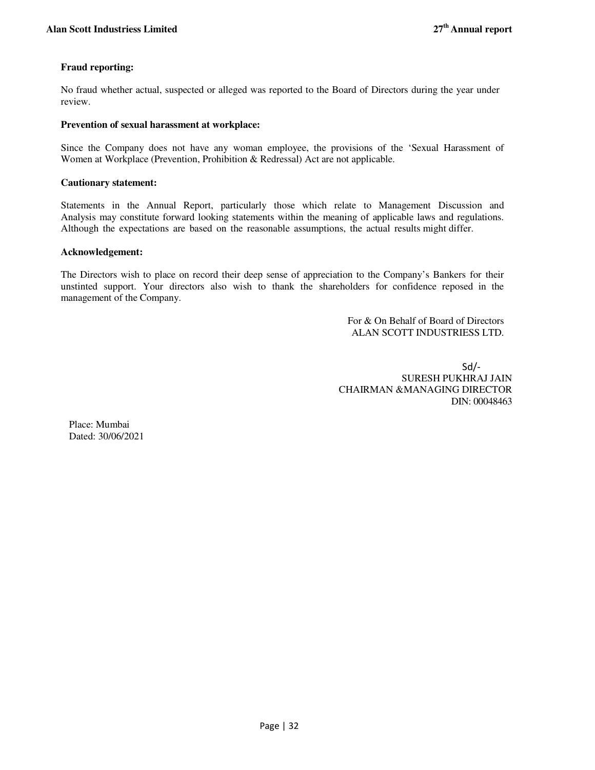## **Fraud reporting:**

No fraud whether actual, suspected or alleged was reported to the Board of Directors during the year under review.

#### **Prevention of sexual harassment at workplace:**

Since the Company does not have any woman employee, the provisions of the 'Sexual Harassment of Women at Workplace (Prevention, Prohibition & Redressal) Act are not applicable.

#### **Cautionary statement:**

Statements in the Annual Report, particularly those which relate to Management Discussion and Analysis may constitute forward looking statements within the meaning of applicable laws and regulations. Although the expectations are based on the reasonable assumptions, the actual results might differ.

#### **Acknowledgement:**

The Directors wish to place on record their deep sense of appreciation to the Company's Bankers for their unstinted support. Your directors also wish to thank the shareholders for confidence reposed in the management of the Company.

> For & On Behalf of Board of Directors ALAN SCOTT INDUSTRIESS LTD.

 Sd/- SURESH PUKHRAJ JAIN CHAIRMAN &MANAGING DIRECTOR DIN: 00048463

Place: Mumbai Dated: 30/06/2021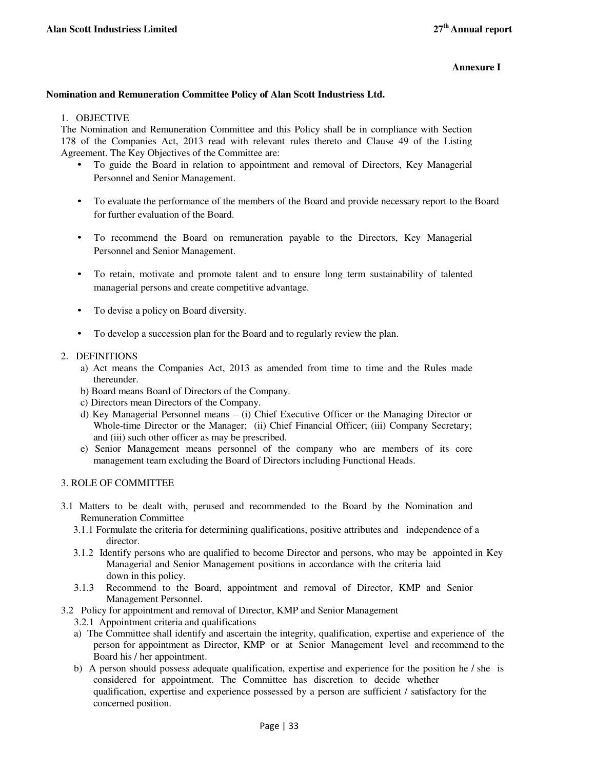## **Annexure I**

## **Nomination and Remuneration Committee Policy of Alan Scott Industriess Ltd.**

## 1. OBJECTIVE

The Nomination and Remuneration Committee and this Policy shall be in compliance with Section 178 of the Companies Act, 2013 read with relevant rules thereto and Clause 49 of the Listing Agreement. The Key Objectives of the Committee are:

- To guide the Board in relation to appointment and removal of Directors, Key Managerial Personnel and Senior Management.
- To evaluate the performance of the members of the Board and provide necessary report to the Board for further evaluation of the Board.
- To recommend the Board on remuneration payable to the Directors, Key Managerial Personnel and Senior Management.
- To retain, motivate and promote talent and to ensure long term sustainability of talented managerial persons and create competitive advantage.
- To devise a policy on Board diversity.
- To develop a succession plan for the Board and to regularly review the plan.

## 2. DEFINITIONS

- a) Act means the Companies Act, 2013 as amended from time to time and the Rules made thereunder.
- b) Board means Board of Directors of the Company.
- c) Directors mean Directors of the Company.
- d) Key Managerial Personnel means (i) Chief Executive Officer or the Managing Director or Whole-time Director or the Manager; (ii) Chief Financial Officer; (iii) Company Secretary; and (iii) such other officer as may be prescribed.
- e) Senior Management means personnel of the company who are members of its core management team excluding the Board of Directors including Functional Heads.

## 3. ROLE OF COMMITTEE

- 3.1 Matters to be dealt with, perused and recommended to the Board by the Nomination and Remuneration Committee
	- 3.1.1 Formulate the criteria for determining qualifications, positive attributes and independence of a director.
	- 3.1.2 Identify persons who are qualified to become Director and persons, who may be appointed in Key Managerial and Senior Management positions in accordance with the criteria laid down in this policy.
	- 3.1.3 Recommend to the Board, appointment and removal of Director, KMP and Senior Management Personnel.
- 3.2 Policy for appointment and removal of Director, KMP and Senior Management
	- 3.2.1 Appointment criteria and qualifications
	- a) The Committee shall identify and ascertain the integrity, qualification, expertise and experience of the person for appointment as Director, KMP or at Senior Management level and recommend to the Board his / her appointment.
	- b) A person should possess adequate qualification, expertise and experience for the position he / she is considered for appointment. The Committee has discretion to decide whether qualification, expertise and experience possessed by a person are sufficient / satisfactory for the concerned position.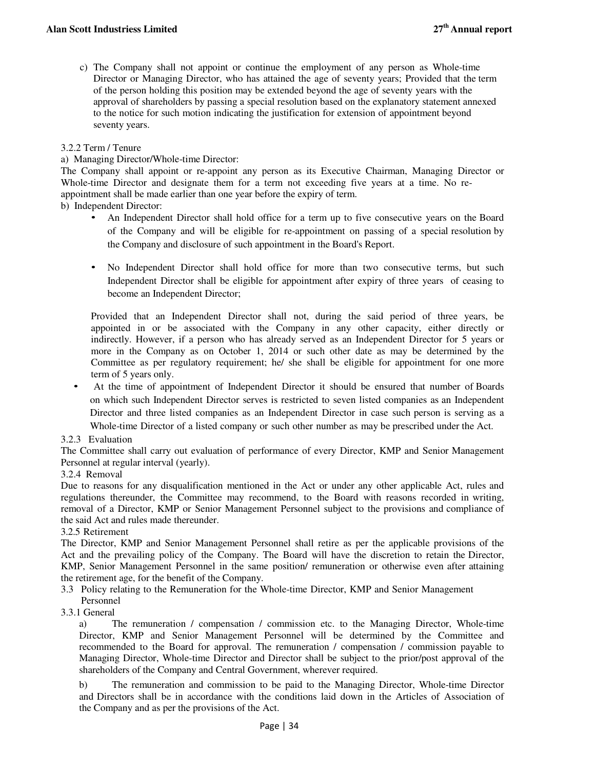c) The Company shall not appoint or continue the employment of any person as Whole-time Director or Managing Director, who has attained the age of seventy years; Provided that the term of the person holding this position may be extended beyond the age of seventy years with the approval of shareholders by passing a special resolution based on the explanatory statement annexed to the notice for such motion indicating the justification for extension of appointment beyond seventy years.

## 3.2.2 Term / Tenure

## a) Managing Director/Whole-time Director:

The Company shall appoint or re-appoint any person as its Executive Chairman, Managing Director or Whole-time Director and designate them for a term not exceeding five years at a time. No reappointment shall be made earlier than one year before the expiry of term.

## b) Independent Director:

- An Independent Director shall hold office for a term up to five consecutive years on the Board of the Company and will be eligible for re-appointment on passing of a special resolution by the Company and disclosure of such appointment in the Board's Report.
- No Independent Director shall hold office for more than two consecutive terms, but such Independent Director shall be eligible for appointment after expiry of three years of ceasing to become an Independent Director;

Provided that an Independent Director shall not, during the said period of three years, be appointed in or be associated with the Company in any other capacity, either directly or indirectly. However, if a person who has already served as an Independent Director for 5 years or more in the Company as on October 1, 2014 or such other date as may be determined by the Committee as per regulatory requirement; he/ she shall be eligible for appointment for one more term of 5 years only.

• At the time of appointment of Independent Director it should be ensured that number of Boards on which such Independent Director serves is restricted to seven listed companies as an Independent Director and three listed companies as an Independent Director in case such person is serving as a Whole-time Director of a listed company or such other number as may be prescribed under the Act.

## 3.2.3 Evaluation

The Committee shall carry out evaluation of performance of every Director, KMP and Senior Management Personnel at regular interval (yearly).

## 3.2.4 Removal

Due to reasons for any disqualification mentioned in the Act or under any other applicable Act, rules and regulations thereunder, the Committee may recommend, to the Board with reasons recorded in writing, removal of a Director, KMP or Senior Management Personnel subject to the provisions and compliance of the said Act and rules made thereunder.

## 3.2.5 Retirement

The Director, KMP and Senior Management Personnel shall retire as per the applicable provisions of the Act and the prevailing policy of the Company. The Board will have the discretion to retain the Director, KMP, Senior Management Personnel in the same position/ remuneration or otherwise even after attaining the retirement age, for the benefit of the Company.

- 3.3 Policy relating to the Remuneration for the Whole-time Director, KMP and Senior Management Personnel
- 3.3.1 General

a) The remuneration / compensation / commission etc. to the Managing Director, Whole-time Director, KMP and Senior Management Personnel will be determined by the Committee and recommended to the Board for approval. The remuneration / compensation / commission payable to Managing Director, Whole-time Director and Director shall be subject to the prior/post approval of the shareholders of the Company and Central Government, wherever required.

b) The remuneration and commission to be paid to the Managing Director, Whole-time Director and Directors shall be in accordance with the conditions laid down in the Articles of Association of the Company and as per the provisions of the Act.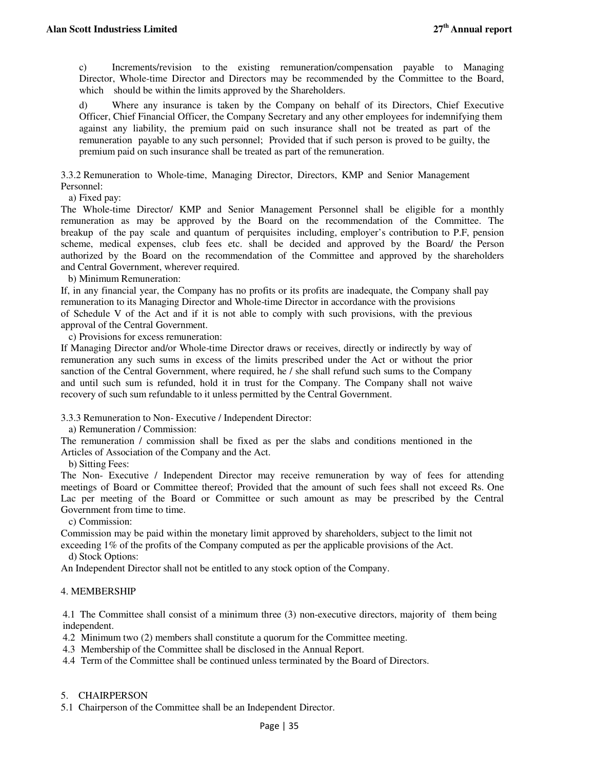c) Increments/revision to the existing remuneration/compensation payable to Managing Director, Whole-time Director and Directors may be recommended by the Committee to the Board, which should be within the limits approved by the Shareholders.

d) Where any insurance is taken by the Company on behalf of its Directors, Chief Executive Officer, Chief Financial Officer, the Company Secretary and any other employees for indemnifying them against any liability, the premium paid on such insurance shall not be treated as part of the remuneration payable to any such personnel; Provided that if such person is proved to be guilty, the premium paid on such insurance shall be treated as part of the remuneration.

3.3.2 Remuneration to Whole-time, Managing Director, Directors, KMP and Senior Management Personnel:

a) Fixed pay:

The Whole-time Director/ KMP and Senior Management Personnel shall be eligible for a monthly remuneration as may be approved by the Board on the recommendation of the Committee. The breakup of the pay scale and quantum of perquisites including, employer's contribution to P.F, pension scheme, medical expenses, club fees etc. shall be decided and approved by the Board/ the Person authorized by the Board on the recommendation of the Committee and approved by the shareholders and Central Government, wherever required.

b) Minimum Remuneration:

If, in any financial year, the Company has no profits or its profits are inadequate, the Company shall pay remuneration to its Managing Director and Whole-time Director in accordance with the provisions of Schedule V of the Act and if it is not able to comply with such provisions, with the previous approval of the Central Government.

c) Provisions for excess remuneration:

If Managing Director and/or Whole-time Director draws or receives, directly or indirectly by way of remuneration any such sums in excess of the limits prescribed under the Act or without the prior sanction of the Central Government, where required, he / she shall refund such sums to the Company and until such sum is refunded, hold it in trust for the Company. The Company shall not waive recovery of such sum refundable to it unless permitted by the Central Government.

3.3.3 Remuneration to Non- Executive / Independent Director:

a) Remuneration / Commission:

The remuneration / commission shall be fixed as per the slabs and conditions mentioned in the Articles of Association of the Company and the Act.

b) Sitting Fees:

The Non- Executive / Independent Director may receive remuneration by way of fees for attending meetings of Board or Committee thereof; Provided that the amount of such fees shall not exceed Rs. One Lac per meeting of the Board or Committee or such amount as may be prescribed by the Central Government from time to time.

c) Commission:

Commission may be paid within the monetary limit approved by shareholders, subject to the limit not exceeding 1% of the profits of the Company computed as per the applicable provisions of the Act.

d) Stock Options:

An Independent Director shall not be entitled to any stock option of the Company.

## 4. MEMBERSHIP

4.1 The Committee shall consist of a minimum three (3) non-executive directors, majority of them being independent.

4.2 Minimum two (2) members shall constitute a quorum for the Committee meeting.

4.3 Membership of the Committee shall be disclosed in the Annual Report.

4.4 Term of the Committee shall be continued unless terminated by the Board of Directors.

## 5. CHAIRPERSON

5.1 Chairperson of the Committee shall be an Independent Director.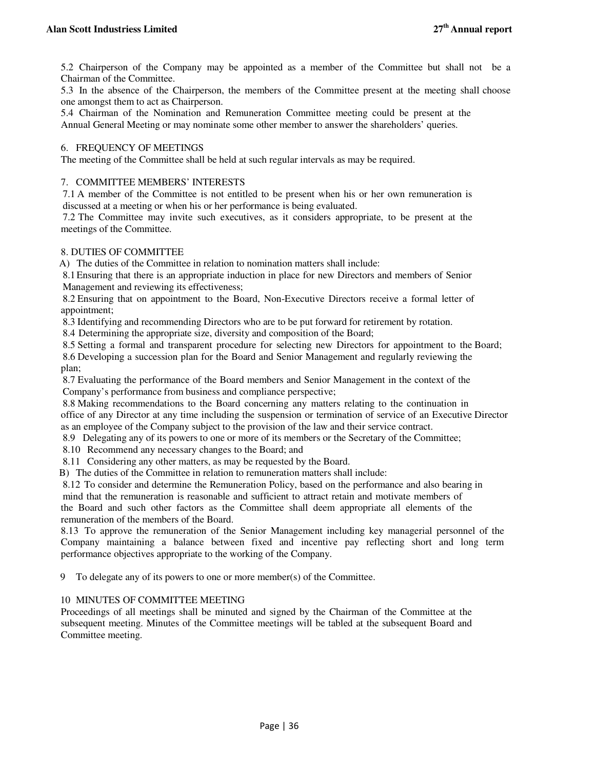5.2 Chairperson of the Company may be appointed as a member of the Committee but shall not be a Chairman of the Committee.

5.3 In the absence of the Chairperson, the members of the Committee present at the meeting shall choose one amongst them to act as Chairperson.

5.4 Chairman of the Nomination and Remuneration Committee meeting could be present at the Annual General Meeting or may nominate some other member to answer the shareholders' queries.

#### 6. FREQUENCY OF MEETINGS

The meeting of the Committee shall be held at such regular intervals as may be required.

#### 7. COMMITTEE MEMBERS' INTERESTS

7.1 A member of the Committee is not entitled to be present when his or her own remuneration is discussed at a meeting or when his or her performance is being evaluated.

7.2 The Committee may invite such executives, as it considers appropriate, to be present at the meetings of the Committee.

## 8. DUTIES OF COMMITTEE

A) The duties of the Committee in relation to nomination matters shall include:

8.1Ensuring that there is an appropriate induction in place for new Directors and members of Senior Management and reviewing its effectiveness;

8.2 Ensuring that on appointment to the Board, Non-Executive Directors receive a formal letter of appointment;

8.3 Identifying and recommending Directors who are to be put forward for retirement by rotation.

8.4 Determining the appropriate size, diversity and composition of the Board;

8.5 Setting a formal and transparent procedure for selecting new Directors for appointment to the Board; 8.6 Developing a succession plan for the Board and Senior Management and regularly reviewing the plan;

8.7 Evaluating the performance of the Board members and Senior Management in the context of the Company's performance from business and compliance perspective;

8.8 Making recommendations to the Board concerning any matters relating to the continuation in office of any Director at any time including the suspension or termination of service of an Executive Director as an employee of the Company subject to the provision of the law and their service contract.

8.9 Delegating any of its powers to one or more of its members or the Secretary of the Committee;

8.10 Recommend any necessary changes to the Board; and

8.11 Considering any other matters, as may be requested by the Board.

B) The duties of the Committee in relation to remuneration matters shall include:

8.12 To consider and determine the Remuneration Policy, based on the performance and also bearing in mind that the remuneration is reasonable and sufficient to attract retain and motivate members of the Board and such other factors as the Committee shall deem appropriate all elements of the remuneration of the members of the Board.

8.13 To approve the remuneration of the Senior Management including key managerial personnel of the Company maintaining a balance between fixed and incentive pay reflecting short and long term performance objectives appropriate to the working of the Company.

9 To delegate any of its powers to one or more member(s) of the Committee.

## 10 MINUTES OF COMMITTEE MEETING

Proceedings of all meetings shall be minuted and signed by the Chairman of the Committee at the subsequent meeting. Minutes of the Committee meetings will be tabled at the subsequent Board and Committee meeting.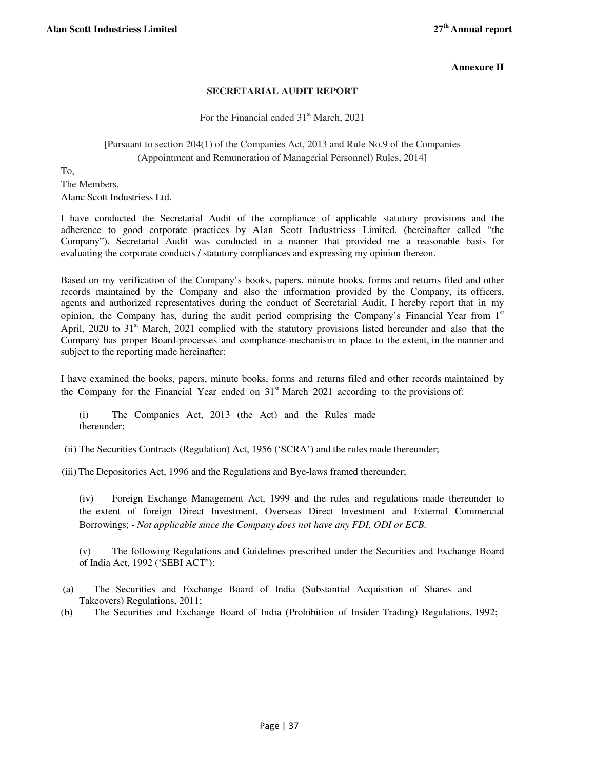## **Annexure II**

## **SECRETARIAL AUDIT REPORT**

For the Financial ended  $31<sup>st</sup>$  March, 2021

## [Pursuant to section 204(1) of the Companies Act, 2013 and Rule No.9 of the Companies (Appointment and Remuneration of Managerial Personnel) Rules, 2014]

To,

The Members, Alanc Scott Industriess Ltd.

I have conducted the Secretarial Audit of the compliance of applicable statutory provisions and the adherence to good corporate practices by Alan Scott Industriess Limited. (hereinafter called "the Company"). Secretarial Audit was conducted in a manner that provided me a reasonable basis for evaluating the corporate conducts / statutory compliances and expressing my opinion thereon.

Based on my verification of the Company's books, papers, minute books, forms and returns filed and other records maintained by the Company and also the information provided by the Company, its officers, agents and authorized representatives during the conduct of Secretarial Audit, I hereby report that in my opinion, the Company has, during the audit period comprising the Company's Financial Year from  $1<sup>st</sup>$ April, 2020 to 31<sup>st</sup> March, 2021 complied with the statutory provisions listed hereunder and also that the Company has proper Board-processes and compliance-mechanism in place to the extent, in the manner and subject to the reporting made hereinafter:

I have examined the books, papers, minute books, forms and returns filed and other records maintained by the Company for the Financial Year ended on  $31<sup>st</sup>$  March 2021 according to the provisions of:

(i) The Companies Act, 2013 (the Act) and the Rules made thereunder;

(ii) The Securities Contracts (Regulation) Act, 1956 ('SCRA') and the rules made thereunder;

(iii) The Depositories Act, 1996 and the Regulations and Bye-laws framed thereunder;

(iv) Foreign Exchange Management Act, 1999 and the rules and regulations made thereunder to the extent of foreign Direct Investment, Overseas Direct Investment and External Commercial Borrowings; - *Not applicable since the Company does not have any FDI, ODI or ECB.*

(v) The following Regulations and Guidelines prescribed under the Securities and Exchange Board of India Act, 1992 ('SEBI ACT'):

- (a) The Securities and Exchange Board of India (Substantial Acquisition of Shares and Takeovers) Regulations, 2011;
- (b) The Securities and Exchange Board of India (Prohibition of Insider Trading) Regulations, 1992;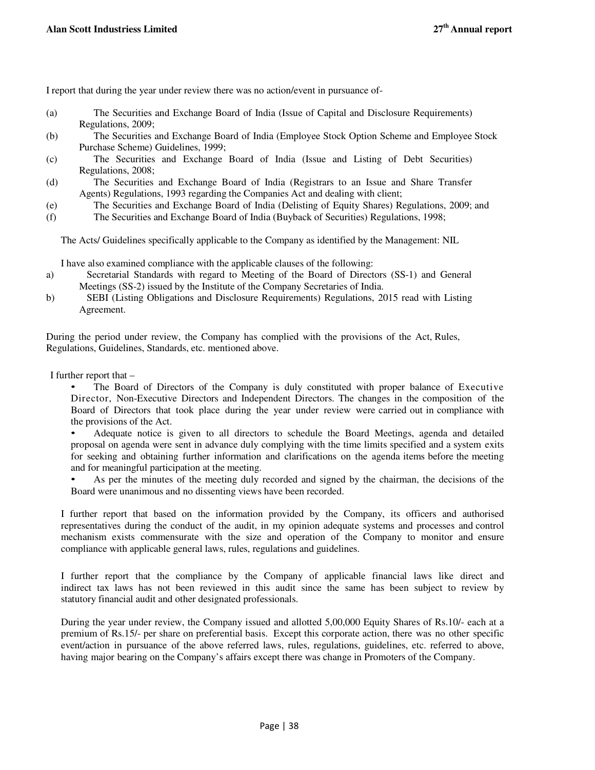I report that during the year under review there was no action/event in pursuance of-

- (a) The Securities and Exchange Board of India (Issue of Capital and Disclosure Requirements) Regulations, 2009;
- (b) The Securities and Exchange Board of India (Employee Stock Option Scheme and Employee Stock Purchase Scheme) Guidelines, 1999;
- (c) The Securities and Exchange Board of India (Issue and Listing of Debt Securities) Regulations, 2008;
- (d) The Securities and Exchange Board of India (Registrars to an Issue and Share Transfer Agents) Regulations, 1993 regarding the Companies Act and dealing with client;
- (e) The Securities and Exchange Board of India (Delisting of Equity Shares) Regulations, 2009; and
- (f) The Securities and Exchange Board of India (Buyback of Securities) Regulations, 1998;

The Acts/ Guidelines specifically applicable to the Company as identified by the Management: NIL

I have also examined compliance with the applicable clauses of the following:

- a) Secretarial Standards with regard to Meeting of the Board of Directors (SS-1) and General Meetings (SS-2) issued by the Institute of the Company Secretaries of India.
- b) SEBI (Listing Obligations and Disclosure Requirements) Regulations, 2015 read with Listing Agreement.

During the period under review, the Company has complied with the provisions of the Act, Rules, Regulations, Guidelines, Standards, etc. mentioned above.

I further report that –

• The Board of Directors of the Company is duly constituted with proper balance of Executive Director, Non-Executive Directors and Independent Directors. The changes in the composition of the Board of Directors that took place during the year under review were carried out in compliance with the provisions of the Act.

• Adequate notice is given to all directors to schedule the Board Meetings, agenda and detailed proposal on agenda were sent in advance duly complying with the time limits specified and a system exits for seeking and obtaining further information and clarifications on the agenda items before the meeting and for meaningful participation at the meeting.

• As per the minutes of the meeting duly recorded and signed by the chairman, the decisions of the Board were unanimous and no dissenting views have been recorded.

I further report that based on the information provided by the Company, its officers and authorised representatives during the conduct of the audit, in my opinion adequate systems and processes and control mechanism exists commensurate with the size and operation of the Company to monitor and ensure compliance with applicable general laws, rules, regulations and guidelines.

I further report that the compliance by the Company of applicable financial laws like direct and indirect tax laws has not been reviewed in this audit since the same has been subject to review by statutory financial audit and other designated professionals.

During the year under review, the Company issued and allotted 5,00,000 Equity Shares of Rs.10/- each at a premium of Rs.15/- per share on preferential basis. Except this corporate action, there was no other specific event/action in pursuance of the above referred laws, rules, regulations, guidelines, etc. referred to above, having major bearing on the Company's affairs except there was change in Promoters of the Company.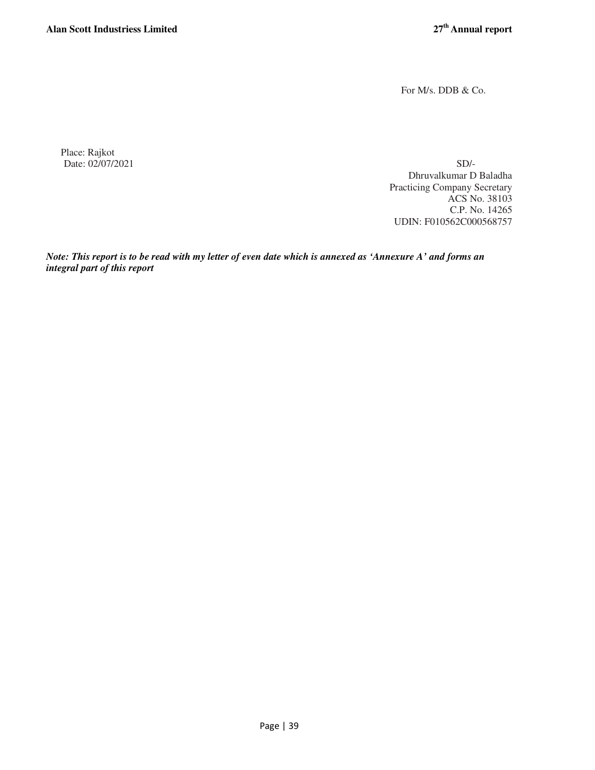For M/s. DDB & Co.

Place: Rajkot Date: 02/07/2021 SD/-

Dhruvalkumar D Baladha Practicing Company Secretary ACS No. 38103 C.P. No. 14265 UDIN: F010562C000568757

*Note: This report is to be read with my letter of even date which is annexed as 'Annexure A' and forms an integral part of this report*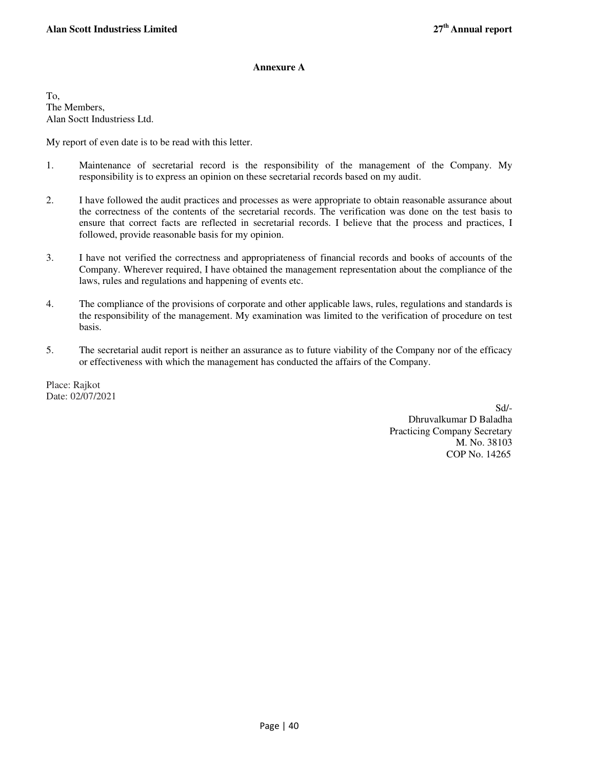## **Annexure A**

To, The Members, Alan Soctt Industriess Ltd.

My report of even date is to be read with this letter.

- 1. Maintenance of secretarial record is the responsibility of the management of the Company. My responsibility is to express an opinion on these secretarial records based on my audit.
- 2. I have followed the audit practices and processes as were appropriate to obtain reasonable assurance about the correctness of the contents of the secretarial records. The verification was done on the test basis to ensure that correct facts are reflected in secretarial records. I believe that the process and practices, I followed, provide reasonable basis for my opinion.
- 3. I have not verified the correctness and appropriateness of financial records and books of accounts of the Company. Wherever required, I have obtained the management representation about the compliance of the laws, rules and regulations and happening of events etc.
- 4. The compliance of the provisions of corporate and other applicable laws, rules, regulations and standards is the responsibility of the management. My examination was limited to the verification of procedure on test basis.
- 5. The secretarial audit report is neither an assurance as to future viability of the Company nor of the efficacy or effectiveness with which the management has conducted the affairs of the Company.

Place: Rajkot Date: 02/07/2021

> Sd/- Dhruvalkumar D Baladha Practicing Company Secretary M. No. 38103 COP No. 14265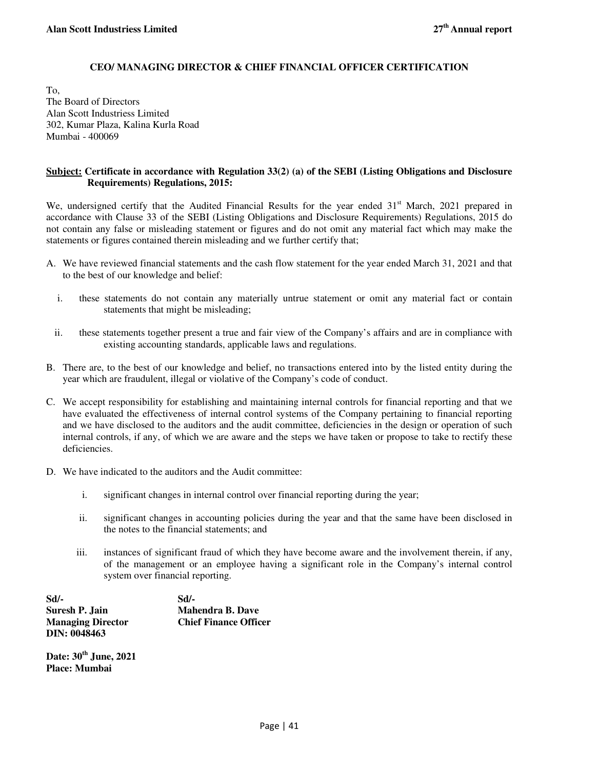## **CEO/ MANAGING DIRECTOR & CHIEF FINANCIAL OFFICER CERTIFICATION**

To, The Board of Directors Alan Scott Industriess Limited 302, Kumar Plaza, Kalina Kurla Road Mumbai - 400069

## **Subject: Certificate in accordance with Regulation 33(2) (a) of the SEBI (Listing Obligations and Disclosure Requirements) Regulations, 2015:**

We, undersigned certify that the Audited Financial Results for the year ended 31<sup>st</sup> March, 2021 prepared in accordance with Clause 33 of the SEBI (Listing Obligations and Disclosure Requirements) Regulations, 2015 do not contain any false or misleading statement or figures and do not omit any material fact which may make the statements or figures contained therein misleading and we further certify that;

- A. We have reviewed financial statements and the cash flow statement for the year ended March 31, 2021 and that to the best of our knowledge and belief:
	- i. these statements do not contain any materially untrue statement or omit any material fact or contain statements that might be misleading;
	- ii. these statements together present a true and fair view of the Company's affairs and are in compliance with existing accounting standards, applicable laws and regulations.
- B. There are, to the best of our knowledge and belief, no transactions entered into by the listed entity during the year which are fraudulent, illegal or violative of the Company's code of conduct.
- C. We accept responsibility for establishing and maintaining internal controls for financial reporting and that we have evaluated the effectiveness of internal control systems of the Company pertaining to financial reporting and we have disclosed to the auditors and the audit committee, deficiencies in the design or operation of such internal controls, if any, of which we are aware and the steps we have taken or propose to take to rectify these deficiencies.
- D. We have indicated to the auditors and the Audit committee:
	- i. significant changes in internal control over financial reporting during the year;
	- ii. significant changes in accounting policies during the year and that the same have been disclosed in the notes to the financial statements; and
	- iii. instances of significant fraud of which they have become aware and the involvement therein, if any, of the management or an employee having a significant role in the Company's internal control system over financial reporting.

**Sd/- Sd/- Suresh P. Jain Mahendra B. Dave Managing Director Chief Finance Officer DIN: 0048463** 

**Date: 30th June, 2021 Place: Mumbai**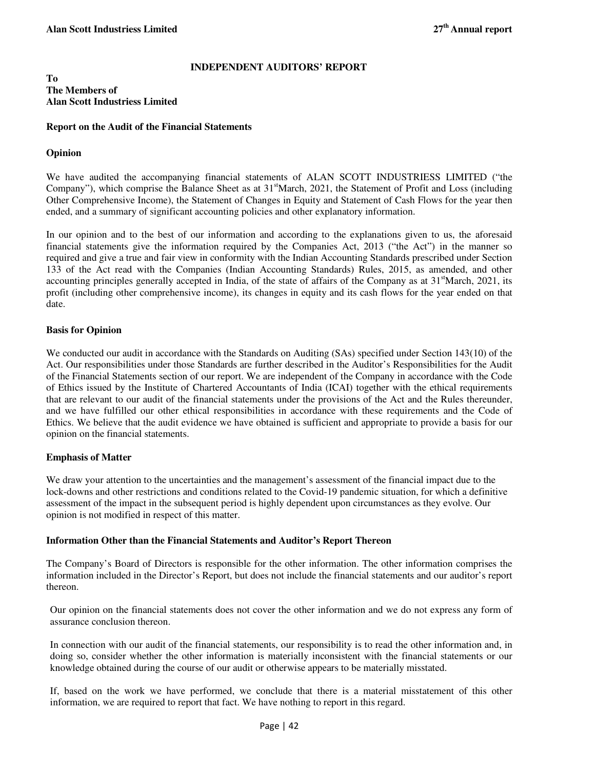## **INDEPENDENT AUDITORS' REPORT**

## **To The Members of Alan Scott Industriess Limited**

## **Report on the Audit of the Financial Statements**

## **Opinion**

We have audited the accompanying financial statements of ALAN SCOTT INDUSTRIESS LIMITED ("the Company"), which comprise the Balance Sheet as at 31<sup>st</sup>March, 2021, the Statement of Profit and Loss (including Other Comprehensive Income), the Statement of Changes in Equity and Statement of Cash Flows for the year then ended, and a summary of significant accounting policies and other explanatory information.

In our opinion and to the best of our information and according to the explanations given to us, the aforesaid financial statements give the information required by the Companies Act, 2013 ("the Act") in the manner so required and give a true and fair view in conformity with the Indian Accounting Standards prescribed under Section 133 of the Act read with the Companies (Indian Accounting Standards) Rules, 2015, as amended, and other accounting principles generally accepted in India, of the state of affairs of the Company as at  $31<sup>st</sup>$ March, 2021, its profit (including other comprehensive income), its changes in equity and its cash flows for the year ended on that date.

## **Basis for Opinion**

We conducted our audit in accordance with the Standards on Auditing (SAs) specified under Section 143(10) of the Act. Our responsibilities under those Standards are further described in the Auditor's Responsibilities for the Audit of the Financial Statements section of our report. We are independent of the Company in accordance with the Code of Ethics issued by the Institute of Chartered Accountants of India (ICAI) together with the ethical requirements that are relevant to our audit of the financial statements under the provisions of the Act and the Rules thereunder, and we have fulfilled our other ethical responsibilities in accordance with these requirements and the Code of Ethics. We believe that the audit evidence we have obtained is sufficient and appropriate to provide a basis for our opinion on the financial statements.

## **Emphasis of Matter**

We draw your attention to the uncertainties and the management's assessment of the financial impact due to the lock-downs and other restrictions and conditions related to the Covid-19 pandemic situation, for which a definitive assessment of the impact in the subsequent period is highly dependent upon circumstances as they evolve. Our opinion is not modified in respect of this matter.

## **Information Other than the Financial Statements and Auditor's Report Thereon**

The Company's Board of Directors is responsible for the other information. The other information comprises the information included in the Director's Report, but does not include the financial statements and our auditor's report thereon.

Our opinion on the financial statements does not cover the other information and we do not express any form of assurance conclusion thereon.

In connection with our audit of the financial statements, our responsibility is to read the other information and, in doing so, consider whether the other information is materially inconsistent with the financial statements or our knowledge obtained during the course of our audit or otherwise appears to be materially misstated.

If, based on the work we have performed, we conclude that there is a material misstatement of this other information, we are required to report that fact. We have nothing to report in this regard.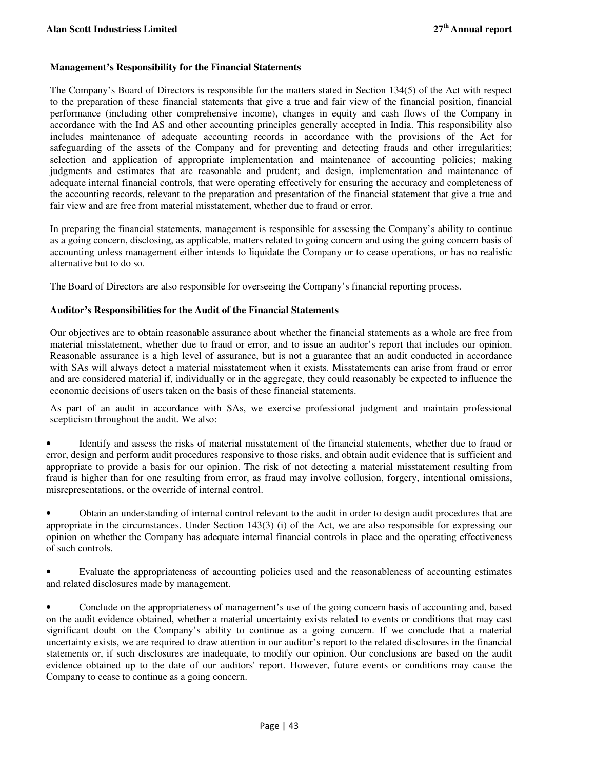## **Management's Responsibility for the Financial Statements**

The Company's Board of Directors is responsible for the matters stated in Section 134(5) of the Act with respect to the preparation of these financial statements that give a true and fair view of the financial position, financial performance (including other comprehensive income), changes in equity and cash flows of the Company in accordance with the Ind AS and other accounting principles generally accepted in India. This responsibility also includes maintenance of adequate accounting records in accordance with the provisions of the Act for safeguarding of the assets of the Company and for preventing and detecting frauds and other irregularities; selection and application of appropriate implementation and maintenance of accounting policies; making judgments and estimates that are reasonable and prudent; and design, implementation and maintenance of adequate internal financial controls, that were operating effectively for ensuring the accuracy and completeness of the accounting records, relevant to the preparation and presentation of the financial statement that give a true and fair view and are free from material misstatement, whether due to fraud or error.

In preparing the financial statements, management is responsible for assessing the Company's ability to continue as a going concern, disclosing, as applicable, matters related to going concern and using the going concern basis of accounting unless management either intends to liquidate the Company or to cease operations, or has no realistic alternative but to do so.

The Board of Directors are also responsible for overseeing the Company's financial reporting process.

## **Auditor's Responsibilities for the Audit of the Financial Statements**

Our objectives are to obtain reasonable assurance about whether the financial statements as a whole are free from material misstatement, whether due to fraud or error, and to issue an auditor's report that includes our opinion. Reasonable assurance is a high level of assurance, but is not a guarantee that an audit conducted in accordance with SAs will always detect a material misstatement when it exists. Misstatements can arise from fraud or error and are considered material if, individually or in the aggregate, they could reasonably be expected to influence the economic decisions of users taken on the basis of these financial statements.

As part of an audit in accordance with SAs, we exercise professional judgment and maintain professional scepticism throughout the audit. We also:

• Identify and assess the risks of material misstatement of the financial statements, whether due to fraud or error, design and perform audit procedures responsive to those risks, and obtain audit evidence that is sufficient and appropriate to provide a basis for our opinion. The risk of not detecting a material misstatement resulting from fraud is higher than for one resulting from error, as fraud may involve collusion, forgery, intentional omissions, misrepresentations, or the override of internal control.

• Obtain an understanding of internal control relevant to the audit in order to design audit procedures that are appropriate in the circumstances. Under Section 143(3) (i) of the Act, we are also responsible for expressing our opinion on whether the Company has adequate internal financial controls in place and the operating effectiveness of such controls.

• Evaluate the appropriateness of accounting policies used and the reasonableness of accounting estimates and related disclosures made by management.

• Conclude on the appropriateness of management's use of the going concern basis of accounting and, based on the audit evidence obtained, whether a material uncertainty exists related to events or conditions that may cast significant doubt on the Company's ability to continue as a going concern. If we conclude that a material uncertainty exists, we are required to draw attention in our auditor's report to the related disclosures in the financial statements or, if such disclosures are inadequate, to modify our opinion. Our conclusions are based on the audit evidence obtained up to the date of our auditors' report. However, future events or conditions may cause the Company to cease to continue as a going concern.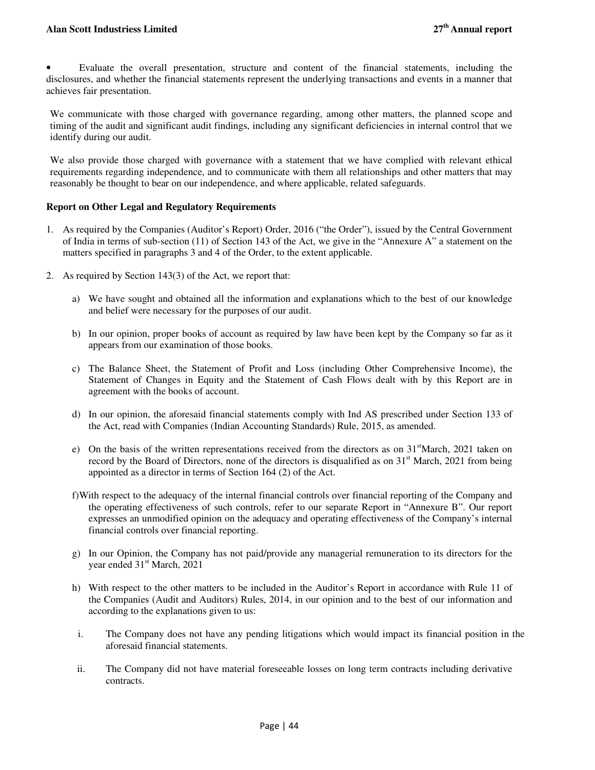## **Alan Scott Industriess Limited 27th Annual report**

• Evaluate the overall presentation, structure and content of the financial statements, including the disclosures, and whether the financial statements represent the underlying transactions and events in a manner that achieves fair presentation.

We communicate with those charged with governance regarding, among other matters, the planned scope and timing of the audit and significant audit findings, including any significant deficiencies in internal control that we identify during our audit.

We also provide those charged with governance with a statement that we have complied with relevant ethical requirements regarding independence, and to communicate with them all relationships and other matters that may reasonably be thought to bear on our independence, and where applicable, related safeguards.

## **Report on Other Legal and Regulatory Requirements**

- 1. As required by the Companies (Auditor's Report) Order, 2016 ("the Order"), issued by the Central Government of India in terms of sub-section (11) of Section 143 of the Act, we give in the "Annexure A" a statement on the matters specified in paragraphs 3 and 4 of the Order, to the extent applicable.
- 2. As required by Section 143(3) of the Act, we report that:
	- a) We have sought and obtained all the information and explanations which to the best of our knowledge and belief were necessary for the purposes of our audit.
	- b) In our opinion, proper books of account as required by law have been kept by the Company so far as it appears from our examination of those books.
	- c) The Balance Sheet, the Statement of Profit and Loss (including Other Comprehensive Income), the Statement of Changes in Equity and the Statement of Cash Flows dealt with by this Report are in agreement with the books of account.
	- d) In our opinion, the aforesaid financial statements comply with Ind AS prescribed under Section 133 of the Act, read with Companies (Indian Accounting Standards) Rule, 2015, as amended.
	- e) On the basis of the written representations received from the directors as on 31<sup>st</sup>March, 2021 taken on record by the Board of Directors, none of the directors is disqualified as on 31<sup>st</sup> March, 2021 from being appointed as a director in terms of Section 164 (2) of the Act.
	- f)With respect to the adequacy of the internal financial controls over financial reporting of the Company and the operating effectiveness of such controls, refer to our separate Report in "Annexure B". Our report expresses an unmodified opinion on the adequacy and operating effectiveness of the Company's internal financial controls over financial reporting.
	- g) In our Opinion, the Company has not paid/provide any managerial remuneration to its directors for the year ended 31<sup>st</sup> March, 2021
	- h) With respect to the other matters to be included in the Auditor's Report in accordance with Rule 11 of the Companies (Audit and Auditors) Rules, 2014, in our opinion and to the best of our information and according to the explanations given to us:
	- i. The Company does not have any pending litigations which would impact its financial position in the aforesaid financial statements.
	- ii. The Company did not have material foreseeable losses on long term contracts including derivative contracts.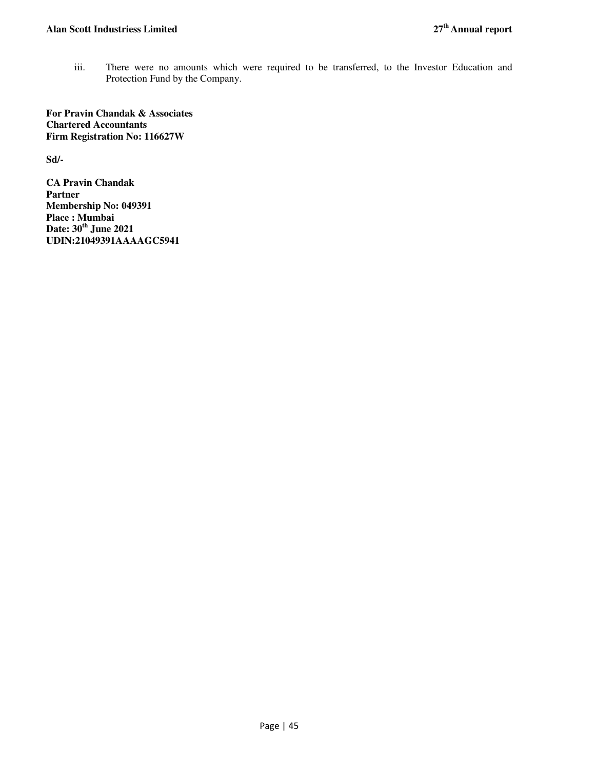iii. There were no amounts which were required to be transferred, to the Investor Education and Protection Fund by the Company.

**For Pravin Chandak & Associates Chartered Accountants Firm Registration No: 116627W**

**Sd/-** 

**CA Pravin Chandak Partner Membership No: 049391 Place : Mumbai Date: 30th June 2021 UDIN:21049391AAAAGC5941**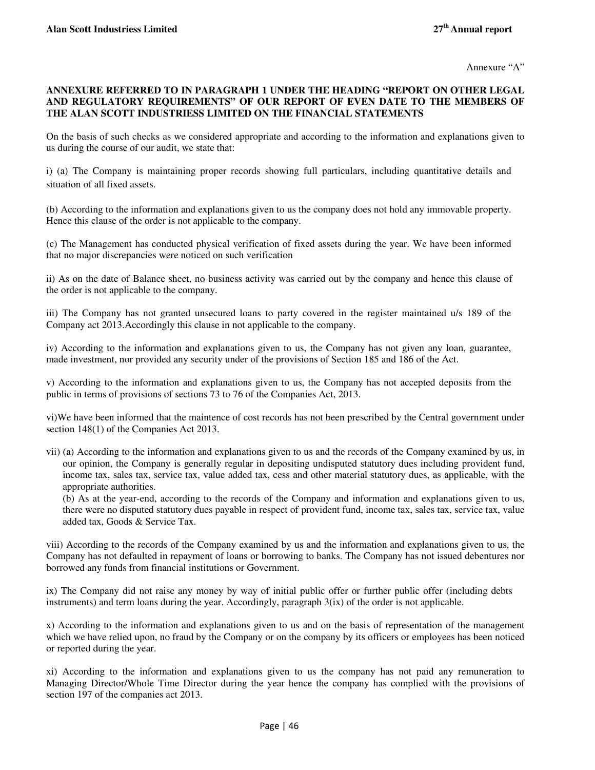## **ANNEXURE REFERRED TO IN PARAGRAPH 1 UNDER THE HEADING "REPORT ON OTHER LEGAL AND REGULATORY REQUIREMENTS" OF OUR REPORT OF EVEN DATE TO THE MEMBERS OF THE ALAN SCOTT INDUSTRIESS LIMITED ON THE FINANCIAL STATEMENTS**

On the basis of such checks as we considered appropriate and according to the information and explanations given to us during the course of our audit, we state that:

i) (a) The Company is maintaining proper records showing full particulars, including quantitative details and situation of all fixed assets.

(b) According to the information and explanations given to us the company does not hold any immovable property. Hence this clause of the order is not applicable to the company.

(c) The Management has conducted physical verification of fixed assets during the year. We have been informed that no major discrepancies were noticed on such verification

ii) As on the date of Balance sheet, no business activity was carried out by the company and hence this clause of the order is not applicable to the company.

iii) The Company has not granted unsecured loans to party covered in the register maintained u/s 189 of the Company act 2013.Accordingly this clause in not applicable to the company.

iv) According to the information and explanations given to us, the Company has not given any loan, guarantee, made investment, nor provided any security under of the provisions of Section 185 and 186 of the Act.

v) According to the information and explanations given to us, the Company has not accepted deposits from the public in terms of provisions of sections 73 to 76 of the Companies Act, 2013.

vi)We have been informed that the maintence of cost records has not been prescribed by the Central government under section 148(1) of the Companies Act 2013.

vii) (a) According to the information and explanations given to us and the records of the Company examined by us, in our opinion, the Company is generally regular in depositing undisputed statutory dues including provident fund, income tax, sales tax, service tax, value added tax, cess and other material statutory dues, as applicable, with the appropriate authorities.

(b) As at the year-end, according to the records of the Company and information and explanations given to us, there were no disputed statutory dues payable in respect of provident fund, income tax, sales tax, service tax, value added tax, Goods & Service Tax.

viii) According to the records of the Company examined by us and the information and explanations given to us, the Company has not defaulted in repayment of loans or borrowing to banks. The Company has not issued debentures nor borrowed any funds from financial institutions or Government.

ix) The Company did not raise any money by way of initial public offer or further public offer (including debts instruments) and term loans during the year. Accordingly, paragraph 3(ix) of the order is not applicable.

x) According to the information and explanations given to us and on the basis of representation of the management which we have relied upon, no fraud by the Company or on the company by its officers or employees has been noticed or reported during the year.

xi) According to the information and explanations given to us the company has not paid any remuneration to Managing Director/Whole Time Director during the year hence the company has complied with the provisions of section 197 of the companies act 2013.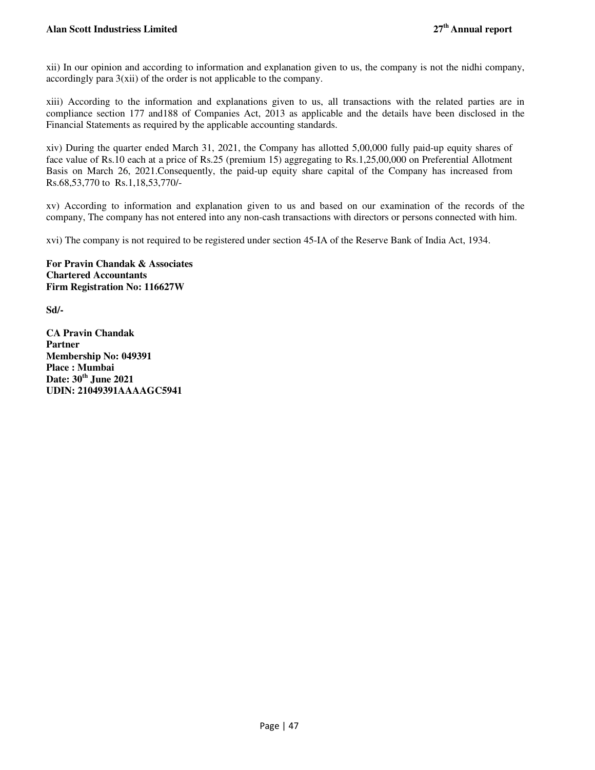xii) In our opinion and according to information and explanation given to us, the company is not the nidhi company, accordingly para 3(xii) of the order is not applicable to the company.

xiii) According to the information and explanations given to us, all transactions with the related parties are in compliance section 177 and188 of Companies Act, 2013 as applicable and the details have been disclosed in the Financial Statements as required by the applicable accounting standards.

xiv) During the quarter ended March 31, 2021, the Company has allotted 5,00,000 fully paid-up equity shares of face value of Rs.10 each at a price of Rs.25 (premium 15) aggregating to Rs.1,25,00,000 on Preferential Allotment Basis on March 26, 2021.Consequently, the paid-up equity share capital of the Company has increased from Rs.68,53,770 to Rs.1,18,53,770/-

xv) According to information and explanation given to us and based on our examination of the records of the company, The company has not entered into any non-cash transactions with directors or persons connected with him.

xvi) The company is not required to be registered under section 45-IA of the Reserve Bank of India Act, 1934.

**For Pravin Chandak & Associates Chartered Accountants Firm Registration No: 116627W**

**Sd/-** 

**CA Pravin Chandak Partner Membership No: 049391 Place : Mumbai Date: 30th June 2021 UDIN: 21049391AAAAGC5941**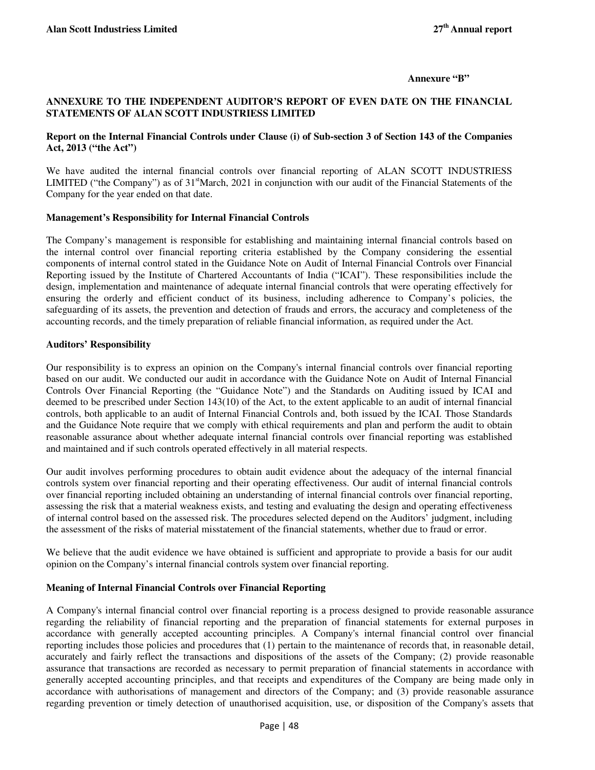#### **Annexure "B"**

## **ANNEXURE TO THE INDEPENDENT AUDITOR'S REPORT OF EVEN DATE ON THE FINANCIAL STATEMENTS OF ALAN SCOTT INDUSTRIESS LIMITED**

## **Report on the Internal Financial Controls under Clause (i) of Sub-section 3 of Section 143 of the Companies Act, 2013 ("the Act")**

We have audited the internal financial controls over financial reporting of ALAN SCOTT INDUSTRIESS LIMITED ("the Company") as of  $31<sup>st</sup>$ March, 2021 in conjunction with our audit of the Financial Statements of the Company for the year ended on that date.

## **Management's Responsibility for Internal Financial Controls**

The Company's management is responsible for establishing and maintaining internal financial controls based on the internal control over financial reporting criteria established by the Company considering the essential components of internal control stated in the Guidance Note on Audit of Internal Financial Controls over Financial Reporting issued by the Institute of Chartered Accountants of India ("ICAI"). These responsibilities include the design, implementation and maintenance of adequate internal financial controls that were operating effectively for ensuring the orderly and efficient conduct of its business, including adherence to Company's policies, the safeguarding of its assets, the prevention and detection of frauds and errors, the accuracy and completeness of the accounting records, and the timely preparation of reliable financial information, as required under the Act.

## **Auditors' Responsibility**

Our responsibility is to express an opinion on the Company's internal financial controls over financial reporting based on our audit. We conducted our audit in accordance with the Guidance Note on Audit of Internal Financial Controls Over Financial Reporting (the "Guidance Note") and the Standards on Auditing issued by ICAI and deemed to be prescribed under Section 143(10) of the Act, to the extent applicable to an audit of internal financial controls, both applicable to an audit of Internal Financial Controls and, both issued by the ICAI. Those Standards and the Guidance Note require that we comply with ethical requirements and plan and perform the audit to obtain reasonable assurance about whether adequate internal financial controls over financial reporting was established and maintained and if such controls operated effectively in all material respects.

Our audit involves performing procedures to obtain audit evidence about the adequacy of the internal financial controls system over financial reporting and their operating effectiveness. Our audit of internal financial controls over financial reporting included obtaining an understanding of internal financial controls over financial reporting, assessing the risk that a material weakness exists, and testing and evaluating the design and operating effectiveness of internal control based on the assessed risk. The procedures selected depend on the Auditors' judgment, including the assessment of the risks of material misstatement of the financial statements, whether due to fraud or error.

We believe that the audit evidence we have obtained is sufficient and appropriate to provide a basis for our audit opinion on the Company's internal financial controls system over financial reporting.

## **Meaning of Internal Financial Controls over Financial Reporting**

A Company's internal financial control over financial reporting is a process designed to provide reasonable assurance regarding the reliability of financial reporting and the preparation of financial statements for external purposes in accordance with generally accepted accounting principles. A Company's internal financial control over financial reporting includes those policies and procedures that (1) pertain to the maintenance of records that, in reasonable detail, accurately and fairly reflect the transactions and dispositions of the assets of the Company; (2) provide reasonable assurance that transactions are recorded as necessary to permit preparation of financial statements in accordance with generally accepted accounting principles, and that receipts and expenditures of the Company are being made only in accordance with authorisations of management and directors of the Company; and (3) provide reasonable assurance regarding prevention or timely detection of unauthorised acquisition, use, or disposition of the Company's assets that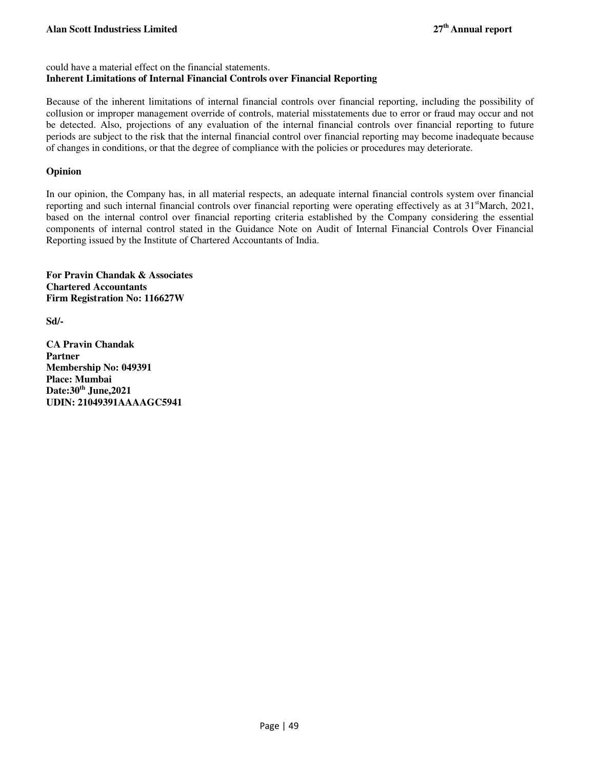could have a material effect on the financial statements.

## **Inherent Limitations of Internal Financial Controls over Financial Reporting**

Because of the inherent limitations of internal financial controls over financial reporting, including the possibility of collusion or improper management override of controls, material misstatements due to error or fraud may occur and not be detected. Also, projections of any evaluation of the internal financial controls over financial reporting to future periods are subject to the risk that the internal financial control over financial reporting may become inadequate because of changes in conditions, or that the degree of compliance with the policies or procedures may deteriorate.

## **Opinion**

In our opinion, the Company has, in all material respects, an adequate internal financial controls system over financial reporting and such internal financial controls over financial reporting were operating effectively as at 31<sup>st</sup>March, 2021, based on the internal control over financial reporting criteria established by the Company considering the essential components of internal control stated in the Guidance Note on Audit of Internal Financial Controls Over Financial Reporting issued by the Institute of Chartered Accountants of India.

**For Pravin Chandak & Associates Chartered Accountants Firm Registration No: 116627W**

**Sd/-** 

**CA Pravin Chandak Partner Membership No: 049391 Place: Mumbai Date:30th June,2021 UDIN: 21049391AAAAGC5941**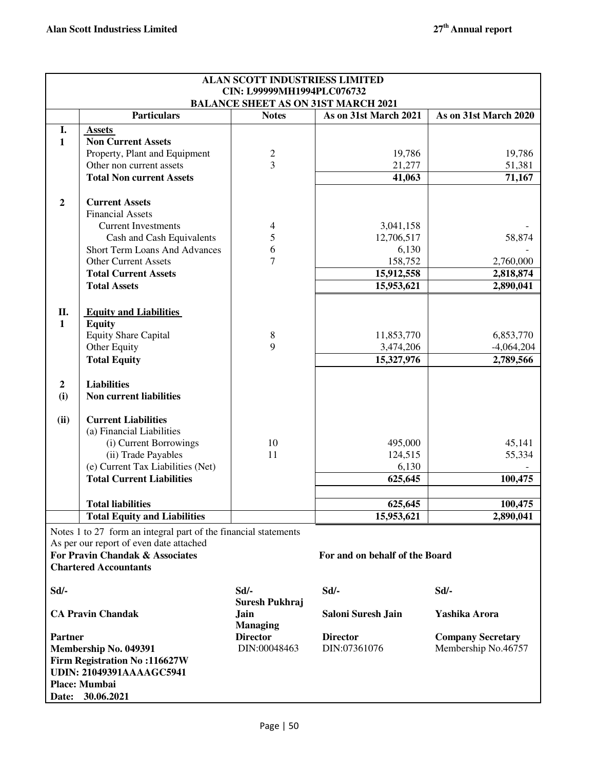|                |                                                                            | <b>ALAN SCOTT INDUSTRIESS LIMITED</b> |                                            |                          |
|----------------|----------------------------------------------------------------------------|---------------------------------------|--------------------------------------------|--------------------------|
|                |                                                                            | CIN: L99999MH1994PLC076732            |                                            |                          |
|                |                                                                            |                                       | <b>BALANCE SHEET AS ON 31ST MARCH 2021</b> |                          |
|                | <b>Particulars</b>                                                         | <b>Notes</b>                          | As on 31st March 2021                      | As on 31st March 2020    |
| I.             | <b>Assets</b>                                                              |                                       |                                            |                          |
| $\mathbf{1}$   | <b>Non Current Assets</b>                                                  |                                       |                                            |                          |
|                | Property, Plant and Equipment                                              | $\overline{c}$                        | 19,786                                     | 19,786                   |
|                | Other non current assets                                                   | $\overline{3}$                        | 21,277                                     | 51,381                   |
|                | <b>Total Non current Assets</b>                                            |                                       | 41,063                                     | 71,167                   |
| $\mathbf{2}$   | <b>Current Assets</b>                                                      |                                       |                                            |                          |
|                | <b>Financial Assets</b>                                                    |                                       |                                            |                          |
|                | <b>Current Investments</b>                                                 | 4                                     | 3,041,158                                  |                          |
|                | Cash and Cash Equivalents                                                  | 5                                     | 12,706,517                                 | 58,874                   |
|                | <b>Short Term Loans And Advances</b>                                       | 6                                     | 6,130                                      |                          |
|                | <b>Other Current Assets</b>                                                | $\overline{7}$                        | 158,752                                    | 2,760,000                |
|                | <b>Total Current Assets</b>                                                |                                       | 15,912,558                                 | 2,818,874                |
|                | <b>Total Assets</b>                                                        |                                       | 15,953,621                                 | 2,890,041                |
|                |                                                                            |                                       |                                            |                          |
| П.             | <b>Equity and Liabilities</b>                                              |                                       |                                            |                          |
| $\mathbf{1}$   | <b>Equity</b>                                                              |                                       |                                            |                          |
|                | <b>Equity Share Capital</b>                                                | 8                                     | 11,853,770                                 | 6,853,770                |
|                | Other Equity                                                               | 9                                     | 3,474,206                                  | $-4,064,204$             |
|                | <b>Total Equity</b>                                                        |                                       | 15,327,976                                 | 2,789,566                |
| $\overline{2}$ | <b>Liabilities</b>                                                         |                                       |                                            |                          |
| (i)            | <b>Non current liabilities</b>                                             |                                       |                                            |                          |
|                |                                                                            |                                       |                                            |                          |
| (ii)           | <b>Current Liabilities</b>                                                 |                                       |                                            |                          |
|                | (a) Financial Liabilities                                                  |                                       |                                            |                          |
|                | (i) Current Borrowings                                                     | 10                                    | 495,000                                    | 45,141                   |
|                | (ii) Trade Payables                                                        | 11                                    | 124,515                                    | 55,334                   |
|                | (e) Current Tax Liabilities (Net)                                          |                                       | 6,130                                      |                          |
|                | <b>Total Current Liabilities</b>                                           |                                       | 625,645                                    | 100,475                  |
|                | <b>Total liabilities</b>                                                   |                                       |                                            |                          |
|                | <b>Total Equity and Liabilities</b>                                        |                                       | 625,645<br>15,953,621                      | 100,475<br>2,890,041     |
|                |                                                                            |                                       |                                            |                          |
|                | Notes 1 to 27 form an integral part of the financial statements            |                                       |                                            |                          |
|                | As per our report of even date attached<br>For Pravin Chandak & Associates |                                       | For and on behalf of the Board             |                          |
|                | <b>Chartered Accountants</b>                                               |                                       |                                            |                          |
|                |                                                                            |                                       |                                            |                          |
| Sd             |                                                                            | $Sd$ /-                               | $Sd$ /-                                    | Sd/-                     |
|                |                                                                            | Suresh Pukhraj                        |                                            |                          |
|                | <b>CA Pravin Chandak</b>                                                   | Jain                                  | Saloni Suresh Jain                         | Yashika Arora            |
|                |                                                                            | <b>Managing</b>                       |                                            |                          |
| <b>Partner</b> |                                                                            | <b>Director</b>                       | <b>Director</b>                            | <b>Company Secretary</b> |
|                | Membership No. 049391                                                      | DIN:00048463                          | DIN:07361076                               | Membership No.46757      |
|                | <b>Firm Registration No:116627W</b>                                        |                                       |                                            |                          |
|                | <b>UDIN: 21049391AAAAGC5941</b>                                            |                                       |                                            |                          |
|                | Place: Mumbai                                                              |                                       |                                            |                          |
|                | Date: 30.06.2021                                                           |                                       |                                            |                          |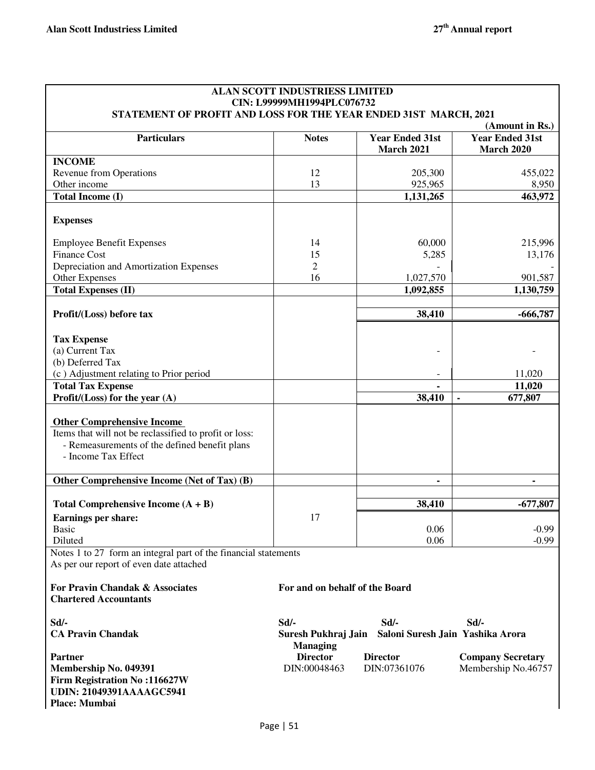| STATEMENT OF PROFIT AND LOSS FOR THE YEAR ENDED 31ST MARCH, 2021                                           | <b>ALAN SCOTT INDUSTRIESS LIMITED</b><br>CIN: L99999MH1994PLC076732 |                                             |                                                                |
|------------------------------------------------------------------------------------------------------------|---------------------------------------------------------------------|---------------------------------------------|----------------------------------------------------------------|
| <b>Particulars</b>                                                                                         | <b>Notes</b>                                                        | <b>Year Ended 31st</b><br><b>March 2021</b> | (Amount in Rs.)<br><b>Year Ended 31st</b><br><b>March 2020</b> |
| <b>INCOME</b>                                                                                              |                                                                     |                                             |                                                                |
| <b>Revenue from Operations</b>                                                                             | 12                                                                  | 205,300                                     | 455,022                                                        |
| Other income                                                                                               | 13                                                                  | 925,965                                     | 8,950<br>463,972                                               |
| Total Income (I)                                                                                           |                                                                     | 1,131,265                                   |                                                                |
| <b>Expenses</b>                                                                                            |                                                                     |                                             |                                                                |
| <b>Employee Benefit Expenses</b>                                                                           | 14                                                                  | 60,000                                      | 215,996                                                        |
| <b>Finance Cost</b>                                                                                        | 15                                                                  | 5,285                                       | 13,176                                                         |
| Depreciation and Amortization Expenses                                                                     | $\mathfrak{2}$                                                      |                                             |                                                                |
| Other Expenses                                                                                             | 16                                                                  | 1,027,570                                   | 901,587                                                        |
| <b>Total Expenses (II)</b>                                                                                 |                                                                     | 1,092,855                                   | 1,130,759                                                      |
| Profit/(Loss) before tax                                                                                   |                                                                     | 38,410                                      | $-666,787$                                                     |
|                                                                                                            |                                                                     |                                             |                                                                |
| <b>Tax Expense</b>                                                                                         |                                                                     |                                             |                                                                |
| (a) Current Tax                                                                                            |                                                                     |                                             |                                                                |
| (b) Deferred Tax                                                                                           |                                                                     |                                             |                                                                |
| (c) Adjustment relating to Prior period                                                                    |                                                                     |                                             | 11,020                                                         |
| <b>Total Tax Expense</b>                                                                                   |                                                                     |                                             | 11,020                                                         |
| Profit/ $(Loss)$ for the year $(A)$                                                                        |                                                                     | 38,410                                      | 677,807                                                        |
| <b>Other Comprehensive Income</b>                                                                          |                                                                     |                                             |                                                                |
| Items that will not be reclassified to profit or loss:<br>- Remeasurements of the defined benefit plans    |                                                                     |                                             |                                                                |
| - Income Tax Effect                                                                                        |                                                                     |                                             |                                                                |
|                                                                                                            |                                                                     |                                             |                                                                |
| Other Comprehensive Income (Net of Tax) (B)                                                                |                                                                     | ٠                                           | ٠                                                              |
| Total Comprehensive Income $(A + B)$                                                                       |                                                                     | 38,410                                      | $-677,807$                                                     |
| <b>Earnings per share:</b>                                                                                 | 17                                                                  |                                             |                                                                |
| <b>Basic</b>                                                                                               |                                                                     | 0.06                                        | $-0.99$                                                        |
| Diluted                                                                                                    |                                                                     | 0.06                                        | $-0.99$                                                        |
| Notes 1 to 27 form an integral part of the financial statements<br>As per our report of even date attached |                                                                     |                                             |                                                                |
| For Pravin Chandak & Associates                                                                            | For and on behalf of the Board                                      |                                             |                                                                |
| <b>Chartered Accountants</b>                                                                               |                                                                     |                                             |                                                                |
| Sd/-                                                                                                       | Sd/-                                                                | Sd/-                                        | $Sd$ /-                                                        |
| <b>CA Pravin Chandak</b>                                                                                   | Suresh Pukhraj Jain                                                 | Saloni Suresh Jain Yashika Arora            |                                                                |
| <b>Partner</b>                                                                                             | <b>Managing</b><br><b>Director</b>                                  | <b>Director</b>                             | <b>Company Secretary</b>                                       |
| Membership No. 049391                                                                                      | DIN:00048463                                                        | DIN:07361076                                | Membership No.46757                                            |
| <b>Firm Registration No:116627W</b><br><b>UDIN: 21049391AAAAGC5941</b><br>Place: Mumbai                    |                                                                     |                                             |                                                                |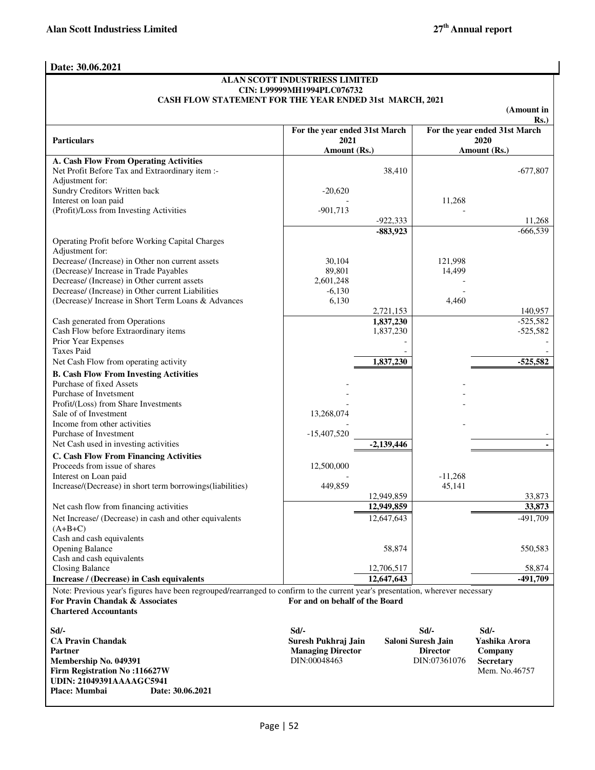## **Date: 30.06.2021**

#### **ALAN SCOTT INDUSTRIESS LIMITED CIN: L99999MH1994PLC076732 CASH FLOW STATEMENT FOR THE YEAR ENDED 31st MARCH, 2021**

|                                                                                                                                                                   |                                |              |                     | (Amount in<br>Rs.             |
|-------------------------------------------------------------------------------------------------------------------------------------------------------------------|--------------------------------|--------------|---------------------|-------------------------------|
|                                                                                                                                                                   | For the year ended 31st March  |              |                     | For the year ended 31st March |
| <b>Particulars</b>                                                                                                                                                | 2021                           |              |                     | 2020                          |
|                                                                                                                                                                   | Amount (Rs.)                   |              |                     | Amount (Rs.)                  |
| A. Cash Flow From Operating Activities<br>Net Profit Before Tax and Extraordinary item :-                                                                         |                                | 38,410       |                     | $-677,807$                    |
| Adjustment for:                                                                                                                                                   |                                |              |                     |                               |
| Sundry Creditors Written back                                                                                                                                     | $-20,620$                      |              |                     |                               |
| Interest on loan paid                                                                                                                                             |                                |              | 11,268              |                               |
| (Profit)/Loss from Investing Activities                                                                                                                           | $-901,713$                     |              |                     |                               |
|                                                                                                                                                                   |                                | $-922,333$   |                     | 11,268                        |
|                                                                                                                                                                   |                                | $-883,923$   |                     | $-666,539$                    |
| Operating Profit before Working Capital Charges<br>Adjustment for:                                                                                                |                                |              |                     |                               |
| Decrease/ (Increase) in Other non current assets                                                                                                                  | 30,104                         |              | 121,998             |                               |
| (Decrease)/ Increase in Trade Payables                                                                                                                            | 89,801                         |              | 14,499              |                               |
| Decrease/ (Increase) in Other current assets                                                                                                                      | 2,601,248                      |              |                     |                               |
| Decrease/ (Increase) in Other current Liabilities                                                                                                                 | $-6,130$                       |              |                     |                               |
| (Decrease)/ Increase in Short Term Loans & Advances                                                                                                               | 6,130                          |              | 4,460               |                               |
|                                                                                                                                                                   |                                | 2,721,153    |                     | 140,957                       |
| Cash generated from Operations                                                                                                                                    |                                | 1,837,230    |                     | $-525,582$                    |
| Cash Flow before Extraordinary items                                                                                                                              |                                | 1,837,230    |                     | $-525,582$                    |
| Prior Year Expenses<br><b>Taxes Paid</b>                                                                                                                          |                                |              |                     |                               |
| Net Cash Flow from operating activity                                                                                                                             |                                | 1,837,230    |                     | $-525,582$                    |
| <b>B. Cash Flow From Investing Activities</b>                                                                                                                     |                                |              |                     |                               |
| Purchase of fixed Assets                                                                                                                                          |                                |              |                     |                               |
| Purchase of Invetsment                                                                                                                                            |                                |              |                     |                               |
| Profit/(Loss) from Share Investments                                                                                                                              |                                |              |                     |                               |
| Sale of of Investment                                                                                                                                             | 13,268,074                     |              |                     |                               |
| Income from other activities                                                                                                                                      |                                |              |                     |                               |
| Purchase of Investment                                                                                                                                            | $-15,407,520$                  |              |                     |                               |
| Net Cash used in investing activities                                                                                                                             |                                | $-2,139,446$ |                     |                               |
| <b>C. Cash Flow From Financing Activities</b>                                                                                                                     |                                |              |                     |                               |
| Proceeds from issue of shares                                                                                                                                     | 12,500,000                     |              |                     |                               |
| Interest on Loan paid<br>Increase/(Decrease) in short term borrowings(liabilities)                                                                                | 449,859                        |              | $-11,268$<br>45,141 |                               |
|                                                                                                                                                                   |                                | 12,949,859   |                     | 33,873                        |
| Net cash flow from financing activities                                                                                                                           |                                | 12,949,859   |                     | 33,873                        |
| Net Increase/ (Decrease) in cash and other equivalents                                                                                                            |                                | 12,647,643   |                     | $-491,709$                    |
| $(A+B+C)$                                                                                                                                                         |                                |              |                     |                               |
| Cash and cash equivalents                                                                                                                                         |                                |              |                     |                               |
| <b>Opening Balance</b>                                                                                                                                            |                                | 58,874       |                     | 550,583                       |
| Cash and cash equivalents                                                                                                                                         |                                |              |                     |                               |
| <b>Closing Balance</b>                                                                                                                                            |                                | 12,706,517   |                     | 58,874                        |
| Increase / (Decrease) in Cash equivalents                                                                                                                         |                                | 12,647,643   |                     | $-491,709$                    |
| Note: Previous year's figures have been regrouped/rearranged to confirm to the current year's presentation, wherever necessary<br>For Pravin Chandak & Associates | For and on behalf of the Board |              |                     |                               |
| <b>Chartered Accountants</b>                                                                                                                                      |                                |              |                     |                               |
|                                                                                                                                                                   |                                |              |                     |                               |
| Sd                                                                                                                                                                | $Sd$ .                         |              | Sd                  | $Sd$ /-                       |
| <b>CA Pravin Chandak</b>                                                                                                                                          | Suresh Pukhraj Jain            |              | Saloni Suresh Jain  | Yashika Arora                 |
| <b>Partner</b>                                                                                                                                                    | <b>Managing Director</b>       |              | <b>Director</b>     | Company                       |
| Membership No. 049391                                                                                                                                             | DIN:00048463                   |              | DIN:07361076        | <b>Secretary</b>              |
| <b>Firm Registration No:116627W</b><br><b>UDIN: 21049391AAAAGC5941</b>                                                                                            |                                |              |                     | Mem. No.46757                 |
| Place: Mumbai<br>Date: 30.06.2021                                                                                                                                 |                                |              |                     |                               |
|                                                                                                                                                                   |                                |              |                     |                               |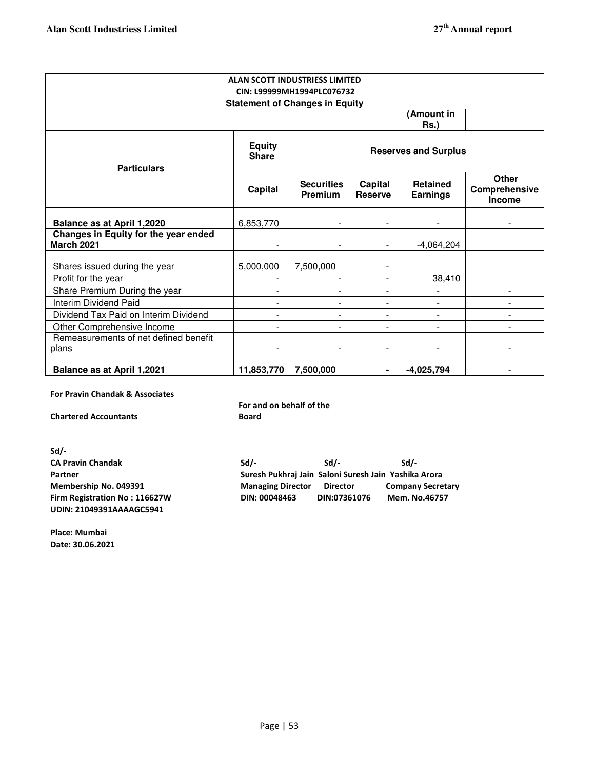| <b>ALAN SCOTT INDUSTRIESS LIMITED</b><br>CIN: L99999MH1994PLC076732<br><b>Statement of Changes in Equity</b> |                               |                                     |                           |                                    |                                                |  |
|--------------------------------------------------------------------------------------------------------------|-------------------------------|-------------------------------------|---------------------------|------------------------------------|------------------------------------------------|--|
| (Amount in<br>$Rs.$ )                                                                                        |                               |                                     |                           |                                    |                                                |  |
| <b>Particulars</b>                                                                                           | <b>Equity</b><br><b>Share</b> | <b>Reserves and Surplus</b>         |                           |                                    |                                                |  |
|                                                                                                              | Capital                       | <b>Securities</b><br><b>Premium</b> | Capital<br><b>Reserve</b> | <b>Retained</b><br><b>Earnings</b> | <b>Other</b><br>Comprehensive<br><b>Income</b> |  |
| <b>Balance as at April 1,2020</b>                                                                            | 6,853,770                     | $\overline{\phantom{a}}$            |                           |                                    |                                                |  |
| Changes in Equity for the year ended<br><b>March 2021</b>                                                    |                               |                                     |                           | $-4,064,204$                       |                                                |  |
| Shares issued during the year                                                                                | 5,000,000                     | 7,500,000                           |                           |                                    |                                                |  |
| Profit for the year                                                                                          |                               |                                     |                           | 38,410                             |                                                |  |
| Share Premium During the year                                                                                |                               | ۰                                   |                           |                                    |                                                |  |
| Interim Dividend Paid                                                                                        |                               | ÷                                   | $\overline{a}$            |                                    |                                                |  |
| Dividend Tax Paid on Interim Dividend                                                                        |                               | $\blacksquare$                      | ÷                         |                                    |                                                |  |
| Other Comprehensive Income                                                                                   |                               |                                     | $\overline{\phantom{a}}$  |                                    |                                                |  |
| Remeasurements of net defined benefit                                                                        |                               |                                     |                           |                                    |                                                |  |
| plans                                                                                                        |                               |                                     |                           |                                    |                                                |  |
| <b>Balance as at April 1,2021</b>                                                                            | 11,853,770                    | 7,500,000                           |                           | $-4,025,794$                       |                                                |  |

**For Pravin Chandak & Associates** 

**Chartered Accountants**

**For and on behalf of the Board**

**Sd/- CA Pravin Chandak Sd/- Sd/- Sd/- Partner Suresh Pukhraj Jain Saloni Suresh Jain Yashika Arora Membership No. 049391 Managing Director Director Company Secretary Firm Registration No : 116627W DIN: 00048463 DIN:07361076 Mem. No.46757 UDIN: 21049391AAAAGC5941**

**Place: Mumbai Date: 30.06.2021**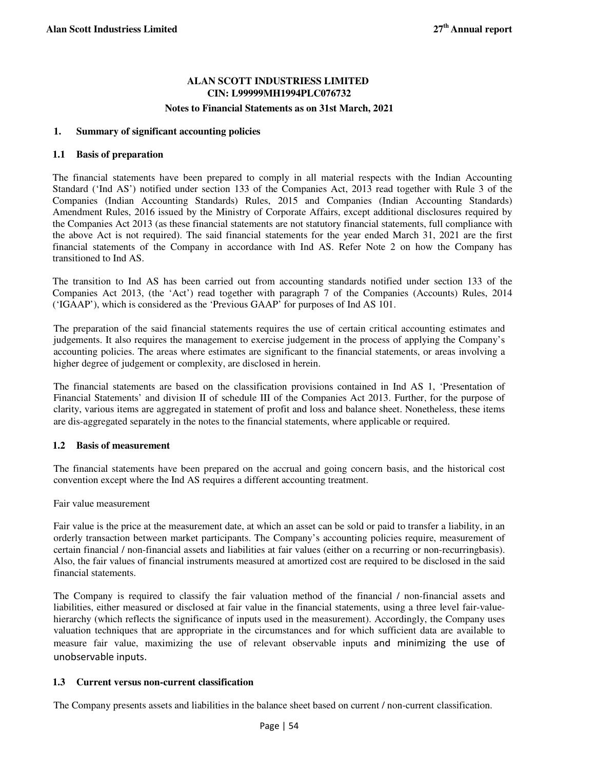## **ALAN SCOTT INDUSTRIESS LIMITED CIN: L99999MH1994PLC076732**

#### **Notes to Financial Statements as on 31st March, 2021**

## **1. Summary of significant accounting policies**

#### **1.1 Basis of preparation**

The financial statements have been prepared to comply in all material respects with the Indian Accounting Standard ('Ind AS') notified under section 133 of the Companies Act, 2013 read together with Rule 3 of the Companies (Indian Accounting Standards) Rules, 2015 and Companies (Indian Accounting Standards) Amendment Rules, 2016 issued by the Ministry of Corporate Affairs, except additional disclosures required by the Companies Act 2013 (as these financial statements are not statutory financial statements, full compliance with the above Act is not required). The said financial statements for the year ended March 31, 2021 are the first financial statements of the Company in accordance with Ind AS. Refer Note 2 on how the Company has transitioned to Ind AS.

The transition to Ind AS has been carried out from accounting standards notified under section 133 of the Companies Act 2013, (the 'Act') read together with paragraph 7 of the Companies (Accounts) Rules, 2014 ('IGAAP'), which is considered as the 'Previous GAAP' for purposes of Ind AS 101.

The preparation of the said financial statements requires the use of certain critical accounting estimates and judgements. It also requires the management to exercise judgement in the process of applying the Company's accounting policies. The areas where estimates are significant to the financial statements, or areas involving a higher degree of judgement or complexity, are disclosed in herein.

The financial statements are based on the classification provisions contained in Ind AS 1, 'Presentation of Financial Statements' and division II of schedule III of the Companies Act 2013. Further, for the purpose of clarity, various items are aggregated in statement of profit and loss and balance sheet. Nonetheless, these items are dis-aggregated separately in the notes to the financial statements, where applicable or required.

## **1.2 Basis of measurement**

The financial statements have been prepared on the accrual and going concern basis, and the historical cost convention except where the Ind AS requires a different accounting treatment.

Fair value measurement

Fair value is the price at the measurement date, at which an asset can be sold or paid to transfer a liability, in an orderly transaction between market participants. The Company's accounting policies require, measurement of certain financial / non-financial assets and liabilities at fair values (either on a recurring or non-recurringbasis). Also, the fair values of financial instruments measured at amortized cost are required to be disclosed in the said financial statements.

The Company is required to classify the fair valuation method of the financial / non-financial assets and liabilities, either measured or disclosed at fair value in the financial statements, using a three level fair-valuehierarchy (which reflects the significance of inputs used in the measurement). Accordingly, the Company uses valuation techniques that are appropriate in the circumstances and for which sufficient data are available to measure fair value, maximizing the use of relevant observable inputs and minimizing the use of unobservable inputs.

## **1.3 Current versus non-current classification**

The Company presents assets and liabilities in the balance sheet based on current / non-current classification.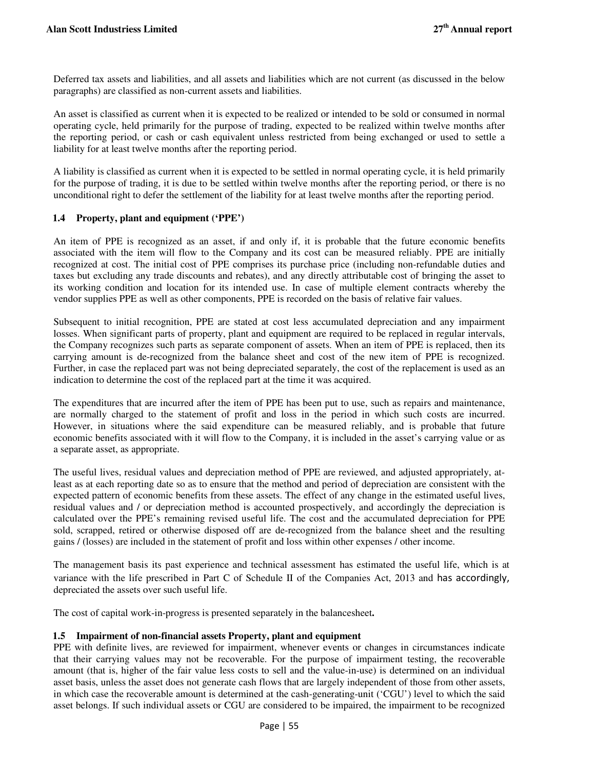Deferred tax assets and liabilities, and all assets and liabilities which are not current (as discussed in the below paragraphs) are classified as non-current assets and liabilities.

An asset is classified as current when it is expected to be realized or intended to be sold or consumed in normal operating cycle, held primarily for the purpose of trading, expected to be realized within twelve months after the reporting period, or cash or cash equivalent unless restricted from being exchanged or used to settle a liability for at least twelve months after the reporting period.

A liability is classified as current when it is expected to be settled in normal operating cycle, it is held primarily for the purpose of trading, it is due to be settled within twelve months after the reporting period, or there is no unconditional right to defer the settlement of the liability for at least twelve months after the reporting period.

## **1.4 Property, plant and equipment ('PPE')**

An item of PPE is recognized as an asset, if and only if, it is probable that the future economic benefits associated with the item will flow to the Company and its cost can be measured reliably. PPE are initially recognized at cost. The initial cost of PPE comprises its purchase price (including non-refundable duties and taxes but excluding any trade discounts and rebates), and any directly attributable cost of bringing the asset to its working condition and location for its intended use. In case of multiple element contracts whereby the vendor supplies PPE as well as other components, PPE is recorded on the basis of relative fair values.

Subsequent to initial recognition, PPE are stated at cost less accumulated depreciation and any impairment losses. When significant parts of property, plant and equipment are required to be replaced in regular intervals, the Company recognizes such parts as separate component of assets. When an item of PPE is replaced, then its carrying amount is de-recognized from the balance sheet and cost of the new item of PPE is recognized. Further, in case the replaced part was not being depreciated separately, the cost of the replacement is used as an indication to determine the cost of the replaced part at the time it was acquired.

The expenditures that are incurred after the item of PPE has been put to use, such as repairs and maintenance, are normally charged to the statement of profit and loss in the period in which such costs are incurred. However, in situations where the said expenditure can be measured reliably, and is probable that future economic benefits associated with it will flow to the Company, it is included in the asset's carrying value or as a separate asset, as appropriate.

The useful lives, residual values and depreciation method of PPE are reviewed, and adjusted appropriately, atleast as at each reporting date so as to ensure that the method and period of depreciation are consistent with the expected pattern of economic benefits from these assets. The effect of any change in the estimated useful lives, residual values and / or depreciation method is accounted prospectively, and accordingly the depreciation is calculated over the PPE's remaining revised useful life. The cost and the accumulated depreciation for PPE sold, scrapped, retired or otherwise disposed off are de-recognized from the balance sheet and the resulting gains / (losses) are included in the statement of profit and loss within other expenses / other income.

The management basis its past experience and technical assessment has estimated the useful life, which is at variance with the life prescribed in Part C of Schedule II of the Companies Act, 2013 and has accordingly, depreciated the assets over such useful life.

The cost of capital work-in-progress is presented separately in the balancesheet**.** 

#### **1.5 Impairment of non-financial assets Property, plant and equipment**

PPE with definite lives, are reviewed for impairment, whenever events or changes in circumstances indicate that their carrying values may not be recoverable. For the purpose of impairment testing, the recoverable amount (that is, higher of the fair value less costs to sell and the value-in-use) is determined on an individual asset basis, unless the asset does not generate cash flows that are largely independent of those from other assets, in which case the recoverable amount is determined at the cash-generating-unit ('CGU') level to which the said asset belongs. If such individual assets or CGU are considered to be impaired, the impairment to be recognized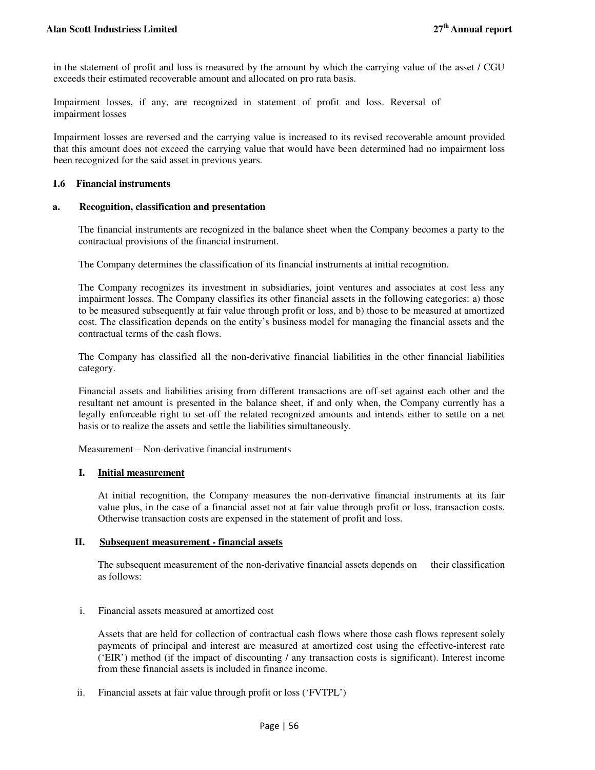in the statement of profit and loss is measured by the amount by which the carrying value of the asset / CGU exceeds their estimated recoverable amount and allocated on pro rata basis.

Impairment losses, if any, are recognized in statement of profit and loss. Reversal of impairment losses

Impairment losses are reversed and the carrying value is increased to its revised recoverable amount provided that this amount does not exceed the carrying value that would have been determined had no impairment loss been recognized for the said asset in previous years.

#### **1.6 Financial instruments**

#### **a. Recognition, classification and presentation**

The financial instruments are recognized in the balance sheet when the Company becomes a party to the contractual provisions of the financial instrument.

The Company determines the classification of its financial instruments at initial recognition.

The Company recognizes its investment in subsidiaries, joint ventures and associates at cost less any impairment losses. The Company classifies its other financial assets in the following categories: a) those to be measured subsequently at fair value through profit or loss, and b) those to be measured at amortized cost. The classification depends on the entity's business model for managing the financial assets and the contractual terms of the cash flows.

The Company has classified all the non-derivative financial liabilities in the other financial liabilities category.

Financial assets and liabilities arising from different transactions are off-set against each other and the resultant net amount is presented in the balance sheet, if and only when, the Company currently has a legally enforceable right to set-off the related recognized amounts and intends either to settle on a net basis or to realize the assets and settle the liabilities simultaneously.

Measurement – Non-derivative financial instruments

## **I. Initial measurement**

At initial recognition, the Company measures the non-derivative financial instruments at its fair value plus, in the case of a financial asset not at fair value through profit or loss, transaction costs. Otherwise transaction costs are expensed in the statement of profit and loss.

## **II. Subsequent measurement - financial assets**

The subsequent measurement of the non-derivative financial assets depends on their classification as follows:

## i. Financial assets measured at amortized cost

Assets that are held for collection of contractual cash flows where those cash flows represent solely payments of principal and interest are measured at amortized cost using the effective-interest rate ('EIR') method (if the impact of discounting / any transaction costs is significant). Interest income from these financial assets is included in finance income.

ii. Financial assets at fair value through profit or loss ('FVTPL')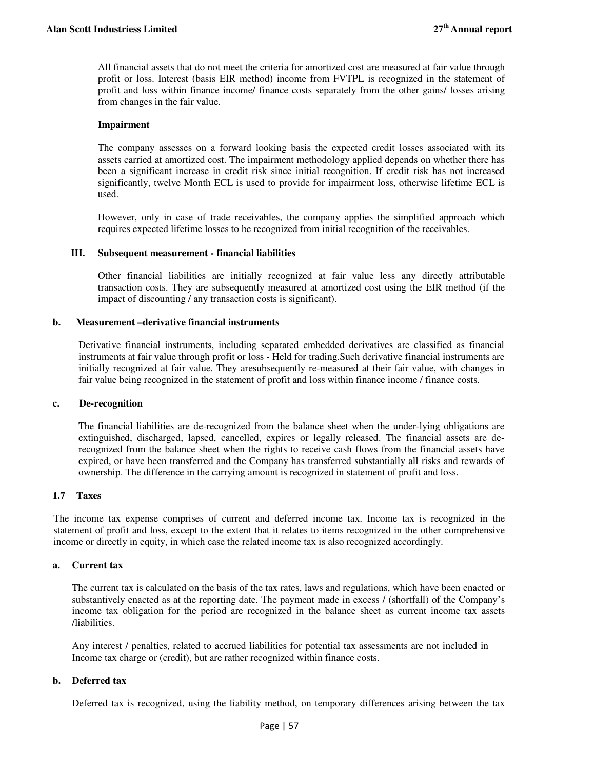All financial assets that do not meet the criteria for amortized cost are measured at fair value through profit or loss. Interest (basis EIR method) income from FVTPL is recognized in the statement of profit and loss within finance income/ finance costs separately from the other gains/ losses arising from changes in the fair value.

## **Impairment**

The company assesses on a forward looking basis the expected credit losses associated with its assets carried at amortized cost. The impairment methodology applied depends on whether there has been a significant increase in credit risk since initial recognition. If credit risk has not increased significantly, twelve Month ECL is used to provide for impairment loss, otherwise lifetime ECL is used.

However, only in case of trade receivables, the company applies the simplified approach which requires expected lifetime losses to be recognized from initial recognition of the receivables.

#### **III. Subsequent measurement - financial liabilities**

Other financial liabilities are initially recognized at fair value less any directly attributable transaction costs. They are subsequently measured at amortized cost using the EIR method (if the impact of discounting / any transaction costs is significant).

#### **b. Measurement –derivative financial instruments**

Derivative financial instruments, including separated embedded derivatives are classified as financial instruments at fair value through profit or loss - Held for trading.Such derivative financial instruments are initially recognized at fair value. They aresubsequently re-measured at their fair value, with changes in fair value being recognized in the statement of profit and loss within finance income / finance costs.

#### **c. De-recognition**

The financial liabilities are de-recognized from the balance sheet when the under-lying obligations are extinguished, discharged, lapsed, cancelled, expires or legally released. The financial assets are derecognized from the balance sheet when the rights to receive cash flows from the financial assets have expired, or have been transferred and the Company has transferred substantially all risks and rewards of ownership. The difference in the carrying amount is recognized in statement of profit and loss.

## **1.7 Taxes**

The income tax expense comprises of current and deferred income tax. Income tax is recognized in the statement of profit and loss, except to the extent that it relates to items recognized in the other comprehensive income or directly in equity, in which case the related income tax is also recognized accordingly.

#### **a. Current tax**

The current tax is calculated on the basis of the tax rates, laws and regulations, which have been enacted or substantively enacted as at the reporting date. The payment made in excess / (shortfall) of the Company's income tax obligation for the period are recognized in the balance sheet as current income tax assets /liabilities.

Any interest / penalties, related to accrued liabilities for potential tax assessments are not included in Income tax charge or (credit), but are rather recognized within finance costs.

## **b. Deferred tax**

Deferred tax is recognized, using the liability method, on temporary differences arising between the tax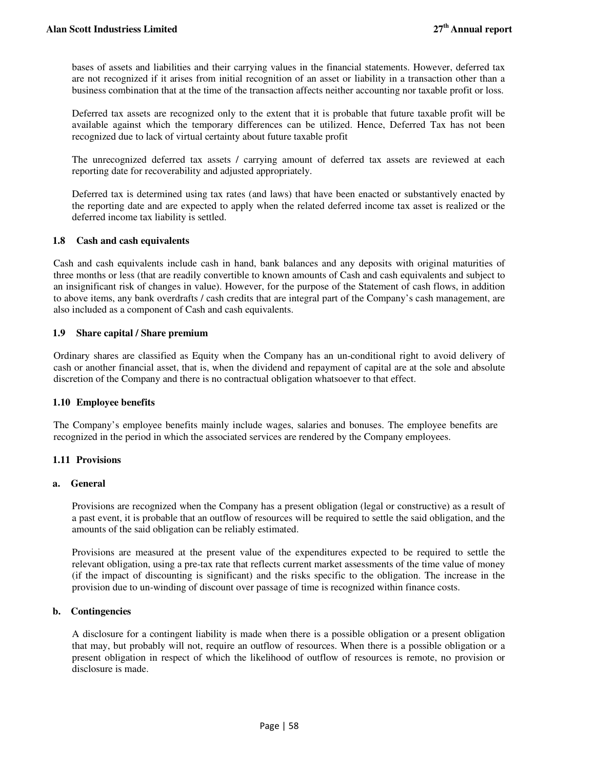bases of assets and liabilities and their carrying values in the financial statements. However, deferred tax are not recognized if it arises from initial recognition of an asset or liability in a transaction other than a business combination that at the time of the transaction affects neither accounting nor taxable profit or loss.

Deferred tax assets are recognized only to the extent that it is probable that future taxable profit will be available against which the temporary differences can be utilized. Hence, Deferred Tax has not been recognized due to lack of virtual certainty about future taxable profit

The unrecognized deferred tax assets / carrying amount of deferred tax assets are reviewed at each reporting date for recoverability and adjusted appropriately.

Deferred tax is determined using tax rates (and laws) that have been enacted or substantively enacted by the reporting date and are expected to apply when the related deferred income tax asset is realized or the deferred income tax liability is settled.

## **1.8 Cash and cash equivalents**

Cash and cash equivalents include cash in hand, bank balances and any deposits with original maturities of three months or less (that are readily convertible to known amounts of Cash and cash equivalents and subject to an insignificant risk of changes in value). However, for the purpose of the Statement of cash flows, in addition to above items, any bank overdrafts / cash credits that are integral part of the Company's cash management, are also included as a component of Cash and cash equivalents.

## **1.9 Share capital / Share premium**

Ordinary shares are classified as Equity when the Company has an un-conditional right to avoid delivery of cash or another financial asset, that is, when the dividend and repayment of capital are at the sole and absolute discretion of the Company and there is no contractual obligation whatsoever to that effect.

## **1.10 Employee benefits**

The Company's employee benefits mainly include wages, salaries and bonuses. The employee benefits are recognized in the period in which the associated services are rendered by the Company employees.

## **1.11 Provisions**

## **a. General**

Provisions are recognized when the Company has a present obligation (legal or constructive) as a result of a past event, it is probable that an outflow of resources will be required to settle the said obligation, and the amounts of the said obligation can be reliably estimated.

Provisions are measured at the present value of the expenditures expected to be required to settle the relevant obligation, using a pre-tax rate that reflects current market assessments of the time value of money (if the impact of discounting is significant) and the risks specific to the obligation. The increase in the provision due to un-winding of discount over passage of time is recognized within finance costs.

## **b. Contingencies**

A disclosure for a contingent liability is made when there is a possible obligation or a present obligation that may, but probably will not, require an outflow of resources. When there is a possible obligation or a present obligation in respect of which the likelihood of outflow of resources is remote, no provision or disclosure is made.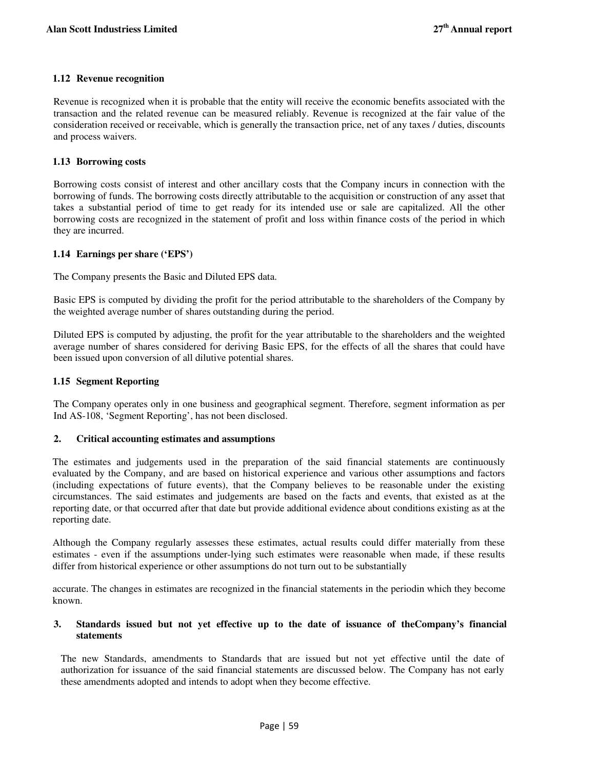## **1.12 Revenue recognition**

Revenue is recognized when it is probable that the entity will receive the economic benefits associated with the transaction and the related revenue can be measured reliably. Revenue is recognized at the fair value of the consideration received or receivable, which is generally the transaction price, net of any taxes / duties, discounts and process waivers.

## **1.13 Borrowing costs**

Borrowing costs consist of interest and other ancillary costs that the Company incurs in connection with the borrowing of funds. The borrowing costs directly attributable to the acquisition or construction of any asset that takes a substantial period of time to get ready for its intended use or sale are capitalized. All the other borrowing costs are recognized in the statement of profit and loss within finance costs of the period in which they are incurred.

## **1.14 Earnings per share ('EPS')**

The Company presents the Basic and Diluted EPS data.

Basic EPS is computed by dividing the profit for the period attributable to the shareholders of the Company by the weighted average number of shares outstanding during the period.

Diluted EPS is computed by adjusting, the profit for the year attributable to the shareholders and the weighted average number of shares considered for deriving Basic EPS, for the effects of all the shares that could have been issued upon conversion of all dilutive potential shares.

## **1.15 Segment Reporting**

The Company operates only in one business and geographical segment. Therefore, segment information as per Ind AS-108, 'Segment Reporting', has not been disclosed.

## **2. Critical accounting estimates and assumptions**

The estimates and judgements used in the preparation of the said financial statements are continuously evaluated by the Company, and are based on historical experience and various other assumptions and factors (including expectations of future events), that the Company believes to be reasonable under the existing circumstances. The said estimates and judgements are based on the facts and events, that existed as at the reporting date, or that occurred after that date but provide additional evidence about conditions existing as at the reporting date.

Although the Company regularly assesses these estimates, actual results could differ materially from these estimates - even if the assumptions under-lying such estimates were reasonable when made, if these results differ from historical experience or other assumptions do not turn out to be substantially

accurate. The changes in estimates are recognized in the financial statements in the periodin which they become known.

## **3. Standards issued but not yet effective up to the date of issuance of theCompany's financial statements**

The new Standards, amendments to Standards that are issued but not yet effective until the date of authorization for issuance of the said financial statements are discussed below. The Company has not early these amendments adopted and intends to adopt when they become effective.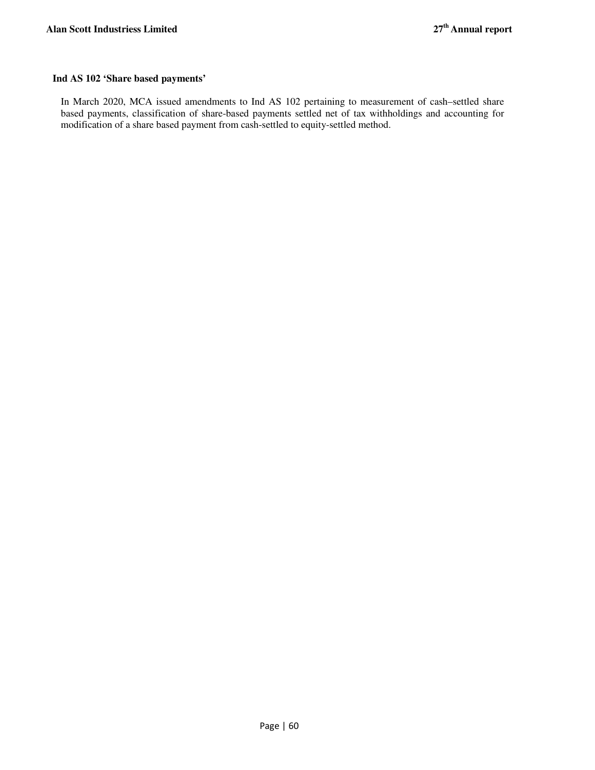## **Ind AS 102 'Share based payments'**

In March 2020, MCA issued amendments to Ind AS 102 pertaining to measurement of cash–settled share based payments, classification of share-based payments settled net of tax withholdings and accounting for modification of a share based payment from cash-settled to equity-settled method.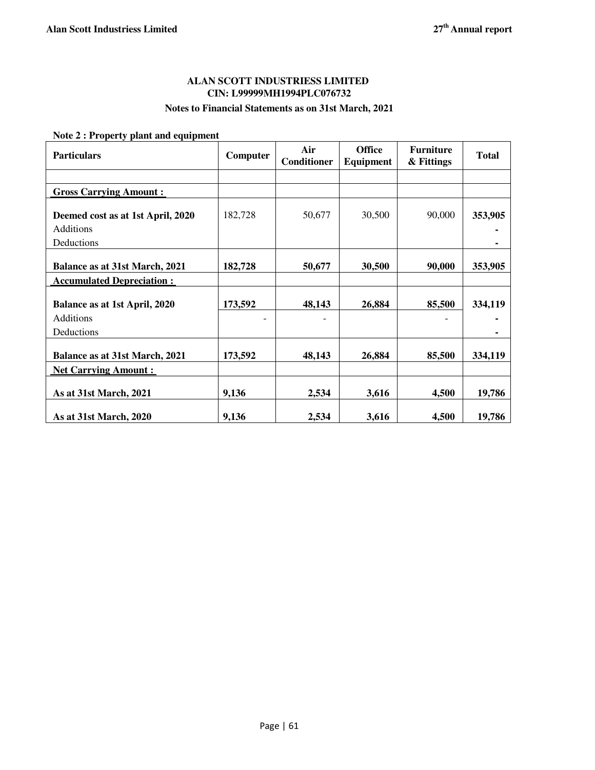## **ALAN SCOTT INDUSTRIESS LIMITED CIN: L99999MH1994PLC076732**

## **Notes to Financial Statements as on 31st March, 2021**

 **Note 2 : Property plant and equipment** 

| <b>Particulars</b>                                           | Computer | Air<br><b>Conditioner</b> | <b>Office</b><br>Equipment | <b>Furniture</b><br>& Fittings | <b>Total</b> |
|--------------------------------------------------------------|----------|---------------------------|----------------------------|--------------------------------|--------------|
|                                                              |          |                           |                            |                                |              |
| <b>Gross Carrying Amount:</b>                                |          |                           |                            |                                |              |
| Deemed cost as at 1st April, 2020<br>Additions<br>Deductions | 182,728  | 50,677                    | 30,500                     | 90,000                         | 353,905      |
| <b>Balance as at 31st March, 2021</b>                        | 182,728  | 50,677                    | 30,500                     | 90,000                         | 353,905      |
| <b>Accumulated Depreciation:</b>                             |          |                           |                            |                                |              |
| Balance as at 1st April, 2020                                | 173,592  | 48,143                    | 26,884                     | 85,500                         | 334,119      |
| Additions<br>Deductions                                      |          |                           |                            |                                |              |
| <b>Balance as at 31st March, 2021</b>                        | 173,592  | 48,143                    | 26,884                     | 85,500                         | 334,119      |
| <b>Net Carrying Amount:</b>                                  |          |                           |                            |                                |              |
| As at 31st March, 2021                                       | 9,136    | 2,534                     | 3,616                      | 4,500                          | 19,786       |
| As at 31st March, 2020                                       | 9,136    | 2,534                     | 3,616                      | 4,500                          | 19,786       |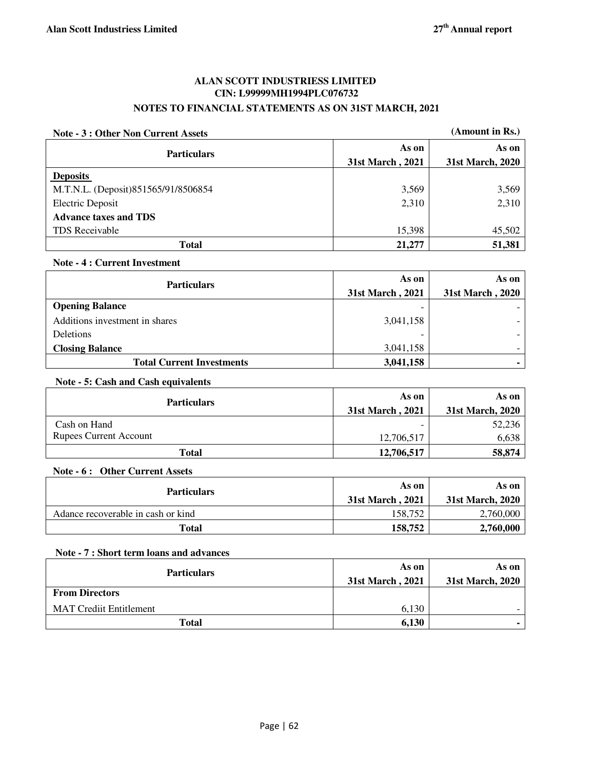## **ALAN SCOTT INDUSTRIESS LIMITED CIN: L99999MH1994PLC076732 NOTES TO FINANCIAL STATEMENTS AS ON 31ST MARCH, 2021**

| (Amount in Rs.)<br>Note - 3 : Other Non Current Assets |                  |                  |
|--------------------------------------------------------|------------------|------------------|
| <b>Particulars</b>                                     | As on            | As on            |
|                                                        | 31st March, 2021 | 31st March, 2020 |
| <b>Deposits</b>                                        |                  |                  |
| M.T.N.L. (Deposit)851565/91/8506854                    | 3,569            | 3,569            |
| Electric Deposit                                       | 2,310            | 2,310            |
| <b>Advance taxes and TDS</b>                           |                  |                  |
| TDS Receivable                                         | 15,398           | 45,502           |
| <b>Total</b>                                           | 21,277           | 51,381           |

## **Note - 4 : Current Investment**

| <b>Particulars</b>               | As on            | As on            |
|----------------------------------|------------------|------------------|
|                                  | 31st March, 2021 | 31st March, 2020 |
| <b>Opening Balance</b>           |                  |                  |
| Additions investment in shares   | 3,041,158        |                  |
| <b>Deletions</b>                 |                  |                  |
| <b>Closing Balance</b>           | 3,041,158        |                  |
| <b>Total Current Investments</b> | 3,041,158        |                  |

## **Note - 5: Cash and Cash equivalents**

| <b>Particulars</b>            | As on            | As on            |
|-------------------------------|------------------|------------------|
|                               | 31st March, 2021 | 31st March, 2020 |
| Cash on Hand                  |                  | 52,236           |
| <b>Rupees Current Account</b> | 12,706,517       | 6,638            |
| Total                         | 12,706,517       | 58,874           |

## **Note - 6 : Other Current Assets**

| <b>Particulars</b>                 | As on<br>31st March, 2021 | As on<br>31st March, 2020 |
|------------------------------------|---------------------------|---------------------------|
| Adance recoverable in cash or kind | 158.752                   | 2,760,000                 |
| Total                              | 158,752                   | 2,760,000                 |

## **Note - 7 : Short term loans and advances**

| <b>Particulars</b>             | As on<br>31st March, 2021 | As on<br>31st March, 2020 |
|--------------------------------|---------------------------|---------------------------|
| <b>From Directors</b>          |                           |                           |
| <b>MAT Crediit Entitlement</b> | 6.130                     |                           |
| <b>Total</b>                   | 6,130                     |                           |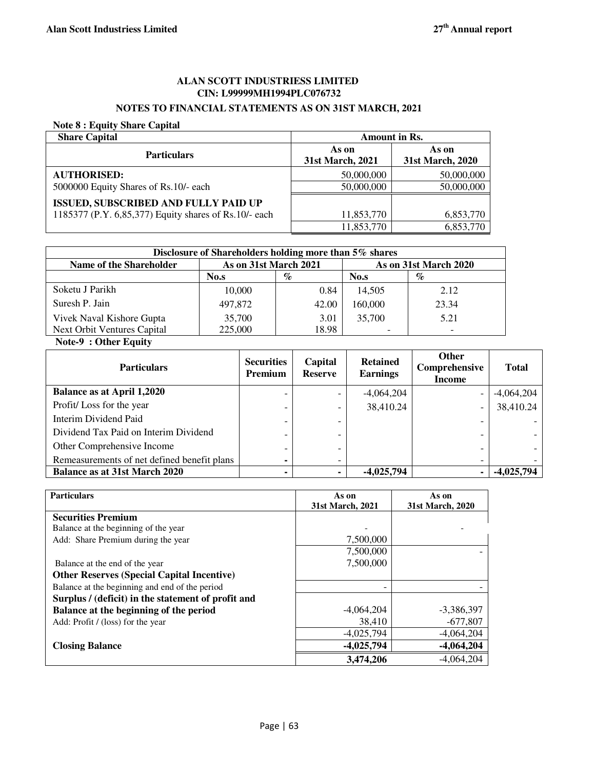## **ALAN SCOTT INDUSTRIESS LIMITED CIN: L99999MH1994PLC076732**

## **NOTES TO FINANCIAL STATEMENTS AS ON 31ST MARCH, 2021**

## **Note 8 : Equity Share Capital**

| <b>Share Capital</b>                                  | Amount in Rs.             |                           |  |
|-------------------------------------------------------|---------------------------|---------------------------|--|
| <b>Particulars</b>                                    | As on<br>31st March, 2021 | As on<br>31st March, 2020 |  |
| <b>AUTHORISED:</b>                                    | 50,000,000                | 50,000,000                |  |
| 5000000 Equity Shares of Rs.10/- each                 | 50,000,000                | 50,000,000                |  |
| <b>ISSUED, SUBSCRIBED AND FULLY PAID UP</b>           |                           |                           |  |
| 1185377 (P.Y. 6,85,377) Equity shares of Rs.10/- each | 11,853,770                | 6,853,770                 |  |
|                                                       | 11,853,770                | 6,853,770                 |  |

| Disclosure of Shareholders holding more than 5% shares |                       |       |         |                       |  |
|--------------------------------------------------------|-----------------------|-------|---------|-----------------------|--|
| Name of the Shareholder                                | As on 31st March 2021 |       |         | As on 31st March 2020 |  |
|                                                        | No.s                  | $\%$  | No.s    | $\%$                  |  |
| Soketu J Parikh                                        | 10,000                | 0.84  | 14.505  | 2.12                  |  |
| Suresh P. Jain                                         | 497,872               | 42.00 | 160,000 | 23.34                 |  |
| Vivek Naval Kishore Gupta                              | 35,700                | 3.01  | 35,700  | 5.21                  |  |
| <b>Next Orbit Ventures Capital</b>                     | 225,000               | 18.98 |         |                       |  |

#### **Note-9 : Other Equity**

| <b>Particulars</b>                          | <b>Securities</b><br>Premium | Capital<br><b>Reserve</b> | <b>Retained</b><br><b>Earnings</b> | <b>Other</b><br>Comprehensive<br>Income | <b>Total</b> |
|---------------------------------------------|------------------------------|---------------------------|------------------------------------|-----------------------------------------|--------------|
| <b>Balance as at April 1,2020</b>           |                              | -                         | $-4,064,204$                       |                                         | $-4,064,204$ |
| Profit/Loss for the year                    |                              | -                         | 38,410.24                          | ۰                                       | 38,410.24    |
| Interim Dividend Paid                       |                              | -                         |                                    |                                         |              |
| Dividend Tax Paid on Interim Dividend       |                              | -                         |                                    |                                         |              |
| Other Comprehensive Income                  | $\overline{\phantom{0}}$     | $\overline{\phantom{a}}$  |                                    |                                         |              |
| Remeasurements of net defined benefit plans |                              | -                         |                                    |                                         |              |
| <b>Balance as at 31st March 2020</b>        |                              | ۰.                        | $-4,025,794$                       | $\blacksquare$                          | -4,025,794   |

| <b>Particulars</b>                                 | As on            | As on            |
|----------------------------------------------------|------------------|------------------|
|                                                    | 31st March, 2021 | 31st March, 2020 |
| <b>Securities Premium</b>                          |                  |                  |
| Balance at the beginning of the year               |                  |                  |
| Add: Share Premium during the year                 | 7,500,000        |                  |
|                                                    | 7,500,000        |                  |
| Balance at the end of the year                     | 7,500,000        |                  |
| <b>Other Reserves (Special Capital Incentive)</b>  |                  |                  |
| Balance at the beginning and end of the period     |                  |                  |
| Surplus / (deficit) in the statement of profit and |                  |                  |
| Balance at the beginning of the period             | $-4,064,204$     | $-3,386,397$     |
| Add: Profit / (loss) for the year                  | 38,410           | $-677,807$       |
|                                                    | $-4,025,794$     | $-4,064,204$     |
| <b>Closing Balance</b>                             | $-4,025,794$     | $-4,064,204$     |
|                                                    | 3,474,206        | $-4,064,204$     |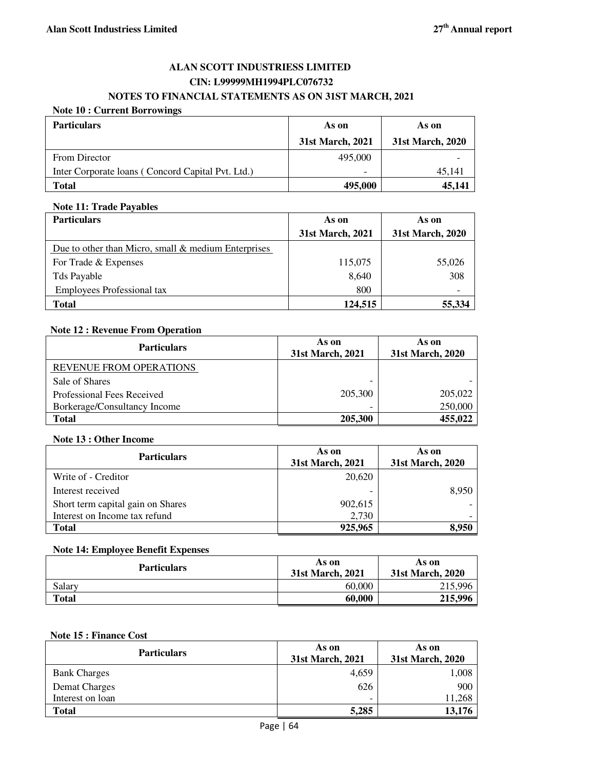## **ALAN SCOTT INDUSTRIESS LIMITED CIN: L99999MH1994PLC076732 NOTES TO FINANCIAL STATEMENTS AS ON 31ST MARCH, 2021**

## **Note 10 : Current Borrowings**

| <b>Particulars</b>                                | As on                    | As on            |
|---------------------------------------------------|--------------------------|------------------|
|                                                   | 31st March, 2021         | 31st March, 2020 |
| From Director                                     | 495,000                  |                  |
| Inter Corporate Ioans (Concord Capital Pvt. Ltd.) | $\overline{\phantom{0}}$ | 45.141           |
| <b>Total</b>                                      | 495,000                  | 45.141           |

## **Note 11: Trade Payables**

| <b>Particulars</b>                                    | As on            | As on            |  |
|-------------------------------------------------------|------------------|------------------|--|
|                                                       | 31st March, 2021 | 31st March, 2020 |  |
| Due to other than Micro, small $&$ medium Enterprises |                  |                  |  |
| For Trade & Expenses                                  | 115,075          | 55,026           |  |
| Tds Payable                                           | 8,640            | 308              |  |
| <b>Employees Professional tax</b>                     | 800              |                  |  |
| <b>Total</b>                                          | 124,515          | 55,334           |  |

## **Note 12 : Revenue From Operation**

| <b>Particulars</b>             | As on<br>31st March, 2021 | As on<br>31st March, 2020 |
|--------------------------------|---------------------------|---------------------------|
| <b>REVENUE FROM OPERATIONS</b> |                           |                           |
| Sale of Shares                 | -                         |                           |
| Professional Fees Received     | 205,300                   | 205,022                   |
| Borkerage/Consultancy Income   | $\overline{\phantom{0}}$  | 250,000                   |
| <b>Total</b>                   | 205,300                   | 455,022                   |

## **Note 13 : Other Income**

| <b>Particulars</b>                | As on<br>31st March, 2021 | As on<br>31st March, 2020 |
|-----------------------------------|---------------------------|---------------------------|
| Write of - Creditor               | 20,620                    |                           |
| Interest received                 | -                         | 8,950                     |
| Short term capital gain on Shares | 902,615                   |                           |
| Interest on Income tax refund     | 2,730                     |                           |
| <b>Total</b>                      | 925,965                   | 8.950                     |

## **Note 14: Employee Benefit Expenses**

| <b>Particulars</b> | As on<br>31st March, 2021 | As on<br>31st March, 2020 |
|--------------------|---------------------------|---------------------------|
| Salary             | 60,000                    | 215,996                   |
| Total              | 60.000                    | 215,996                   |

## **Note 15 : Finance Cost**

| <b>Particulars</b>  | As on<br>31st March, 2021 | As on<br>31st March, 2020 |
|---------------------|---------------------------|---------------------------|
| <b>Bank Charges</b> | 4,659                     | 1,008                     |
| Demat Charges       | 626                       | 900                       |
| Interest on loan    | $\overline{\phantom{0}}$  | 11,268                    |
| <b>Total</b>        | 5,285                     | 13,176                    |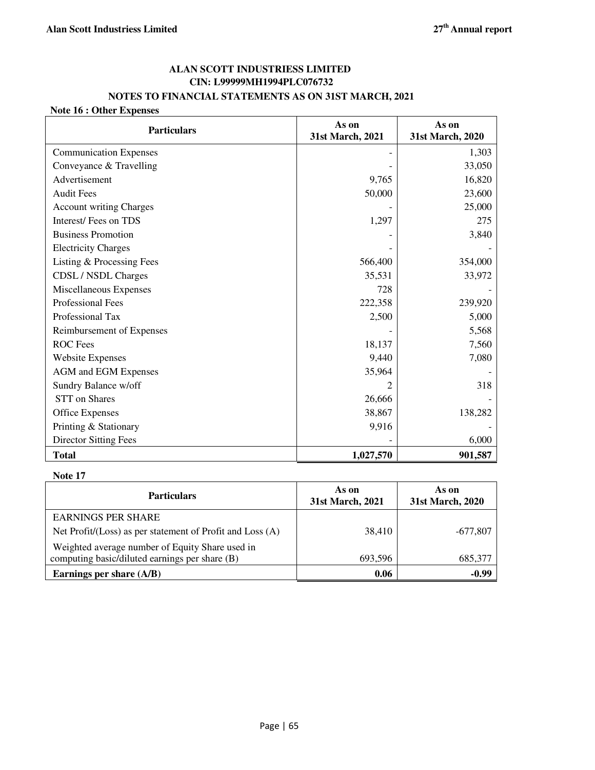## **ALAN SCOTT INDUSTRIESS LIMITED CIN: L99999MH1994PLC076732**

## **NOTES TO FINANCIAL STATEMENTS AS ON 31ST MARCH, 2021**

## **Note 16 : Other Expenses**

| <b>Particulars</b>             | As on<br>31st March, 2021 | As on<br>31st March, 2020 |
|--------------------------------|---------------------------|---------------------------|
| <b>Communication Expenses</b>  |                           | 1,303                     |
| Conveyance & Travelling        |                           | 33,050                    |
| Advertisement                  | 9,765                     | 16,820                    |
| <b>Audit Fees</b>              | 50,000                    | 23,600                    |
| <b>Account writing Charges</b> |                           | 25,000                    |
| Interest/Fees on TDS           | 1,297                     | 275                       |
| <b>Business Promotion</b>      |                           | 3,840                     |
| <b>Electricity Charges</b>     |                           |                           |
| Listing & Processing Fees      | 566,400                   | 354,000                   |
| CDSL / NSDL Charges            | 35,531                    | 33,972                    |
| Miscellaneous Expenses         | 728                       |                           |
| Professional Fees              | 222,358                   | 239,920                   |
| Professional Tax               | 2,500                     | 5,000                     |
| Reimbursement of Expenses      |                           | 5,568                     |
| <b>ROC</b> Fees                | 18,137                    | 7,560                     |
| <b>Website Expenses</b>        | 9,440                     | 7,080                     |
| <b>AGM</b> and EGM Expenses    | 35,964                    |                           |
| Sundry Balance w/off           | 2                         | 318                       |
| <b>STT</b> on Shares           | 26,666                    |                           |
| Office Expenses                | 38,867                    | 138,282                   |
| Printing & Stationary          | 9,916                     |                           |
| <b>Director Sitting Fees</b>   |                           | 6,000                     |
| <b>Total</b>                   | 1,027,570                 | 901,587                   |

## **Note 17**

| <b>Particulars</b>                                               | As on<br>31st March, 2021 | As on<br>31st March, 2020 |
|------------------------------------------------------------------|---------------------------|---------------------------|
| <b>EARNINGS PER SHARE</b>                                        |                           |                           |
| Net $Profit / (Loss)$ as per statement of $Profit$ and $Loss(A)$ | 38.410                    | $-677.807$                |
| Weighted average number of Equity Share used in                  |                           |                           |
| computing basic/diluted earnings per share (B)                   | 693,596                   | 685,377                   |
| Earnings per share (A/B)                                         | 0.06                      | $-0.99$                   |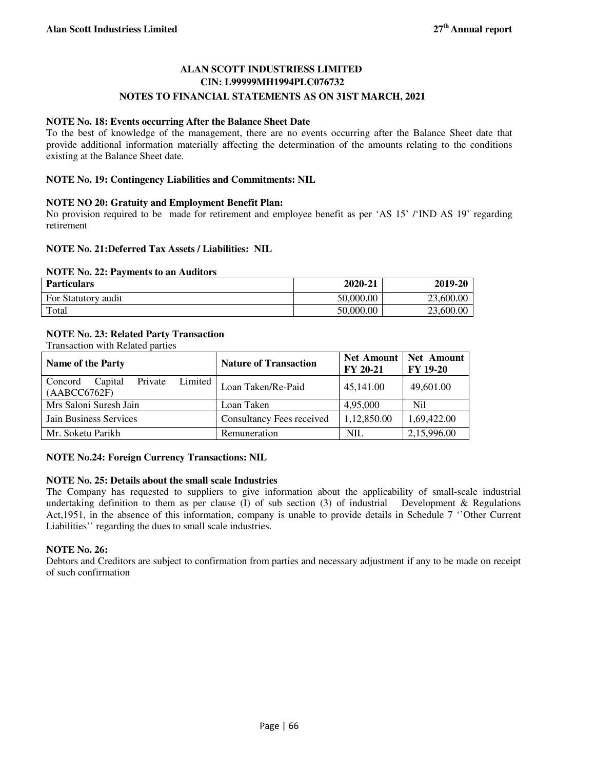## **ALAN SCOTT INDUSTRIESS LIMITED CIN: L99999MH1994PLC076732 NOTES TO FINANCIAL STATEMENTS AS ON 31ST MARCH, 2021**

## **NOTE No. 18: Events occurring After the Balance Sheet Date**

To the best of knowledge of the management, there are no events occurring after the Balance Sheet date that provide additional information materially affecting the determination of the amounts relating to the conditions existing at the Balance Sheet date.

## **NOTE No. 19: Contingency Liabilities and Commitments: NIL**

## **NOTE NO 20: Gratuity and Employment Benefit Plan:**

No provision required to be made for retirement and employee benefit as per 'AS 15' /'IND AS 19' regarding retirement

## **NOTE No. 21:Deferred Tax Assets / Liabilities: NIL**

#### **NOTE No. 22: Payments to an Auditors**

| <b>Particulars</b>  | 2020-21   | 2019-20   |
|---------------------|-----------|-----------|
| For Statutory audit | 50,000.00 | 23,600.00 |
| Total               | 50,000.00 | 23,600.00 |

## **NOTE No. 23: Related Party Transaction**

Transaction with Related parties

| <b>Name of the Party</b>                                    | <b>Nature of Transaction</b> | <b>Net Amount</b><br><b>FY 20-21</b> | Net Amount<br><b>FY 19-20</b> |
|-------------------------------------------------------------|------------------------------|--------------------------------------|-------------------------------|
| Limited  <br>Private<br>Capital<br>Concord<br>(AABCCC6762F) | Loan Taken/Re-Paid           | 45,141.00                            | 49,601.00                     |
| Mrs Saloni Suresh Jain                                      | Loan Taken                   | 4,95,000                             | Nil                           |
| Jain Business Services                                      | Consultancy Fees received    | 1,12,850.00                          | 1,69,422.00                   |
| Mr. Soketu Parikh                                           | Remuneration                 | <b>NIL</b>                           | 2,15,996.00                   |

## **NOTE No.24: Foreign Currency Transactions: NIL**

## **NOTE No. 25: Details about the small scale Industries**

The Company has requested to suppliers to give information about the applicability of small-scale industrial undertaking definition to them as per clause (I) of sub section (3) of industrial Development  $\&$  Regulations Act,1951, in the absence of this information, company is unable to provide details in Schedule 7 ''Other Current Liabilities'' regarding the dues to small scale industries.

## **NOTE No. 26:**

Debtors and Creditors are subject to confirmation from parties and necessary adjustment if any to be made on receipt of such confirmation